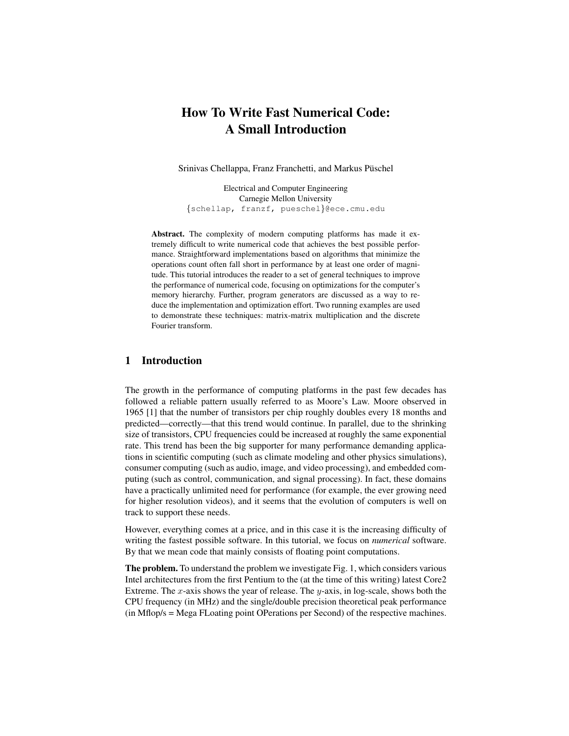# How To Write Fast Numerical Code: A Small Introduction

Srinivas Chellappa, Franz Franchetti, and Markus Püschel

Electrical and Computer Engineering Carnegie Mellon University {schellap, franzf, pueschel}@ece.cmu.edu

Abstract. The complexity of modern computing platforms has made it extremely difficult to write numerical code that achieves the best possible performance. Straightforward implementations based on algorithms that minimize the operations count often fall short in performance by at least one order of magnitude. This tutorial introduces the reader to a set of general techniques to improve the performance of numerical code, focusing on optimizations for the computer's memory hierarchy. Further, program generators are discussed as a way to reduce the implementation and optimization effort. Two running examples are used to demonstrate these techniques: matrix-matrix multiplication and the discrete Fourier transform.

# 1 Introduction

The growth in the performance of computing platforms in the past few decades has followed a reliable pattern usually referred to as Moore's Law. Moore observed in 1965 [1] that the number of transistors per chip roughly doubles every 18 months and predicted—correctly—that this trend would continue. In parallel, due to the shrinking size of transistors, CPU frequencies could be increased at roughly the same exponential rate. This trend has been the big supporter for many performance demanding applications in scientific computing (such as climate modeling and other physics simulations), consumer computing (such as audio, image, and video processing), and embedded computing (such as control, communication, and signal processing). In fact, these domains have a practically unlimited need for performance (for example, the ever growing need for higher resolution videos), and it seems that the evolution of computers is well on track to support these needs.

However, everything comes at a price, and in this case it is the increasing difficulty of writing the fastest possible software. In this tutorial, we focus on *numerical* software. By that we mean code that mainly consists of floating point computations.

The problem. To understand the problem we investigate Fig. 1, which considers various Intel architectures from the first Pentium to the (at the time of this writing) latest Core2 Extreme. The x-axis shows the year of release. The  $y$ -axis, in log-scale, shows both the CPU frequency (in MHz) and the single/double precision theoretical peak performance (in Mflop/s = Mega FLoating point OPerations per Second) of the respective machines.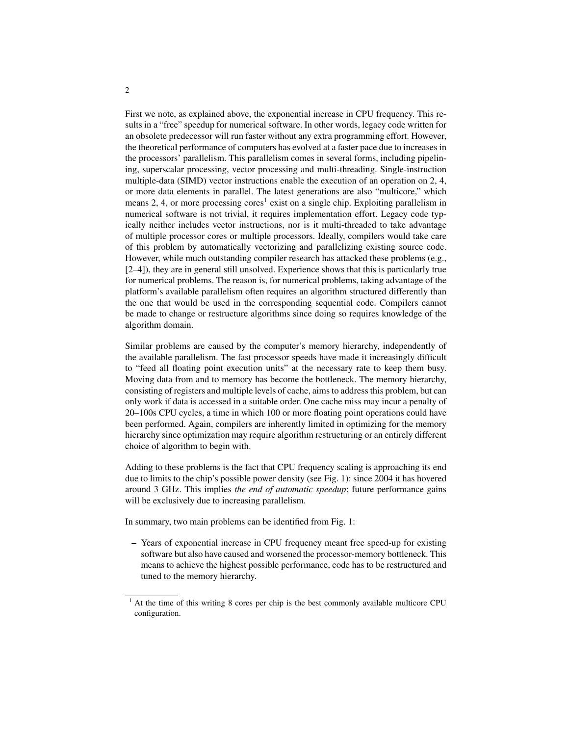First we note, as explained above, the exponential increase in CPU frequency. This results in a "free" speedup for numerical software. In other words, legacy code written for an obsolete predecessor will run faster without any extra programming effort. However, the theoretical performance of computers has evolved at a faster pace due to increases in the processors' parallelism. This parallelism comes in several forms, including pipelining, superscalar processing, vector processing and multi-threading. Single-instruction multiple-data (SIMD) vector instructions enable the execution of an operation on 2, 4, or more data elements in parallel. The latest generations are also "multicore," which means 2, 4, or more processing cores<sup>1</sup> exist on a single chip. Exploiting parallelism in numerical software is not trivial, it requires implementation effort. Legacy code typically neither includes vector instructions, nor is it multi-threaded to take advantage of multiple processor cores or multiple processors. Ideally, compilers would take care of this problem by automatically vectorizing and parallelizing existing source code. However, while much outstanding compiler research has attacked these problems (e.g., [2–4]), they are in general still unsolved. Experience shows that this is particularly true for numerical problems. The reason is, for numerical problems, taking advantage of the platform's available parallelism often requires an algorithm structured differently than the one that would be used in the corresponding sequential code. Compilers cannot be made to change or restructure algorithms since doing so requires knowledge of the algorithm domain.

Similar problems are caused by the computer's memory hierarchy, independently of the available parallelism. The fast processor speeds have made it increasingly difficult to "feed all floating point execution units" at the necessary rate to keep them busy. Moving data from and to memory has become the bottleneck. The memory hierarchy, consisting of registers and multiple levels of cache, aims to address this problem, but can only work if data is accessed in a suitable order. One cache miss may incur a penalty of 20–100s CPU cycles, a time in which 100 or more floating point operations could have been performed. Again, compilers are inherently limited in optimizing for the memory hierarchy since optimization may require algorithm restructuring or an entirely different choice of algorithm to begin with.

Adding to these problems is the fact that CPU frequency scaling is approaching its end due to limits to the chip's possible power density (see Fig. 1): since 2004 it has hovered around 3 GHz. This implies *the end of automatic speedup*; future performance gains will be exclusively due to increasing parallelism.

In summary, two main problems can be identified from Fig. 1:

– Years of exponential increase in CPU frequency meant free speed-up for existing software but also have caused and worsened the processor-memory bottleneck. This means to achieve the highest possible performance, code has to be restructured and tuned to the memory hierarchy.

<sup>&</sup>lt;sup>1</sup> At the time of this writing 8 cores per chip is the best commonly available multicore CPU configuration.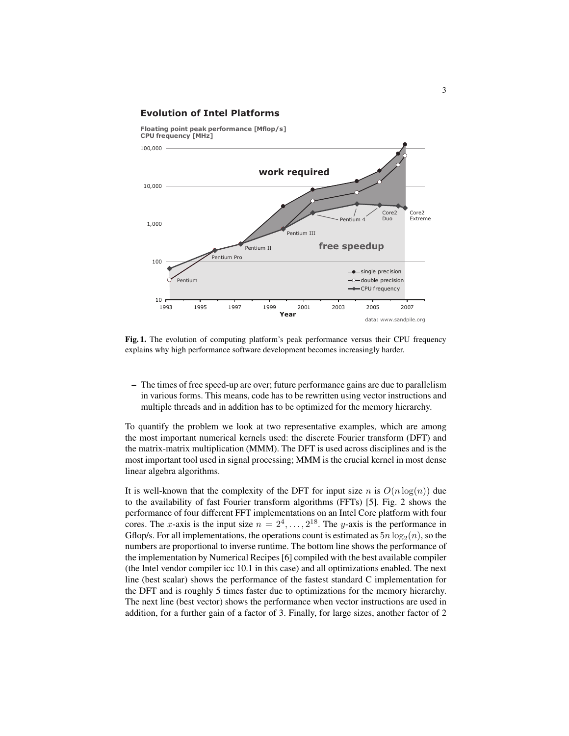#### **Evolution of Intel Platforms**



Fig. 1. The evolution of computing platform's peak performance versus their CPU frequency explains why high performance software development becomes increasingly harder.

– The times of free speed-up are over; future performance gains are due to parallelism in various forms. This means, code has to be rewritten using vector instructions and multiple threads and in addition has to be optimized for the memory hierarchy.

To quantify the problem we look at two representative examples, which are among the most important numerical kernels used: the discrete Fourier transform (DFT) and the matrix-matrix multiplication (MMM). The DFT is used across disciplines and is the most important tool used in signal processing; MMM is the crucial kernel in most dense linear algebra algorithms.

It is well-known that the complexity of the DFT for input size n is  $O(n \log(n))$  due to the availability of fast Fourier transform algorithms (FFTs) [5]. Fig. 2 shows the performance of four different FFT implementations on an Intel Core platform with four cores. The x-axis is the input size  $n = 2^4, \ldots, 2^{18}$ . The y-axis is the performance in Gflop/s. For all implementations, the operations count is estimated as  $5n \log_2(n)$ , so the numbers are proportional to inverse runtime. The bottom line shows the performance of the implementation by Numerical Recipes [6] compiled with the best available compiler (the Intel vendor compiler icc 10.1 in this case) and all optimizations enabled. The next line (best scalar) shows the performance of the fastest standard C implementation for the DFT and is roughly 5 times faster due to optimizations for the memory hierarchy. The next line (best vector) shows the performance when vector instructions are used in addition, for a further gain of a factor of 3. Finally, for large sizes, another factor of 2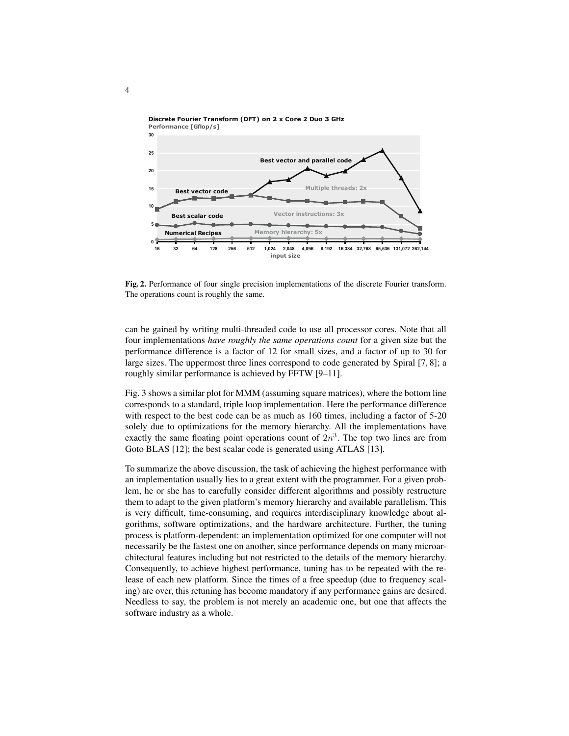

**Discrete Fourier Transform (DFT) on 2 x Core 2 Duo 3 GHz Performance [Gflop/s]**

Fig. 2. Performance of four single precision implementations of the discrete Fourier transform. The operations count is roughly the same.

can be gained by writing multi-threaded code to use all processor cores. Note that all four implementations *have roughly the same operations count* for a given size but the performance difference is a factor of 12 for small sizes, and a factor of up to 30 for large sizes. The uppermost three lines correspond to code generated by Spiral [7, 8]; a roughly similar performance is achieved by FFTW [9–11].

Fig. 3 shows a similar plot for MMM (assuming square matrices), where the bottom line corresponds to a standard, triple loop implementation. Here the performance difference with respect to the best code can be as much as 160 times, including a factor of 5-20 solely due to optimizations for the memory hierarchy. All the implementations have exactly the same floating point operations count of  $2n<sup>3</sup>$ . The top two lines are from Goto BLAS [12]; the best scalar code is generated using ATLAS [13].

To summarize the above discussion, the task of achieving the highest performance with an implementation usually lies to a great extent with the programmer. For a given problem, he or she has to carefully consider different algorithms and possibly restructure them to adapt to the given platform's memory hierarchy and available parallelism. This is very difficult, time-consuming, and requires interdisciplinary knowledge about algorithms, software optimizations, and the hardware architecture. Further, the tuning process is platform-dependent: an implementation optimized for one computer will not necessarily be the fastest one on another, since performance depends on many microarchitectural features including but not restricted to the details of the memory hierarchy. Consequently, to achieve highest performance, tuning has to be repeated with the release of each new platform. Since the times of a free speedup (due to frequency scaling) are over, this retuning has become mandatory if any performance gains are desired. Needless to say, the problem is not merely an academic one, but one that affects the software industry as a whole.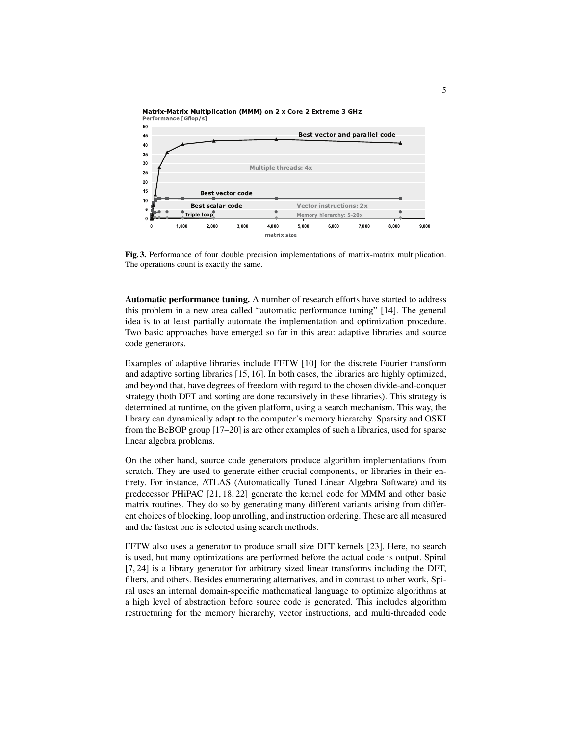

Matrix-Matrix Multiplication (MMM) on 2 x Core 2 Extreme 3 GHz

Fig. 3. Performance of four double precision implementations of matrix-matrix multiplication. The operations count is exactly the same.

Automatic performance tuning. A number of research efforts have started to address this problem in a new area called "automatic performance tuning" [14]. The general idea is to at least partially automate the implementation and optimization procedure. Two basic approaches have emerged so far in this area: adaptive libraries and source code generators.

Examples of adaptive libraries include FFTW [10] for the discrete Fourier transform and adaptive sorting libraries [15, 16]. In both cases, the libraries are highly optimized, and beyond that, have degrees of freedom with regard to the chosen divide-and-conquer strategy (both DFT and sorting are done recursively in these libraries). This strategy is determined at runtime, on the given platform, using a search mechanism. This way, the library can dynamically adapt to the computer's memory hierarchy. Sparsity and OSKI from the BeBOP group [17–20] is are other examples of such a libraries, used for sparse linear algebra problems.

On the other hand, source code generators produce algorithm implementations from scratch. They are used to generate either crucial components, or libraries in their entirety. For instance, ATLAS (Automatically Tuned Linear Algebra Software) and its predecessor PHiPAC [21, 18, 22] generate the kernel code for MMM and other basic matrix routines. They do so by generating many different variants arising from different choices of blocking, loop unrolling, and instruction ordering. These are all measured and the fastest one is selected using search methods.

FFTW also uses a generator to produce small size DFT kernels [23]. Here, no search is used, but many optimizations are performed before the actual code is output. Spiral [7, 24] is a library generator for arbitrary sized linear transforms including the DFT, filters, and others. Besides enumerating alternatives, and in contrast to other work, Spiral uses an internal domain-specific mathematical language to optimize algorithms at a high level of abstraction before source code is generated. This includes algorithm restructuring for the memory hierarchy, vector instructions, and multi-threaded code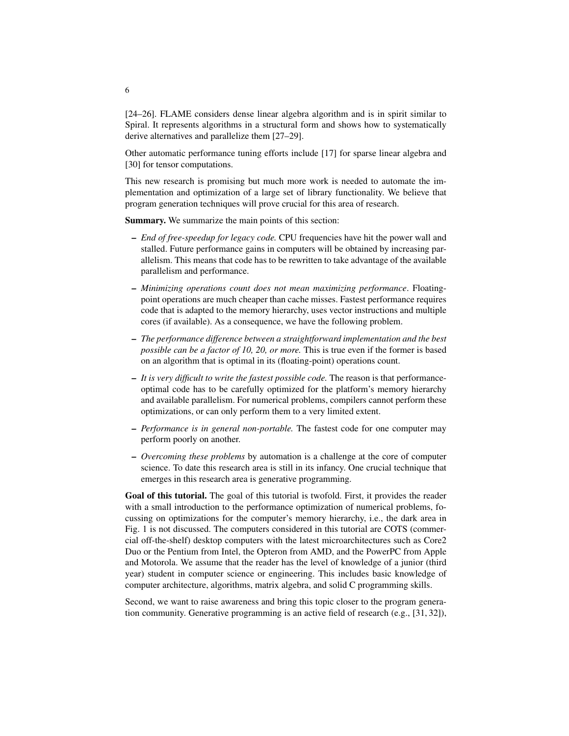[24–26]. FLAME considers dense linear algebra algorithm and is in spirit similar to Spiral. It represents algorithms in a structural form and shows how to systematically derive alternatives and parallelize them [27–29].

Other automatic performance tuning efforts include [17] for sparse linear algebra and [30] for tensor computations.

This new research is promising but much more work is needed to automate the implementation and optimization of a large set of library functionality. We believe that program generation techniques will prove crucial for this area of research.

Summary. We summarize the main points of this section:

- *End of free-speedup for legacy code.* CPU frequencies have hit the power wall and stalled. Future performance gains in computers will be obtained by increasing parallelism. This means that code has to be rewritten to take advantage of the available parallelism and performance.
- *Minimizing operations count does not mean maximizing performance*. Floatingpoint operations are much cheaper than cache misses. Fastest performance requires code that is adapted to the memory hierarchy, uses vector instructions and multiple cores (if available). As a consequence, we have the following problem.
- *The performance difference between a straightforward implementation and the best possible can be a factor of 10, 20, or more.* This is true even if the former is based on an algorithm that is optimal in its (floating-point) operations count.
- *It is very difficult to write the fastest possible code.* The reason is that performanceoptimal code has to be carefully optimized for the platform's memory hierarchy and available parallelism. For numerical problems, compilers cannot perform these optimizations, or can only perform them to a very limited extent.
- *Performance is in general non-portable.* The fastest code for one computer may perform poorly on another.
- *Overcoming these problems* by automation is a challenge at the core of computer science. To date this research area is still in its infancy. One crucial technique that emerges in this research area is generative programming.

Goal of this tutorial. The goal of this tutorial is twofold. First, it provides the reader with a small introduction to the performance optimization of numerical problems, focussing on optimizations for the computer's memory hierarchy, i.e., the dark area in Fig. 1 is not discussed. The computers considered in this tutorial are COTS (commercial off-the-shelf) desktop computers with the latest microarchitectures such as Core2 Duo or the Pentium from Intel, the Opteron from AMD, and the PowerPC from Apple and Motorola. We assume that the reader has the level of knowledge of a junior (third year) student in computer science or engineering. This includes basic knowledge of computer architecture, algorithms, matrix algebra, and solid C programming skills.

Second, we want to raise awareness and bring this topic closer to the program generation community. Generative programming is an active field of research (e.g., [31, 32]),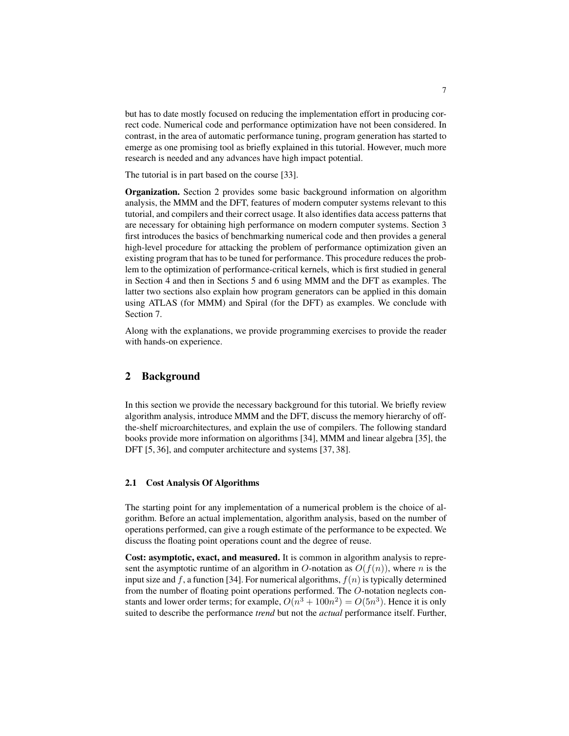but has to date mostly focused on reducing the implementation effort in producing correct code. Numerical code and performance optimization have not been considered. In contrast, in the area of automatic performance tuning, program generation has started to emerge as one promising tool as briefly explained in this tutorial. However, much more research is needed and any advances have high impact potential.

The tutorial is in part based on the course [33].

Organization. Section 2 provides some basic background information on algorithm analysis, the MMM and the DFT, features of modern computer systems relevant to this tutorial, and compilers and their correct usage. It also identifies data access patterns that are necessary for obtaining high performance on modern computer systems. Section 3 first introduces the basics of benchmarking numerical code and then provides a general high-level procedure for attacking the problem of performance optimization given an existing program that has to be tuned for performance. This procedure reduces the problem to the optimization of performance-critical kernels, which is first studied in general in Section 4 and then in Sections 5 and 6 using MMM and the DFT as examples. The latter two sections also explain how program generators can be applied in this domain using ATLAS (for MMM) and Spiral (for the DFT) as examples. We conclude with Section 7.

Along with the explanations, we provide programming exercises to provide the reader with hands-on experience.

# 2 Background

In this section we provide the necessary background for this tutorial. We briefly review algorithm analysis, introduce MMM and the DFT, discuss the memory hierarchy of offthe-shelf microarchitectures, and explain the use of compilers. The following standard books provide more information on algorithms [34], MMM and linear algebra [35], the DFT [5, 36], and computer architecture and systems [37, 38].

# 2.1 Cost Analysis Of Algorithms

The starting point for any implementation of a numerical problem is the choice of algorithm. Before an actual implementation, algorithm analysis, based on the number of operations performed, can give a rough estimate of the performance to be expected. We discuss the floating point operations count and the degree of reuse.

Cost: asymptotic, exact, and measured. It is common in algorithm analysis to represent the asymptotic runtime of an algorithm in O-notation as  $O(f(n))$ , where n is the input size and f, a function [34]. For numerical algorithms,  $f(n)$  is typically determined from the number of floating point operations performed. The O-notation neglects constants and lower order terms; for example,  $O(n^3 + 100n^2) = O(5n^3)$ . Hence it is only suited to describe the performance *trend* but not the *actual* performance itself. Further,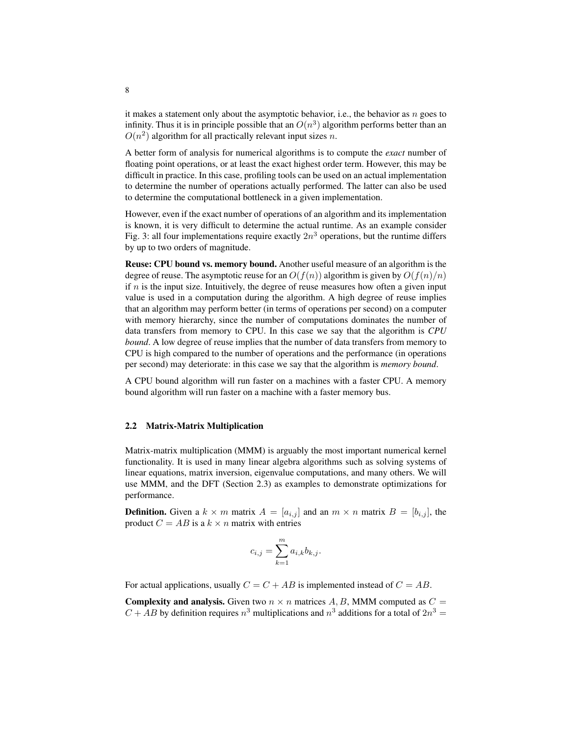it makes a statement only about the asymptotic behavior, i.e., the behavior as  $n$  goes to infinity. Thus it is in principle possible that an  $O(n^3)$  algorithm performs better than an  $O(n^2)$  algorithm for all practically relevant input sizes n.

A better form of analysis for numerical algorithms is to compute the *exact* number of floating point operations, or at least the exact highest order term. However, this may be difficult in practice. In this case, profiling tools can be used on an actual implementation to determine the number of operations actually performed. The latter can also be used to determine the computational bottleneck in a given implementation.

However, even if the exact number of operations of an algorithm and its implementation is known, it is very difficult to determine the actual runtime. As an example consider Fig. 3: all four implementations require exactly  $2n<sup>3</sup>$  operations, but the runtime differs by up to two orders of magnitude.

Reuse: CPU bound vs. memory bound. Another useful measure of an algorithm is the degree of reuse. The asymptotic reuse for an  $O(f(n))$  algorithm is given by  $O(f(n)/n)$ if  $n$  is the input size. Intuitively, the degree of reuse measures how often a given input value is used in a computation during the algorithm. A high degree of reuse implies that an algorithm may perform better (in terms of operations per second) on a computer with memory hierarchy, since the number of computations dominates the number of data transfers from memory to CPU. In this case we say that the algorithm is *CPU bound*. A low degree of reuse implies that the number of data transfers from memory to CPU is high compared to the number of operations and the performance (in operations per second) may deteriorate: in this case we say that the algorithm is *memory bound*.

A CPU bound algorithm will run faster on a machines with a faster CPU. A memory bound algorithm will run faster on a machine with a faster memory bus.

#### 2.2 Matrix-Matrix Multiplication

Matrix-matrix multiplication (MMM) is arguably the most important numerical kernel functionality. It is used in many linear algebra algorithms such as solving systems of linear equations, matrix inversion, eigenvalue computations, and many others. We will use MMM, and the DFT (Section 2.3) as examples to demonstrate optimizations for performance.

**Definition.** Given a  $k \times m$  matrix  $A = [a_{i,j}]$  and an  $m \times n$  matrix  $B = [b_{i,j}]$ , the product  $C = AB$  is a  $k \times n$  matrix with entries

$$
c_{i,j} = \sum_{k=1}^{m} a_{i,k} b_{k,j}.
$$

For actual applications, usually  $C = C + AB$  is implemented instead of  $C = AB$ .

**Complexity and analysis.** Given two  $n \times n$  matrices A, B, MMM computed as  $C =$  $C + AB$  by definition requires  $n^3$  multiplications and  $n^3$  additions for a total of  $2n^3 =$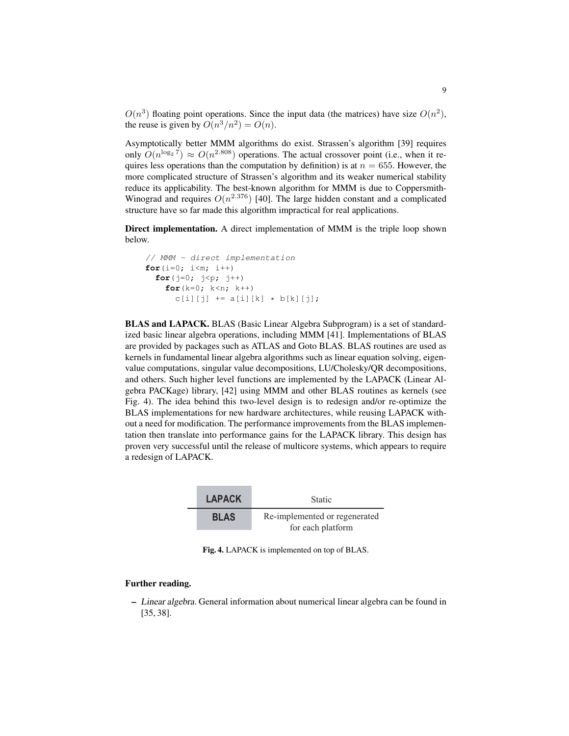$O(n^3)$  floating point operations. Since the input data (the matrices) have size  $O(n^2)$ , the reuse is given by  $O(n^3/n^2) = O(n)$ .

Asymptotically better MMM algorithms do exist. Strassen's algorithm [39] requires only  $O(n^{\log_2 7}) \approx O(n^{2.808})$  operations. The actual crossover point (i.e., when it requires less operations than the computation by definition) is at  $n = 655$ . However, the more complicated structure of Strassen's algorithm and its weaker numerical stability reduce its applicability. The best-known algorithm for MMM is due to Coppersmith-Winograd and requires  $O(n^{2.376})$  [40]. The large hidden constant and a complicated structure have so far made this algorithm impractical for real applications.

Direct implementation. A direct implementation of MMM is the triple loop shown below.

```
// MMM - direct implementation
for(i=0; i \leq m; i++)
  for(j=0; j<p; j++)
    for(k=0; k < n; k++)
      c[i][j] += a[i][k] \times b[k][j];
```
BLAS and LAPACK. BLAS (Basic Linear Algebra Subprogram) is a set of standardized basic linear algebra operations, including MMM [41]. Implementations of BLAS are provided by packages such as ATLAS and Goto BLAS. BLAS routines are used as kernels in fundamental linear algebra algorithms such as linear equation solving, eigenvalue computations, singular value decompositions, LU/Cholesky/QR decompositions, and others. Such higher level functions are implemented by the LAPACK (Linear Algebra PACKage) library, [42] using MMM and other BLAS routines as kernels (see Fig. 4). The idea behind this two-level design is to redesign and/or re-optimize the BLAS implementations for new hardware architectures, while reusing LAPACK without a need for modification. The performance improvements from the BLAS implementation then translate into performance gains for the LAPACK library. This design has proven very successful until the release of multicore systems, which appears to require a redesign of LAPACK.

| <b>LAPACK</b> | <b>Static</b>                                      |
|---------------|----------------------------------------------------|
| <b>BLAS</b>   | Re-implemented or regenerated<br>for each platform |

Fig. 4. LAPACK is implemented on top of BLAS.

# Further reading.

– Linear algebra. General information about numerical linear algebra can be found in [35, 38].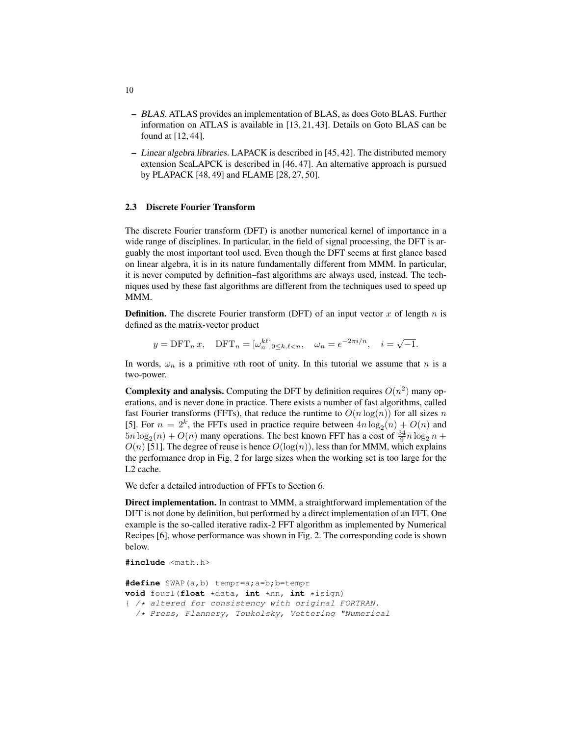- BLAS. ATLAS provides an implementation of BLAS, as does Goto BLAS. Further information on ATLAS is available in [13, 21, 43]. Details on Goto BLAS can be found at [12, 44].
- Linear algebra libraries. LAPACK is described in [45, 42]. The distributed memory extension ScaLAPCK is described in [46, 47]. An alternative approach is pursued by PLAPACK [48, 49] and FLAME [28, 27, 50].

#### 2.3 Discrete Fourier Transform

The discrete Fourier transform (DFT) is another numerical kernel of importance in a wide range of disciplines. In particular, in the field of signal processing, the DFT is arguably the most important tool used. Even though the DFT seems at first glance based on linear algebra, it is in its nature fundamentally different from MMM. In particular, it is never computed by definition–fast algorithms are always used, instead. The techniques used by these fast algorithms are different from the techniques used to speed up MMM.

**Definition.** The discrete Fourier transform (DFT) of an input vector x of length n is defined as the matrix-vector product

$$
y = \text{DFT}_n x
$$
,  $\text{DFT}_n = [\omega_n^{k\ell}]_{0 \le k,\ell < n}$ ,  $\omega_n = e^{-2\pi i/n}$ ,  $i = \sqrt{-1}$ .

In words,  $\omega_n$  is a primitive *n*th root of unity. In this tutorial we assume that *n* is a two-power.

**Complexity and analysis.** Computing the DFT by definition requires  $O(n^2)$  many operations, and is never done in practice. There exists a number of fast algorithms, called fast Fourier transforms (FFTs), that reduce the runtime to  $O(n \log(n))$  for all sizes n [5]. For  $n = 2<sup>k</sup>$ , the FFTs used in practice require between  $4n \log_2(n) + O(n)$  and  $5n \log_2(n) + O(n)$  many operations. The best known FFT has a cost of  $\frac{34}{9}n \log_2 n +$  $O(n)$  [51]. The degree of reuse is hence  $O(log(n))$ , less than for MMM, which explains the performance drop in Fig. 2 for large sizes when the working set is too large for the L2 cache.

We defer a detailed introduction of FFTs to Section 6.

Direct implementation. In contrast to MMM, a straightforward implementation of the DFT is not done by definition, but performed by a direct implementation of an FFT. One example is the so-called iterative radix-2 FFT algorithm as implemented by Numerical Recipes [6], whose performance was shown in Fig. 2. The corresponding code is shown below.

```
#include <math.h>
```

```
#define SWAP(a,b) tempr=a;a=b;b=tempr
void four1(float *data, int *nn, int *isign)
{ /* altered for consistency with original FORTRAN.
  /* Press, Flannery, Teukolsky, Vettering "Numerical
```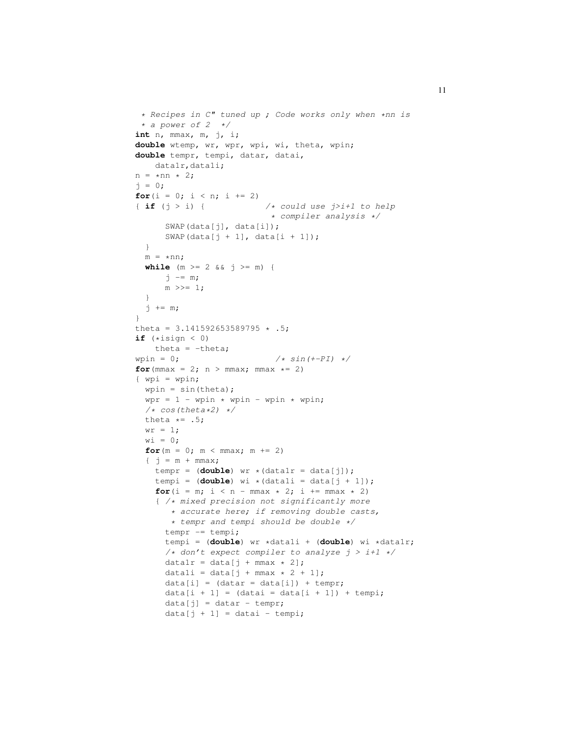```
* Recipes in C" tuned up ; Code works only when *nn is
 * a power of 2 */int n, mmax, m, j, i;
double wtemp, wr, wpr, wpi, wi, theta, wpin;
double tempr, tempi, datar, datai,
   data1r, data1i;
n = *nn * 2;j = 0;for(i = 0; i < n; i += 2)
{ if (j > i) { / * could use j>i+1 to help
                           * compiler analysis */
      SWAP(data[j], data[i]);
      SWAP(data[j + 1], data[i + 1]);
  }
 m = \star nn;while (m \ge 2 \&\&\ j \ge m) {
      j -= m;
     m \gg = 1;}
  j += m;
}
theta = 3.141592653589795 * .5;
if (*isign < 0)theta = -theta;
wpin = 0; /* sin (+-PI) */
for(mmax = 2; n > mmax; mmax \neq 2)
{wpi = wpin;wpin = sin(theta);
 wpr = 1 - wpin * wpin - wpin * wpin;/* \cos(theta*2) */
 theta *= .5;wr = 1;w_i = 0;for(m = 0; m < mmax; m == 2)
  \{ j = m + mmax; \}tempr = (double) wr * (data1r = data[j]);tempi = (double) wi * (data1i = data[j + 1]);for(i = m; i < n - mmax + 2; i += mmax + 2)
    { /* mixed precision not significantly more
       * accurate here; if removing double casts,
       * tempr and tempi should be double */
      tempr -= tempi;
      tempi = (double) wr *data1i + (double) wi *data1r;
      /* don't expect compiler to analyze j > i+1 */
      data1r = data[j + mmax * 2];
     datali = data[j + mmax * 2 + 1];
      data[i] = (datar = data[i]) + tempr;data[i + 1] = (datai = data[i + 1]) + tempi;data[j] = datar - tempr;data[j + 1] = datai - tempi;
```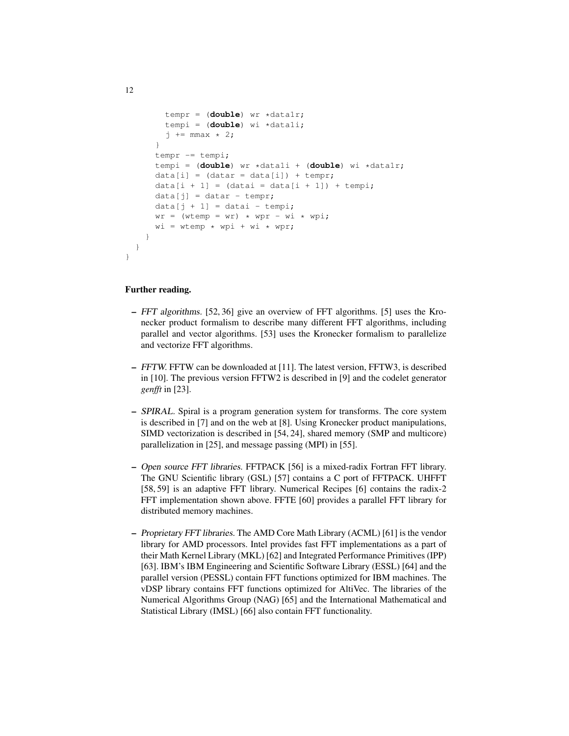```
tempr = (double) wr *data1r;tempi = (double) wi *data1i;
        j += mmax \star 2;
      }
      tempr -= tempi;
      tempi = (double) wr *data1i + (double) wi *data1r;
      data[i] = (datar = data[i]) + tempr;data[i + 1] = (datai = data[i + 1]) + tempi;data[j] = datar - tempr;data[j + 1] = datai - tempi;wr = (wtemp = wr) * wpr - wi * wpij;wi = wtemp * wpi + wi * wpr;}
 }
}
```
# Further reading.

- FFT algorithms. [52, 36] give an overview of FFT algorithms. [5] uses the Kronecker product formalism to describe many different FFT algorithms, including parallel and vector algorithms. [53] uses the Kronecker formalism to parallelize and vectorize FFT algorithms.
- FFTW. FFTW can be downloaded at [11]. The latest version, FFTW3, is described in [10]. The previous version FFTW2 is described in [9] and the codelet generator *genfft* in [23].
- SPIRAL. Spiral is a program generation system for transforms. The core system is described in [7] and on the web at [8]. Using Kronecker product manipulations, SIMD vectorization is described in [54, 24], shared memory (SMP and multicore) parallelization in [25], and message passing (MPI) in [55].
- Open source FFT libraries. FFTPACK [56] is a mixed-radix Fortran FFT library. The GNU Scientific library (GSL) [57] contains a C port of FFTPACK. UHFFT [58, 59] is an adaptive FFT library. Numerical Recipes [6] contains the radix-2 FFT implementation shown above. FFTE [60] provides a parallel FFT library for distributed memory machines.
- Proprietary FFT libraries. The AMD Core Math Library (ACML) [61] is the vendor library for AMD processors. Intel provides fast FFT implementations as a part of their Math Kernel Library (MKL) [62] and Integrated Performance Primitives (IPP) [63]. IBM's IBM Engineering and Scientific Software Library (ESSL) [64] and the parallel version (PESSL) contain FFT functions optimized for IBM machines. The vDSP library contains FFT functions optimized for AltiVec. The libraries of the Numerical Algorithms Group (NAG) [65] and the International Mathematical and Statistical Library (IMSL) [66] also contain FFT functionality.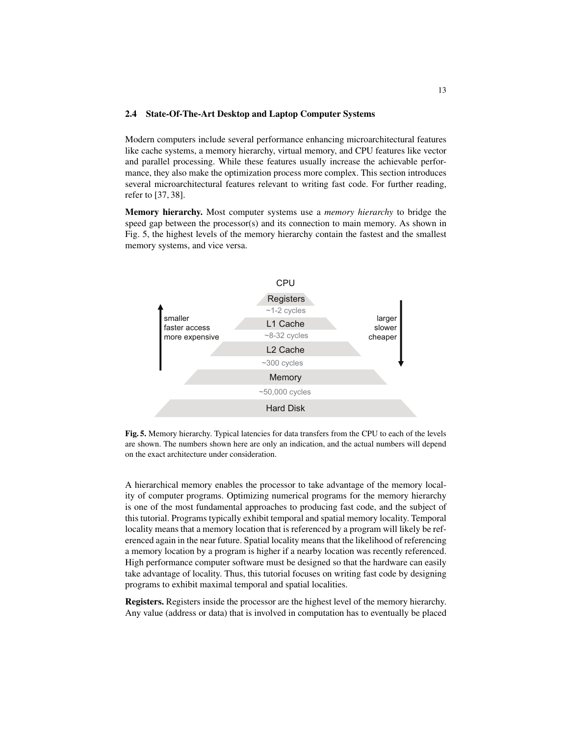#### 2.4 State-Of-The-Art Desktop and Laptop Computer Systems

Modern computers include several performance enhancing microarchitectural features like cache systems, a memory hierarchy, virtual memory, and CPU features like vector and parallel processing. While these features usually increase the achievable performance, they also make the optimization process more complex. This section introduces several microarchitectural features relevant to writing fast code. For further reading, refer to [37, 38].

Memory hierarchy. Most computer systems use a *memory hierarchy* to bridge the speed gap between the processor(s) and its connection to main memory. As shown in Fig. 5, the highest levels of the memory hierarchy contain the fastest and the smallest memory systems, and vice versa.



Fig. 5. Memory hierarchy. Typical latencies for data transfers from the CPU to each of the levels are shown. The numbers shown here are only an indication, and the actual numbers will depend on the exact architecture under consideration.

A hierarchical memory enables the processor to take advantage of the memory locality of computer programs. Optimizing numerical programs for the memory hierarchy is one of the most fundamental approaches to producing fast code, and the subject of this tutorial. Programs typically exhibit temporal and spatial memory locality. Temporal locality means that a memory location that is referenced by a program will likely be referenced again in the near future. Spatial locality means that the likelihood of referencing a memory location by a program is higher if a nearby location was recently referenced. High performance computer software must be designed so that the hardware can easily take advantage of locality. Thus, this tutorial focuses on writing fast code by designing programs to exhibit maximal temporal and spatial localities.

Registers. Registers inside the processor are the highest level of the memory hierarchy. Any value (address or data) that is involved in computation has to eventually be placed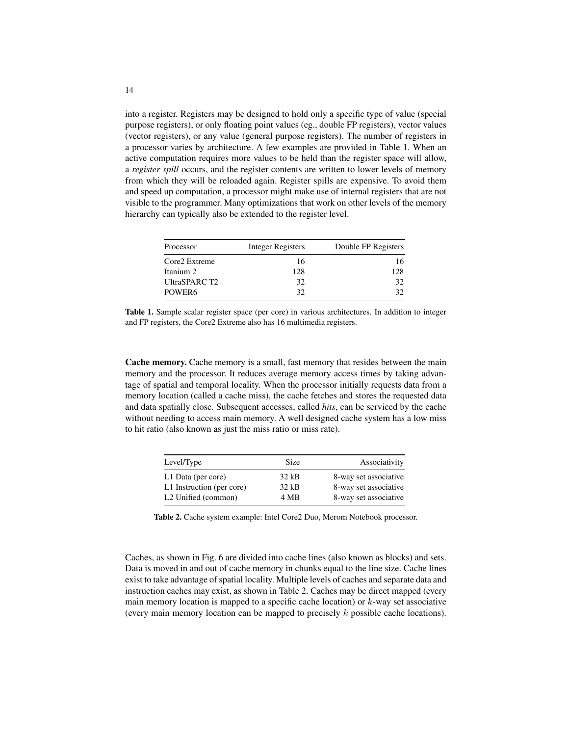into a register. Registers may be designed to hold only a specific type of value (special purpose registers), or only floating point values (eg., double FP registers), vector values (vector registers), or any value (general purpose registers). The number of registers in a processor varies by architecture. A few examples are provided in Table 1. When an active computation requires more values to be held than the register space will allow, a *register spill* occurs, and the register contents are written to lower levels of memory from which they will be reloaded again. Register spills are expensive. To avoid them and speed up computation, a processor might make use of internal registers that are not visible to the programmer. Many optimizations that work on other levels of the memory hierarchy can typically also be extended to the register level.

| Integer Registers | Double FP Registers |
|-------------------|---------------------|
| 16                | 16                  |
| 128               | 128                 |
| 32                | 32                  |
| 32                | 32                  |
|                   |                     |

Table 1. Sample scalar register space (per core) in various architectures. In addition to integer and FP registers, the Core2 Extreme also has 16 multimedia registers.

Cache memory. Cache memory is a small, fast memory that resides between the main memory and the processor. It reduces average memory access times by taking advantage of spatial and temporal locality. When the processor initially requests data from a memory location (called a cache miss), the cache fetches and stores the requested data and data spatially close. Subsequent accesses, called *hits*, can be serviced by the cache without needing to access main memory. A well designed cache system has a low miss to hit ratio (also known as just the miss ratio or miss rate).

| Level/Type                | Size    | Associativity         |
|---------------------------|---------|-----------------------|
| L1 Data (per core)        | $32$ kB | 8-way set associative |
| L1 Instruction (per core) | $32$ kB | 8-way set associative |
| L2 Unified (common)       | 4 MB    | 8-way set associative |

Table 2. Cache system example: Intel Core2 Duo, Merom Notebook processor.

Caches, as shown in Fig. 6 are divided into cache lines (also known as blocks) and sets. Data is moved in and out of cache memory in chunks equal to the line size. Cache lines exist to take advantage of spatial locality. Multiple levels of caches and separate data and instruction caches may exist, as shown in Table 2. Caches may be direct mapped (every main memory location is mapped to a specific cache location) or  $k$ -way set associative (every main memory location can be mapped to precisely k possible cache locations).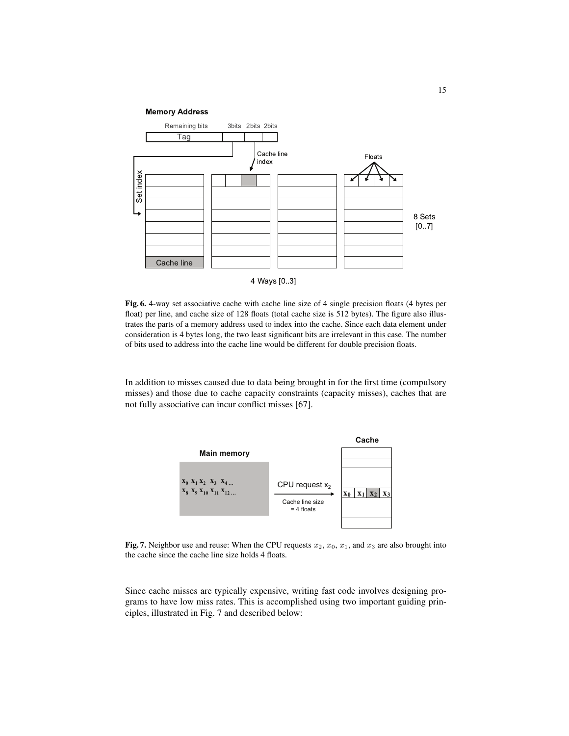### Memory Address





Fig. 6. 4-way set associative cache with cache line size of 4 single precision floats (4 bytes per float) per line, and cache size of 128 floats (total cache size is 512 bytes). The figure also illustrates the parts of a memory address used to index into the cache. Since each data element under consideration is 4 bytes long, the two least significant bits are irrelevant in this case. The number of bits used to address into the cache line would be different for double precision floats.

In addition to misses caused due to data being brought in for the first time (compulsory misses) and those due to cache capacity constraints (capacity misses), caches that are not fully associative can incur conflict misses [67].



Fig. 7. Neighbor use and reuse: When the CPU requests  $x_2$ ,  $x_0$ ,  $x_1$ , and  $x_3$  are also brought into the cache since the cache line size holds 4 floats.

Since cache misses are typically expensive, writing fast code involves designing programs to have low miss rates. This is accomplished using two important guiding principles, illustrated in Fig. 7 and described below: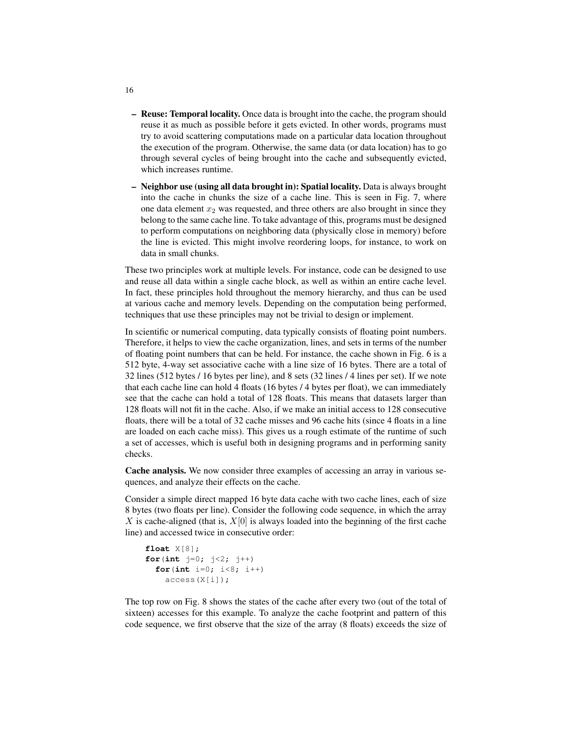- Reuse: Temporal locality. Once data is brought into the cache, the program should reuse it as much as possible before it gets evicted. In other words, programs must try to avoid scattering computations made on a particular data location throughout the execution of the program. Otherwise, the same data (or data location) has to go through several cycles of being brought into the cache and subsequently evicted, which increases runtime.
- Neighbor use (using all data brought in): Spatial locality. Data is always brought into the cache in chunks the size of a cache line. This is seen in Fig. 7, where one data element  $x_2$  was requested, and three others are also brought in since they belong to the same cache line. To take advantage of this, programs must be designed to perform computations on neighboring data (physically close in memory) before the line is evicted. This might involve reordering loops, for instance, to work on data in small chunks.

These two principles work at multiple levels. For instance, code can be designed to use and reuse all data within a single cache block, as well as within an entire cache level. In fact, these principles hold throughout the memory hierarchy, and thus can be used at various cache and memory levels. Depending on the computation being performed, techniques that use these principles may not be trivial to design or implement.

In scientific or numerical computing, data typically consists of floating point numbers. Therefore, it helps to view the cache organization, lines, and sets in terms of the number of floating point numbers that can be held. For instance, the cache shown in Fig. 6 is a 512 byte, 4-way set associative cache with a line size of 16 bytes. There are a total of 32 lines (512 bytes / 16 bytes per line), and 8 sets (32 lines / 4 lines per set). If we note that each cache line can hold 4 floats (16 bytes / 4 bytes per float), we can immediately see that the cache can hold a total of 128 floats. This means that datasets larger than 128 floats will not fit in the cache. Also, if we make an initial access to 128 consecutive floats, there will be a total of 32 cache misses and 96 cache hits (since 4 floats in a line are loaded on each cache miss). This gives us a rough estimate of the runtime of such a set of accesses, which is useful both in designing programs and in performing sanity checks.

Cache analysis. We now consider three examples of accessing an array in various sequences, and analyze their effects on the cache.

Consider a simple direct mapped 16 byte data cache with two cache lines, each of size 8 bytes (two floats per line). Consider the following code sequence, in which the array X is cache-aligned (that is,  $X[0]$  is always loaded into the beginning of the first cache line) and accessed twice in consecutive order:

```
float X[8];
for(int j=0; j<2; j++)
 for(int i=0; i<8; i++)
    access(X[i]);
```
The top row on Fig. 8 shows the states of the cache after every two (out of the total of sixteen) accesses for this example. To analyze the cache footprint and pattern of this code sequence, we first observe that the size of the array (8 floats) exceeds the size of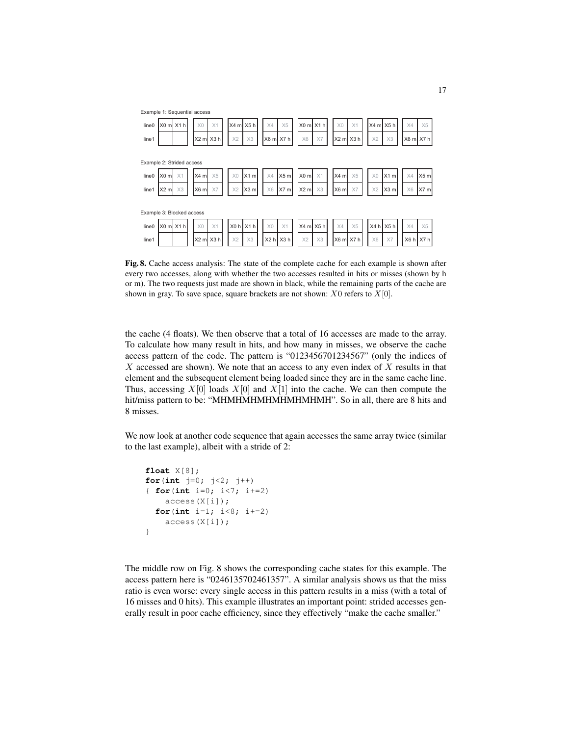Example 1: Sequential access

| line <sub>0</sub><br>line1 | $X0$ m $X1$ h  |                           | X <sub>0</sub><br>$X2$ m $X3$ h | X1             | $X4$ m $X5$ h<br>X <sub>2</sub> | X3              | X4             | X5<br>X6 m X7 h | $X0$ m $X1$ h<br>X6 | X7 | X <sub>0</sub><br>$X2$ m $X3$ h | X1             | X <sub>2</sub> | $X4$ m $X5$ h<br>X3 | X4<br>X6 m X7 h | X5        |
|----------------------------|----------------|---------------------------|---------------------------------|----------------|---------------------------------|-----------------|----------------|-----------------|---------------------|----|---------------------------------|----------------|----------------|---------------------|-----------------|-----------|
|                            |                | Example 2: Strided access |                                 |                |                                 |                 |                |                 |                     |    |                                 |                |                |                     |                 |           |
| line <sub>0</sub>          | $X0$ m         | X1                        | $X4$ m                          | X <sub>5</sub> | X <sub>0</sub>                  | X1 <sub>m</sub> | X4             | X5m             | X0 <sub>m</sub>     | X1 | $X4$ m                          | X <sub>5</sub> | X <sub>0</sub> | X1 <sub>m</sub>     | X4              | X5m       |
| line1                      | $X2 \text{ m}$ | X3                        | X6 m                            | X7             | X2                              | X3 m            | X6             | X7 m            | X2m                 | X3 | X6 m                            | X7             | X2             | X3 m                | X <sub>6</sub>  | X7 m      |
|                            |                | Example 3: Blocked access |                                 |                |                                 |                 |                |                 |                     |    |                                 |                |                |                     |                 |           |
| line <sub>0</sub>          | $X0$ m $X1$ h  |                           | X <sub>0</sub>                  | X1             |                                 | $X0 h$ $X1 h$   | X <sub>0</sub> | X1              | X4 m X5 h           |    | X4                              | X <sub>5</sub> |                | $X4 h$ $X5 h$       | X4              | X5        |
| line1                      |                |                           | $X2$ m $X3$ h                   |                | X <sub>2</sub>                  | X3              |                | $X2 h$ $X3 h$   | X <sub>2</sub>      | X3 | X6 m X7 h                       |                | X <sub>6</sub> | X7                  |                 | $X6h$ X7h |

Fig. 8. Cache access analysis: The state of the complete cache for each example is shown after every two accesses, along with whether the two accesses resulted in hits or misses (shown by h or m). The two requests just made are shown in black, while the remaining parts of the cache are shown in gray. To save space, square brackets are not shown:  $X0$  refers to  $X[0]$ .

the cache (4 floats). We then observe that a total of 16 accesses are made to the array. To calculate how many result in hits, and how many in misses, we observe the cache access pattern of the code. The pattern is "0123456701234567" (only the indices of  $X$  accessed are shown). We note that an access to any even index of  $X$  results in that element and the subsequent element being loaded since they are in the same cache line. Thus, accessing  $X[0]$  loads  $X[0]$  and  $X[1]$  into the cache. We can then compute the hit/miss pattern to be: "MHMHMHMHMHMHMHMH". So in all, there are 8 hits and 8 misses.

We now look at another code sequence that again accesses the same array twice (similar to the last example), albeit with a stride of 2:

```
float X[8];
for(int j=0; j<2; j++)
{ for(int i=0; i<7; i+=2)
    access(X[i]);
 for(int i=1; i<8; i+=2)
    access(X[i]);
}
```
The middle row on Fig. 8 shows the corresponding cache states for this example. The access pattern here is "0246135702461357". A similar analysis shows us that the miss ratio is even worse: every single access in this pattern results in a miss (with a total of 16 misses and 0 hits). This example illustrates an important point: strided accesses generally result in poor cache efficiency, since they effectively "make the cache smaller."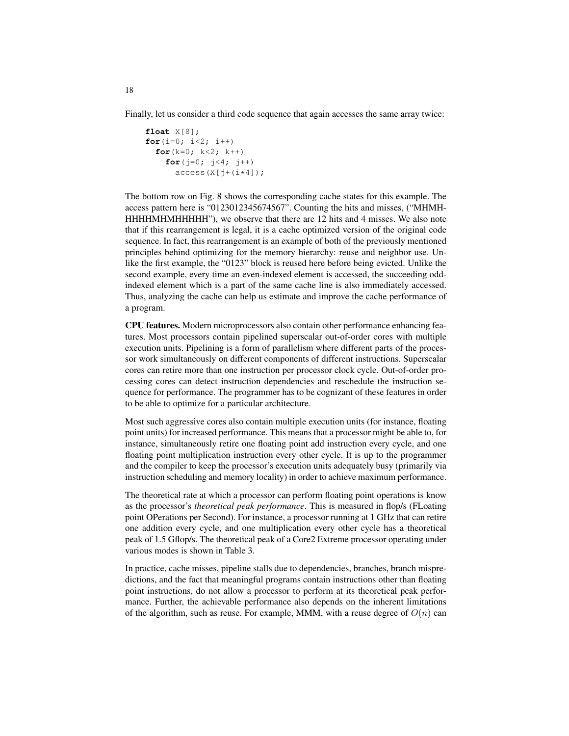Finally, let us consider a third code sequence that again accesses the same array twice:

```
float X[8];
for(i=0; i<2; i++)
  for(k=0; k<2; k++)
    for(j=0; j<4; j++)
      access(X[j+(i*4]);
```
The bottom row on Fig. 8 shows the corresponding cache states for this example. The access pattern here is "0123012345674567". Counting the hits and misses, ("MHMH-HHHHMHMHHHHH"), we observe that there are 12 hits and 4 misses. We also note that if this rearrangement is legal, it is a cache optimized version of the original code sequence. In fact, this rearrangement is an example of both of the previously mentioned principles behind optimizing for the memory hierarchy: reuse and neighbor use. Unlike the first example, the "0123" block is reused here before being evicted. Unlike the second example, every time an even-indexed element is accessed, the succeeding oddindexed element which is a part of the same cache line is also immediately accessed. Thus, analyzing the cache can help us estimate and improve the cache performance of a program.

CPU features. Modern microprocessors also contain other performance enhancing features. Most processors contain pipelined superscalar out-of-order cores with multiple execution units. Pipelining is a form of parallelism where different parts of the processor work simultaneously on different components of different instructions. Superscalar cores can retire more than one instruction per processor clock cycle. Out-of-order processing cores can detect instruction dependencies and reschedule the instruction sequence for performance. The programmer has to be cognizant of these features in order to be able to optimize for a particular architecture.

Most such aggressive cores also contain multiple execution units (for instance, floating point units) for increased performance. This means that a processor might be able to, for instance, simultaneously retire one floating point add instruction every cycle, and one floating point multiplication instruction every other cycle. It is up to the programmer and the compiler to keep the processor's execution units adequately busy (primarily via instruction scheduling and memory locality) in order to achieve maximum performance.

The theoretical rate at which a processor can perform floating point operations is know as the processor's *theoretical peak performance*. This is measured in flop/s (FLoating point OPerations per Second). For instance, a processor running at 1 GHz that can retire one addition every cycle, and one multiplication every other cycle has a theoretical peak of 1.5 Gflop/s. The theoretical peak of a Core2 Extreme processor operating under various modes is shown in Table 3.

In practice, cache misses, pipeline stalls due to dependencies, branches, branch mispredictions, and the fact that meaningful programs contain instructions other than floating point instructions, do not allow a processor to perform at its theoretical peak performance. Further, the achievable performance also depends on the inherent limitations of the algorithm, such as reuse. For example, MMM, with a reuse degree of  $O(n)$  can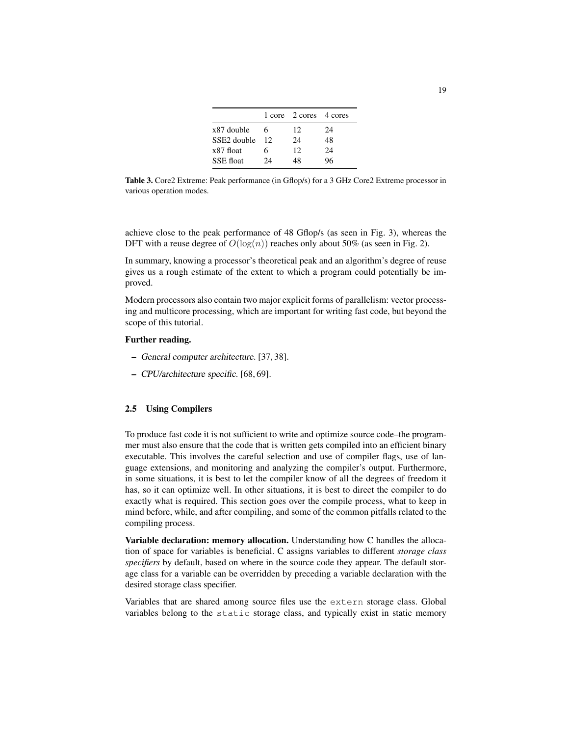|             |    | 1 core 2 cores 4 cores |    |
|-------------|----|------------------------|----|
| x87 double  | 6. | 12                     | 24 |
| SSE2 double | 12 | 24                     | 48 |
| x87 float   | 6  | 12                     | 24 |
| SSE float   | 24 | 48                     | 96 |

Table 3. Core2 Extreme: Peak performance (in Gflop/s) for a 3 GHz Core2 Extreme processor in various operation modes.

achieve close to the peak performance of 48 Gflop/s (as seen in Fig. 3), whereas the DFT with a reuse degree of  $O(log(n))$  reaches only about 50% (as seen in Fig. 2).

In summary, knowing a processor's theoretical peak and an algorithm's degree of reuse gives us a rough estimate of the extent to which a program could potentially be improved.

Modern processors also contain two major explicit forms of parallelism: vector processing and multicore processing, which are important for writing fast code, but beyond the scope of this tutorial.

### Further reading.

- General computer architecture. [37, 38].
- CPU/architecture specific. [68, 69].

### 2.5 Using Compilers

To produce fast code it is not sufficient to write and optimize source code–the programmer must also ensure that the code that is written gets compiled into an efficient binary executable. This involves the careful selection and use of compiler flags, use of language extensions, and monitoring and analyzing the compiler's output. Furthermore, in some situations, it is best to let the compiler know of all the degrees of freedom it has, so it can optimize well. In other situations, it is best to direct the compiler to do exactly what is required. This section goes over the compile process, what to keep in mind before, while, and after compiling, and some of the common pitfalls related to the compiling process.

Variable declaration: memory allocation. Understanding how C handles the allocation of space for variables is beneficial. C assigns variables to different *storage class specifiers* by default, based on where in the source code they appear. The default storage class for a variable can be overridden by preceding a variable declaration with the desired storage class specifier.

Variables that are shared among source files use the extern storage class. Global variables belong to the static storage class, and typically exist in static memory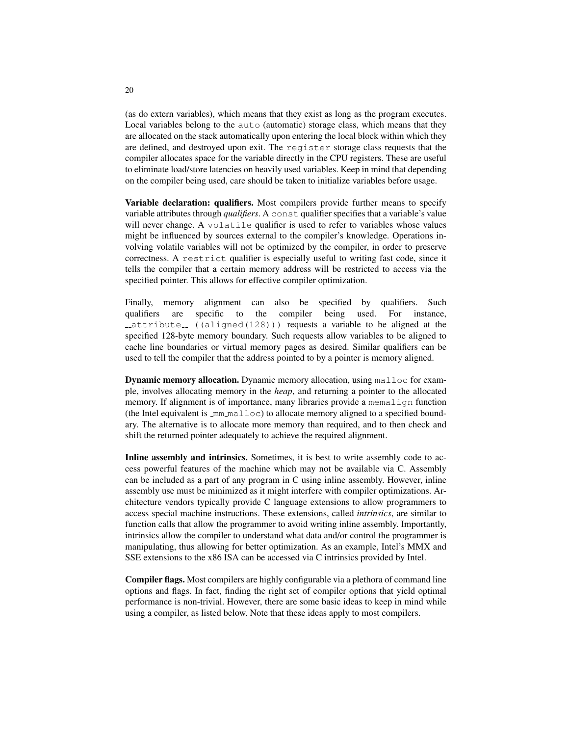(as do extern variables), which means that they exist as long as the program executes. Local variables belong to the auto (automatic) storage class, which means that they are allocated on the stack automatically upon entering the local block within which they are defined, and destroyed upon exit. The register storage class requests that the compiler allocates space for the variable directly in the CPU registers. These are useful to eliminate load/store latencies on heavily used variables. Keep in mind that depending on the compiler being used, care should be taken to initialize variables before usage.

Variable declaration: qualifiers. Most compilers provide further means to specify variable attributes through *qualifiers*. A const qualifier specifies that a variable's value will never change. A volatile qualifier is used to refer to variables whose values might be influenced by sources external to the compiler's knowledge. Operations involving volatile variables will not be optimized by the compiler, in order to preserve correctness. A restrict qualifier is especially useful to writing fast code, since it tells the compiler that a certain memory address will be restricted to access via the specified pointer. This allows for effective compiler optimization.

Finally, memory alignment can also be specified by qualifiers. Such qualifiers are specific to the compiler being used. For instance, \_\_attribute\_\_ ((aligned(128))) requests a variable to be aligned at the specified 128-byte memory boundary. Such requests allow variables to be aligned to cache line boundaries or virtual memory pages as desired. Similar qualifiers can be used to tell the compiler that the address pointed to by a pointer is memory aligned.

**Dynamic memory allocation.** Dynamic memory allocation, using malloc for example, involves allocating memory in the *heap*, and returning a pointer to the allocated memory. If alignment is of importance, many libraries provide a memalign function (the Intel equivalent is  $\text{mm\_malloc}$ ) to allocate memory aligned to a specified boundary. The alternative is to allocate more memory than required, and to then check and shift the returned pointer adequately to achieve the required alignment.

Inline assembly and intrinsics. Sometimes, it is best to write assembly code to access powerful features of the machine which may not be available via C. Assembly can be included as a part of any program in C using inline assembly. However, inline assembly use must be minimized as it might interfere with compiler optimizations. Architecture vendors typically provide C language extensions to allow programmers to access special machine instructions. These extensions, called *intrinsics*, are similar to function calls that allow the programmer to avoid writing inline assembly. Importantly, intrinsics allow the compiler to understand what data and/or control the programmer is manipulating, thus allowing for better optimization. As an example, Intel's MMX and SSE extensions to the x86 ISA can be accessed via C intrinsics provided by Intel.

Compiler flags. Most compilers are highly configurable via a plethora of command line options and flags. In fact, finding the right set of compiler options that yield optimal performance is non-trivial. However, there are some basic ideas to keep in mind while using a compiler, as listed below. Note that these ideas apply to most compilers.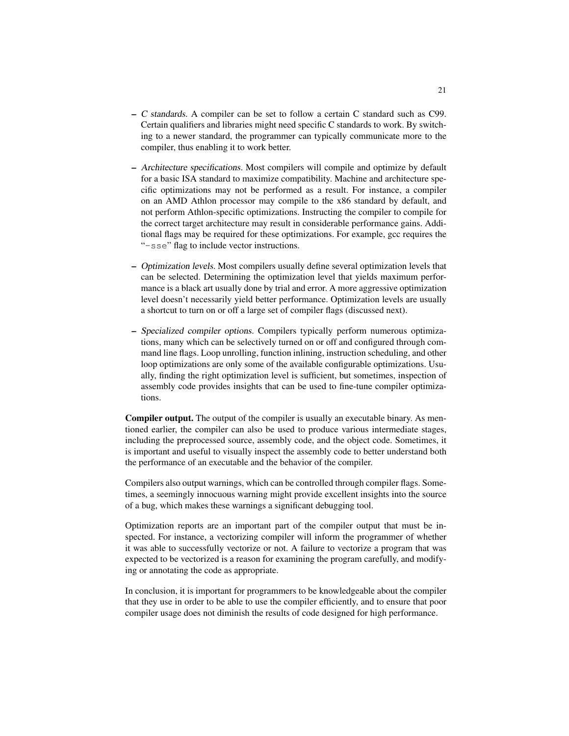- <sup>C</sup> standards. A compiler can be set to follow a certain C standard such as C99. Certain qualifiers and libraries might need specific C standards to work. By switching to a newer standard, the programmer can typically communicate more to the compiler, thus enabling it to work better.
- Architecture specifications. Most compilers will compile and optimize by default for a basic ISA standard to maximize compatibility. Machine and architecture specific optimizations may not be performed as a result. For instance, a compiler on an AMD Athlon processor may compile to the x86 standard by default, and not perform Athlon-specific optimizations. Instructing the compiler to compile for the correct target architecture may result in considerable performance gains. Additional flags may be required for these optimizations. For example, gcc requires the "-sse" flag to include vector instructions.
- Optimization levels. Most compilers usually define several optimization levels that can be selected. Determining the optimization level that yields maximum performance is a black art usually done by trial and error. A more aggressive optimization level doesn't necessarily yield better performance. Optimization levels are usually a shortcut to turn on or off a large set of compiler flags (discussed next).
- Specialized compiler options. Compilers typically perform numerous optimizations, many which can be selectively turned on or off and configured through command line flags. Loop unrolling, function inlining, instruction scheduling, and other loop optimizations are only some of the available configurable optimizations. Usually, finding the right optimization level is sufficient, but sometimes, inspection of assembly code provides insights that can be used to fine-tune compiler optimizations.

Compiler output. The output of the compiler is usually an executable binary. As mentioned earlier, the compiler can also be used to produce various intermediate stages, including the preprocessed source, assembly code, and the object code. Sometimes, it is important and useful to visually inspect the assembly code to better understand both the performance of an executable and the behavior of the compiler.

Compilers also output warnings, which can be controlled through compiler flags. Sometimes, a seemingly innocuous warning might provide excellent insights into the source of a bug, which makes these warnings a significant debugging tool.

Optimization reports are an important part of the compiler output that must be inspected. For instance, a vectorizing compiler will inform the programmer of whether it was able to successfully vectorize or not. A failure to vectorize a program that was expected to be vectorized is a reason for examining the program carefully, and modifying or annotating the code as appropriate.

In conclusion, it is important for programmers to be knowledgeable about the compiler that they use in order to be able to use the compiler efficiently, and to ensure that poor compiler usage does not diminish the results of code designed for high performance.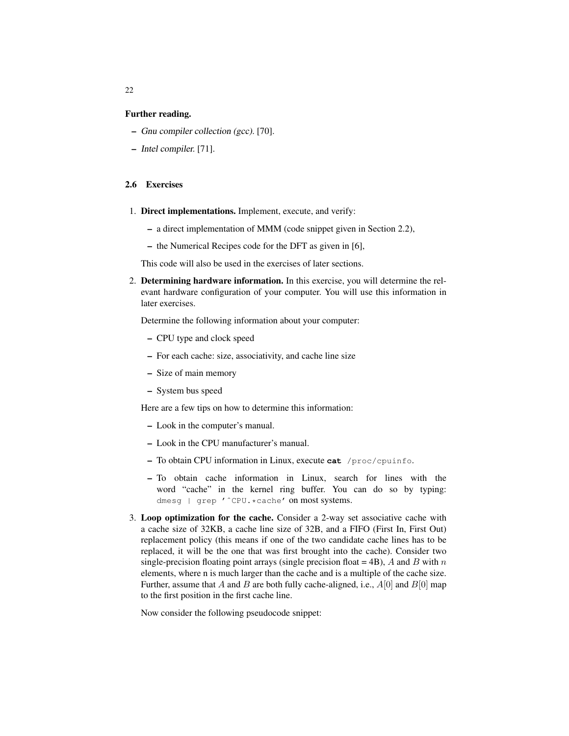#### Further reading.

- Gnu compiler collection (gcc). [70].
- Intel compiler. [71].

# 2.6 Exercises

- 1. Direct implementations. Implement, execute, and verify:
	- a direct implementation of MMM (code snippet given in Section 2.2),
	- the Numerical Recipes code for the DFT as given in [6],

This code will also be used in the exercises of later sections.

2. Determining hardware information. In this exercise, you will determine the relevant hardware configuration of your computer. You will use this information in later exercises.

Determine the following information about your computer:

- CPU type and clock speed
- For each cache: size, associativity, and cache line size
- Size of main memory
- System bus speed

Here are a few tips on how to determine this information:

- Look in the computer's manual.
- Look in the CPU manufacturer's manual.
- To obtain CPU information in Linux, execute **cat** /proc/cpuinfo.
- To obtain cache information in Linux, search for lines with the word "cache" in the kernel ring buffer. You can do so by typing: dmesg | grep '<sup>^</sup>CPU.\*cache' on most systems.
- 3. Loop optimization for the cache. Consider a 2-way set associative cache with a cache size of 32KB, a cache line size of 32B, and a FIFO (First In, First Out) replacement policy (this means if one of the two candidate cache lines has to be replaced, it will be the one that was first brought into the cache). Consider two single-precision floating point arrays (single precision float = 4B),  $A$  and  $B$  with  $n$ elements, where n is much larger than the cache and is a multiple of the cache size. Further, assume that A and B are both fully cache-aligned, i.e.,  $A[0]$  and  $B[0]$  map to the first position in the first cache line.

Now consider the following pseudocode snippet: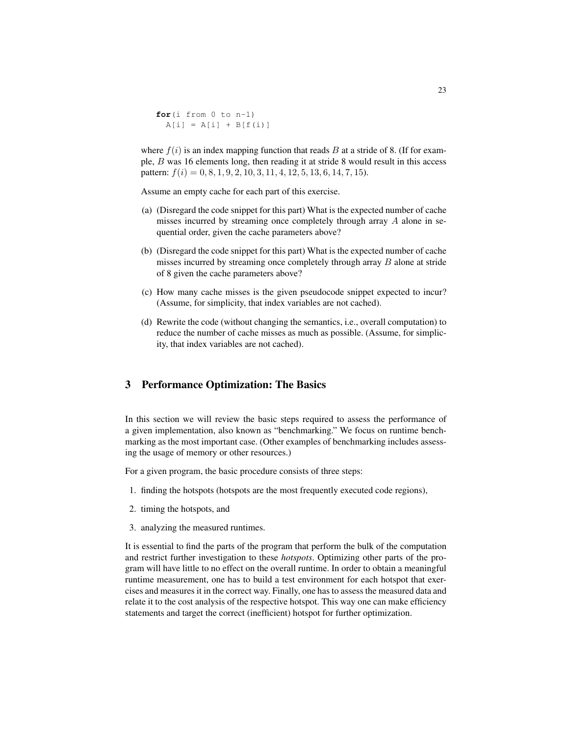**for**(i from 0 to n-1)  $A[i] = A[i] + B[f(i)]$ 

where  $f(i)$  is an index mapping function that reads B at a stride of 8. (If for example, B was 16 elements long, then reading it at stride 8 would result in this access pattern:  $f(i) = 0, 8, 1, 9, 2, 10, 3, 11, 4, 12, 5, 13, 6, 14, 7, 15$ .

Assume an empty cache for each part of this exercise.

- (a) (Disregard the code snippet for this part) What is the expected number of cache misses incurred by streaming once completely through array A alone in sequential order, given the cache parameters above?
- (b) (Disregard the code snippet for this part) What is the expected number of cache misses incurred by streaming once completely through array B alone at stride of 8 given the cache parameters above?
- (c) How many cache misses is the given pseudocode snippet expected to incur? (Assume, for simplicity, that index variables are not cached).
- (d) Rewrite the code (without changing the semantics, i.e., overall computation) to reduce the number of cache misses as much as possible. (Assume, for simplicity, that index variables are not cached).

# 3 Performance Optimization: The Basics

In this section we will review the basic steps required to assess the performance of a given implementation, also known as "benchmarking." We focus on runtime benchmarking as the most important case. (Other examples of benchmarking includes assessing the usage of memory or other resources.)

For a given program, the basic procedure consists of three steps:

- 1. finding the hotspots (hotspots are the most frequently executed code regions),
- 2. timing the hotspots, and
- 3. analyzing the measured runtimes.

It is essential to find the parts of the program that perform the bulk of the computation and restrict further investigation to these *hotspots*. Optimizing other parts of the program will have little to no effect on the overall runtime. In order to obtain a meaningful runtime measurement, one has to build a test environment for each hotspot that exercises and measures it in the correct way. Finally, one has to assess the measured data and relate it to the cost analysis of the respective hotspot. This way one can make efficiency statements and target the correct (inefficient) hotspot for further optimization.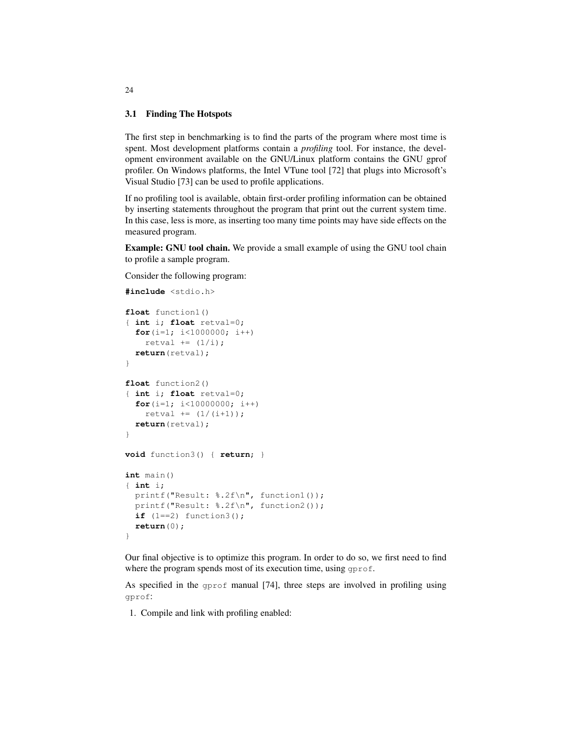#### 3.1 Finding The Hotspots

The first step in benchmarking is to find the parts of the program where most time is spent. Most development platforms contain a *profiling* tool. For instance, the development environment available on the GNU/Linux platform contains the GNU gprof profiler. On Windows platforms, the Intel VTune tool [72] that plugs into Microsoft's Visual Studio [73] can be used to profile applications.

If no profiling tool is available, obtain first-order profiling information can be obtained by inserting statements throughout the program that print out the current system time. In this case, less is more, as inserting too many time points may have side effects on the measured program.

**Example: GNU tool chain.** We provide a small example of using the GNU tool chain to profile a sample program.

Consider the following program:

```
#include <stdio.h>
float function1()
{ int i; float retval=0;
  for(i=1; i<1000000; i++)
   retval += (1/i);return(retval);
}
float function2()
{ int i; float retval=0;
  for(i=1; i<10000000; i++)retval += (1/(i+1));return(retval);
}
void function3() { return; }
int main()
{ int i;
  printf("Result: %.2f\n", function1());
  printf("Result: %.2f\n", function2());
  if (1==2) function3();
  return(0);
}
```
Our final objective is to optimize this program. In order to do so, we first need to find where the program spends most of its execution time, using  $q$ prof.

As specified in the gprof manual [74], three steps are involved in profiling using gprof:

1. Compile and link with profiling enabled: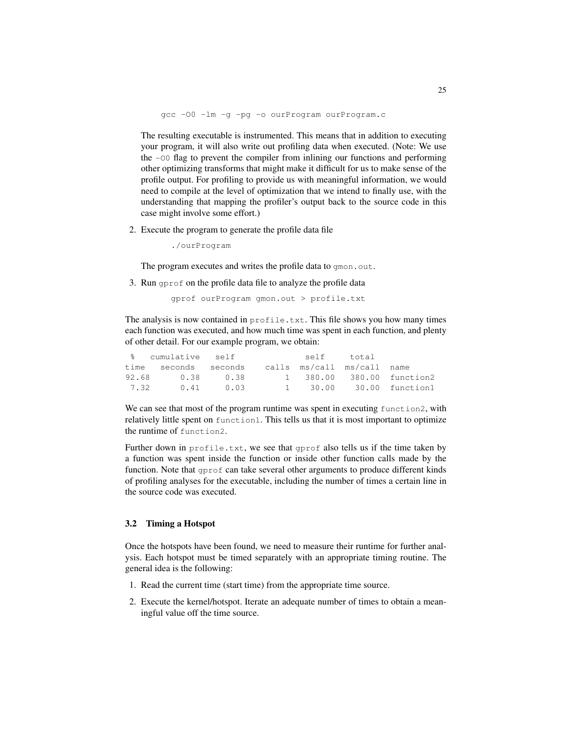gcc -O0 -lm -g -pg -o ourProgram ourProgram.c

The resulting executable is instrumented. This means that in addition to executing your program, it will also write out profiling data when executed. (Note: We use the -O0 flag to prevent the compiler from inlining our functions and performing other optimizing transforms that might make it difficult for us to make sense of the profile output. For profiling to provide us with meaningful information, we would need to compile at the level of optimization that we intend to finally use, with the understanding that mapping the profiler's output back to the source code in this case might involve some effort.)

2. Execute the program to generate the profile data file

./ourProgram

The program executes and writes the profile data to qmon.out.

3. Run gprof on the profile data file to analyze the profile data

gprof ourProgram gmon.out > profile.txt

The analysis is now contained in profile.txt. This file shows you how many times each function was executed, and how much time was spent in each function, and plenty of other detail. For our example program, we obtain:

| % cumulative self                               |  | self total |                         |
|-------------------------------------------------|--|------------|-------------------------|
| time seconds seconds calls ms/call ms/call name |  |            |                         |
| 92.68 0.38 0.38 1 380.00 380.00 function2       |  |            |                         |
| 7.32 0.41 0.03                                  |  |            | 1 30.00 30.00 function1 |

We can see that most of the program runtime was spent in executing function2, with relatively little spent on function1. This tells us that it is most important to optimize the runtime of function2.

Further down in profile.txt, we see that gprof also tells us if the time taken by a function was spent inside the function or inside other function calls made by the function. Note that gprof can take several other arguments to produce different kinds of profiling analyses for the executable, including the number of times a certain line in the source code was executed.

### 3.2 Timing a Hotspot

Once the hotspots have been found, we need to measure their runtime for further analysis. Each hotspot must be timed separately with an appropriate timing routine. The general idea is the following:

- 1. Read the current time (start time) from the appropriate time source.
- 2. Execute the kernel/hotspot. Iterate an adequate number of times to obtain a meaningful value off the time source.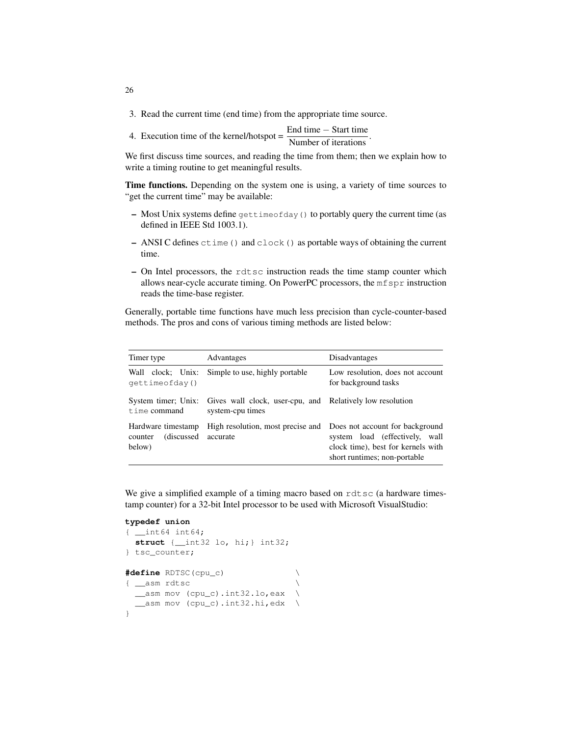- 3. Read the current time (end time) from the appropriate time source.
- 4. Execution time of the kernel/hotspot =  $\frac{\text{End time} \text{Start time}}{\text{Number of iterations}}$ .

We first discuss time sources, and reading the time from them; then we explain how to write a timing routine to get meaningful results.

Time functions. Depending on the system one is using, a variety of time sources to "get the current time" may be available:

- Most Unix systems define gettimeofday() to portably query the current time (as defined in IEEE Std 1003.1).
- ANSI C defines ctime() and clock() as portable ways of obtaining the current time.
- On Intel processors, the rdtsc instruction reads the time stamp counter which allows near-cycle accurate timing. On PowerPC processors, the mfspr instruction reads the time-base register.

Generally, portable time functions have much less precision than cycle-counter-based methods. The pros and cons of various timing methods are listed below:

| Timer type                                             | Advantages                                                                                        | Disadvantages                                                                                        |  |  |
|--------------------------------------------------------|---------------------------------------------------------------------------------------------------|------------------------------------------------------------------------------------------------------|--|--|
| qettimeofday()                                         | Wall clock; Unix: Simple to use, highly portable                                                  | Low resolution, does not account<br>for background tasks                                             |  |  |
| time command                                           | System timer; Unix: Gives wall clock, user-cpu, and Relatively low resolution<br>system-cpu times |                                                                                                      |  |  |
| Hardware timestamp<br>(discussed)<br>counter<br>below) | High resolution, most precise and Does not account for background<br>accurate                     | system load (effectively, wall<br>clock time), best for kernels with<br>short runtimes; non-portable |  |  |

We give a simplified example of a timing macro based on rdtsc (a hardware timestamp counter) for a 32-bit Intel processor to be used with Microsoft VisualStudio:

```
typedef union
```

```
{ __int64 int64;
 struct {__int32 lo, hi;} int32;
} tsc_counter;
#define RDTSC(cpu_c) \
\{ __asm rdtsc \setminus__asm mov (cpu_c).int32.lo,eax \
 __asm mov (cpu_c).int32.hi,edx \
}
```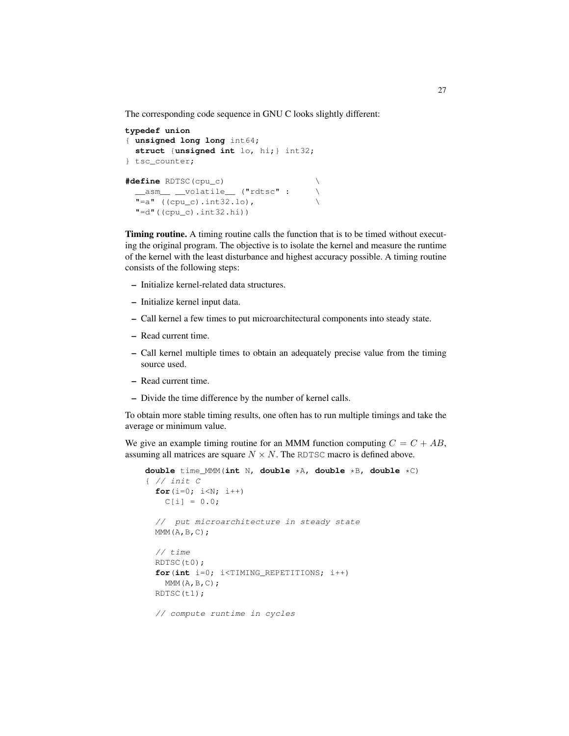The corresponding code sequence in GNU C looks slightly different:

```
typedef union
{ unsigned long long int64;
 struct {unsigned int lo, hi;} int32;
} tsc_counter;
#define RDTSC(cpu_c) \
  __asm__ __volatile__ ("rdtsc" : \
  "=a" ((cpu_c).int32.lo),
 "=d"((cpu_c).int32.hi))
```
Timing routine. A timing routine calls the function that is to be timed without executing the original program. The objective is to isolate the kernel and measure the runtime of the kernel with the least disturbance and highest accuracy possible. A timing routine consists of the following steps:

- Initialize kernel-related data structures.
- Initialize kernel input data.
- Call kernel a few times to put microarchitectural components into steady state.
- Read current time.
- Call kernel multiple times to obtain an adequately precise value from the timing source used.
- Read current time.
- Divide the time difference by the number of kernel calls.

To obtain more stable timing results, one often has to run multiple timings and take the average or minimum value.

We give an example timing routine for an MMM function computing  $C = C + AB$ , assuming all matrices are square  $N \times N$ . The RDTSC macro is defined above.

```
double time_MMM(int N, double *A, double *B, double *C)
{ // init C
  for(i=0; i<N; i++)
   C[i] = 0.0;// put microarchitecture in steady state
 MMM(A, B, C);
  // time
 RDTSC(t0);
 for(int i=0; i<TIMING_REPETITIONS; i++)
   MMM(A, B, C);
 RDTSC(t1);
  // compute runtime in cycles
```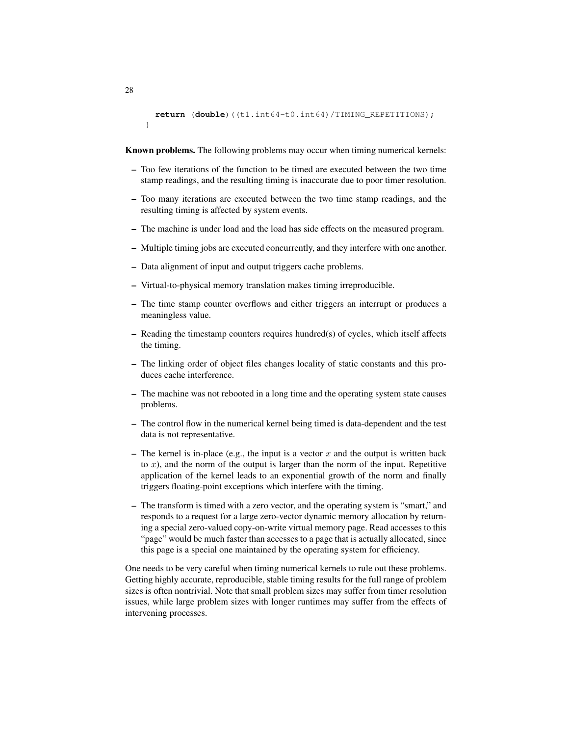```
return (double)((t1.int64-t0.int64)/TIMING_REPETITIONS);
}
```
Known problems. The following problems may occur when timing numerical kernels:

- Too few iterations of the function to be timed are executed between the two time stamp readings, and the resulting timing is inaccurate due to poor timer resolution.
- Too many iterations are executed between the two time stamp readings, and the resulting timing is affected by system events.
- The machine is under load and the load has side effects on the measured program.
- Multiple timing jobs are executed concurrently, and they interfere with one another.
- Data alignment of input and output triggers cache problems.
- Virtual-to-physical memory translation makes timing irreproducible.
- The time stamp counter overflows and either triggers an interrupt or produces a meaningless value.
- Reading the timestamp counters requires hundred(s) of cycles, which itself affects the timing.
- The linking order of object files changes locality of static constants and this produces cache interference.
- The machine was not rebooted in a long time and the operating system state causes problems.
- The control flow in the numerical kernel being timed is data-dependent and the test data is not representative.
- The kernel is in-place (e.g., the input is a vector  $x$  and the output is written back to  $x$ ), and the norm of the output is larger than the norm of the input. Repetitive application of the kernel leads to an exponential growth of the norm and finally triggers floating-point exceptions which interfere with the timing.
- The transform is timed with a zero vector, and the operating system is "smart," and responds to a request for a large zero-vector dynamic memory allocation by returning a special zero-valued copy-on-write virtual memory page. Read accesses to this "page" would be much faster than accesses to a page that is actually allocated, since this page is a special one maintained by the operating system for efficiency.

One needs to be very careful when timing numerical kernels to rule out these problems. Getting highly accurate, reproducible, stable timing results for the full range of problem sizes is often nontrivial. Note that small problem sizes may suffer from timer resolution issues, while large problem sizes with longer runtimes may suffer from the effects of intervening processes.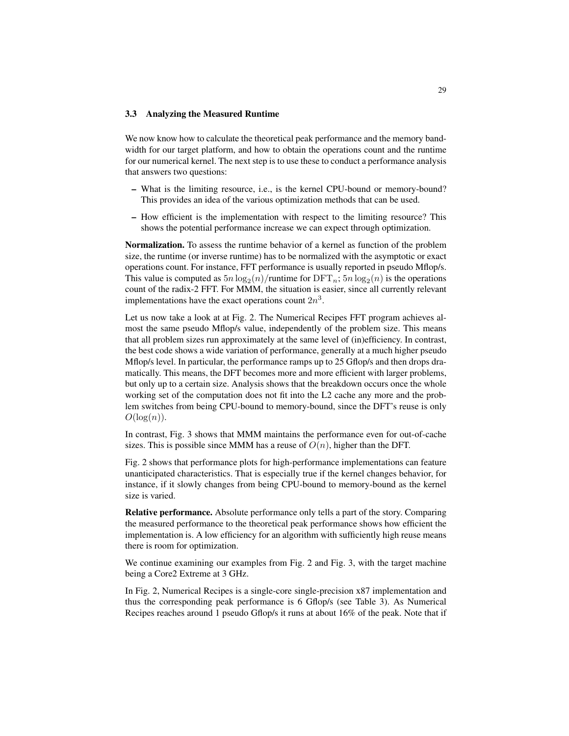#### 3.3 Analyzing the Measured Runtime

We now know how to calculate the theoretical peak performance and the memory bandwidth for our target platform, and how to obtain the operations count and the runtime for our numerical kernel. The next step is to use these to conduct a performance analysis that answers two questions:

- What is the limiting resource, i.e., is the kernel CPU-bound or memory-bound? This provides an idea of the various optimization methods that can be used.
- How efficient is the implementation with respect to the limiting resource? This shows the potential performance increase we can expect through optimization.

Normalization. To assess the runtime behavior of a kernel as function of the problem size, the runtime (or inverse runtime) has to be normalized with the asymptotic or exact operations count. For instance, FFT performance is usually reported in pseudo Mflop/s. This value is computed as  $5n \log_2(n) / \text{runtime}$  for  $\text{DFT}_n$ ;  $5n \log_2(n)$  is the operations count of the radix-2 FFT. For MMM, the situation is easier, since all currently relevant implementations have the exact operations count  $2n<sup>3</sup>$ .

Let us now take a look at at Fig. 2. The Numerical Recipes FFT program achieves almost the same pseudo Mflop/s value, independently of the problem size. This means that all problem sizes run approximately at the same level of (in)efficiency. In contrast, the best code shows a wide variation of performance, generally at a much higher pseudo Mflop/s level. In particular, the performance ramps up to 25 Gflop/s and then drops dramatically. This means, the DFT becomes more and more efficient with larger problems, but only up to a certain size. Analysis shows that the breakdown occurs once the whole working set of the computation does not fit into the L2 cache any more and the problem switches from being CPU-bound to memory-bound, since the DFT's reuse is only  $O(\log(n)).$ 

In contrast, Fig. 3 shows that MMM maintains the performance even for out-of-cache sizes. This is possible since MMM has a reuse of  $O(n)$ , higher than the DFT.

Fig. 2 shows that performance plots for high-performance implementations can feature unanticipated characteristics. That is especially true if the kernel changes behavior, for instance, if it slowly changes from being CPU-bound to memory-bound as the kernel size is varied.

Relative performance. Absolute performance only tells a part of the story. Comparing the measured performance to the theoretical peak performance shows how efficient the implementation is. A low efficiency for an algorithm with sufficiently high reuse means there is room for optimization.

We continue examining our examples from Fig. 2 and Fig. 3, with the target machine being a Core2 Extreme at 3 GHz.

In Fig. 2, Numerical Recipes is a single-core single-precision x87 implementation and thus the corresponding peak performance is 6 Gflop/s (see Table 3). As Numerical Recipes reaches around 1 pseudo Gflop/s it runs at about 16% of the peak. Note that if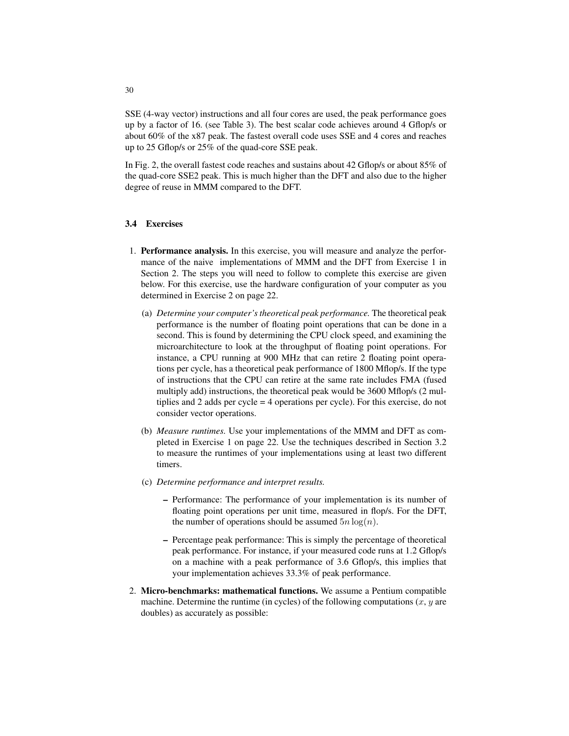SSE (4-way vector) instructions and all four cores are used, the peak performance goes up by a factor of 16. (see Table 3). The best scalar code achieves around 4 Gflop/s or about 60% of the x87 peak. The fastest overall code uses SSE and 4 cores and reaches up to 25 Gflop/s or 25% of the quad-core SSE peak.

In Fig. 2, the overall fastest code reaches and sustains about 42 Gflop/s or about 85% of the quad-core SSE2 peak. This is much higher than the DFT and also due to the higher degree of reuse in MMM compared to the DFT.

## 3.4 Exercises

- 1. Performance analysis. In this exercise, you will measure and analyze the performance of the naive implementations of MMM and the DFT from Exercise 1 in Section 2. The steps you will need to follow to complete this exercise are given below. For this exercise, use the hardware configuration of your computer as you determined in Exercise 2 on page 22.
	- (a) *Determine your computer's theoretical peak performance.* The theoretical peak performance is the number of floating point operations that can be done in a second. This is found by determining the CPU clock speed, and examining the microarchitecture to look at the throughput of floating point operations. For instance, a CPU running at 900 MHz that can retire 2 floating point operations per cycle, has a theoretical peak performance of 1800 Mflop/s. If the type of instructions that the CPU can retire at the same rate includes FMA (fused multiply add) instructions, the theoretical peak would be 3600 Mflop/s (2 multiplies and 2 adds per cycle = 4 operations per cycle). For this exercise, do not consider vector operations.
	- (b) *Measure runtimes.* Use your implementations of the MMM and DFT as completed in Exercise 1 on page 22. Use the techniques described in Section 3.2 to measure the runtimes of your implementations using at least two different timers.
	- (c) *Determine performance and interpret results.*
		- Performance: The performance of your implementation is its number of floating point operations per unit time, measured in flop/s. For the DFT, the number of operations should be assumed  $5n \log(n)$ .
		- Percentage peak performance: This is simply the percentage of theoretical peak performance. For instance, if your measured code runs at 1.2 Gflop/s on a machine with a peak performance of 3.6 Gflop/s, this implies that your implementation achieves 33.3% of peak performance.
- 2. Micro-benchmarks: mathematical functions. We assume a Pentium compatible machine. Determine the runtime (in cycles) of the following computations  $(x, y)$  are doubles) as accurately as possible: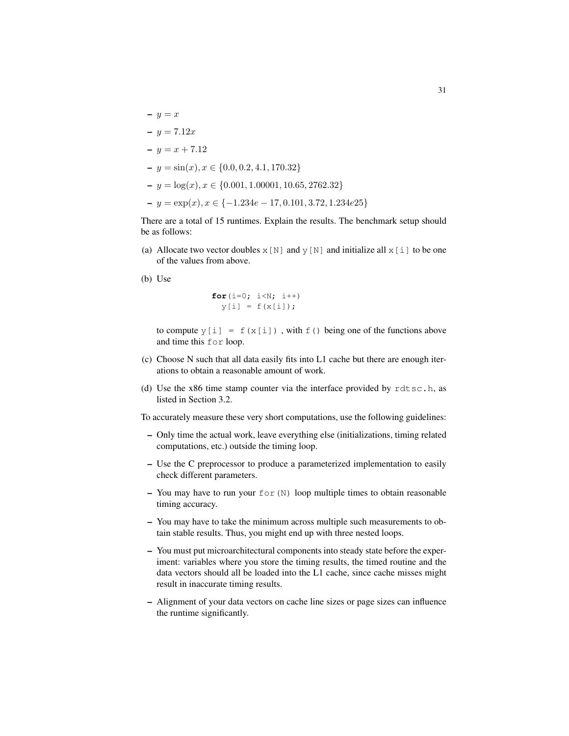$-y=x$  $-y = 7.12x$  $-y = x + 7.12$  $-y = \sin(x), x \in \{0.0, 0.2, 4.1, 170.32\}$  $-y = \log(x), x \in \{0.001, 1.00001, 10.65, 2762.32\}$ – y = exp(x), x ∈ {−1.234e − 17, 0.101, 3.72, 1.234e25}

There are a total of 15 runtimes. Explain the results. The benchmark setup should be as follows:

- (a) Allocate two vector doubles  $x[N]$  and  $y[N]$  and initialize all  $x[i]$  to be one of the values from above.
- (b) Use

$$
\begin{array}{rcl}\n\text{for}(i=0; i
$$

to compute  $y[i] = f(x[i])$ , with  $f(j)$  being one of the functions above and time this for loop.

- (c) Choose N such that all data easily fits into L1 cache but there are enough iterations to obtain a reasonable amount of work.
- (d) Use the x86 time stamp counter via the interface provided by rdtsc.h, as listed in Section 3.2.

To accurately measure these very short computations, use the following guidelines:

- Only time the actual work, leave everything else (initializations, timing related computations, etc.) outside the timing loop.
- Use the C preprocessor to produce a parameterized implementation to easily check different parameters.
- You may have to run your  $for(N)$  loop multiple times to obtain reasonable timing accuracy.
- You may have to take the minimum across multiple such measurements to obtain stable results. Thus, you might end up with three nested loops.
- You must put microarchitectural components into steady state before the experiment: variables where you store the timing results, the timed routine and the data vectors should all be loaded into the L1 cache, since cache misses might result in inaccurate timing results.
- Alignment of your data vectors on cache line sizes or page sizes can influence the runtime significantly.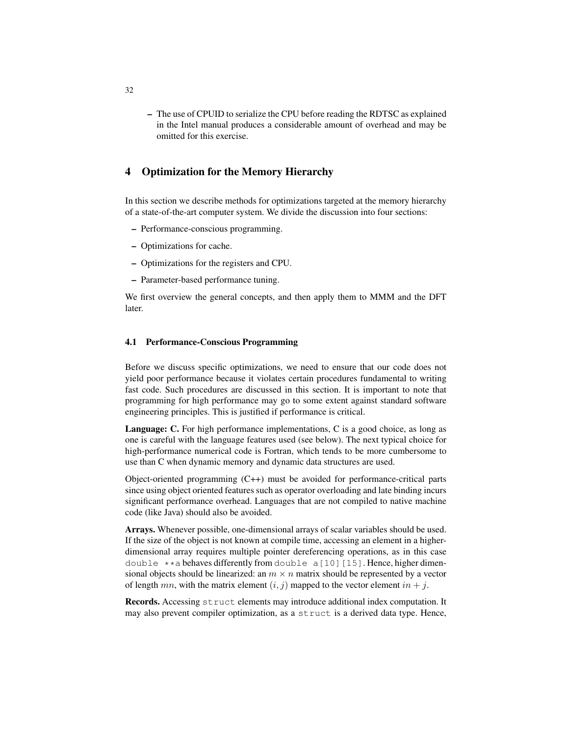– The use of CPUID to serialize the CPU before reading the RDTSC as explained in the Intel manual produces a considerable amount of overhead and may be omitted for this exercise.

# 4 Optimization for the Memory Hierarchy

In this section we describe methods for optimizations targeted at the memory hierarchy of a state-of-the-art computer system. We divide the discussion into four sections:

- Performance-conscious programming.
- Optimizations for cache.
- Optimizations for the registers and CPU.
- Parameter-based performance tuning.

We first overview the general concepts, and then apply them to MMM and the DFT later.

#### 4.1 Performance-Conscious Programming

Before we discuss specific optimizations, we need to ensure that our code does not yield poor performance because it violates certain procedures fundamental to writing fast code. Such procedures are discussed in this section. It is important to note that programming for high performance may go to some extent against standard software engineering principles. This is justified if performance is critical.

Language: C. For high performance implementations, C is a good choice, as long as one is careful with the language features used (see below). The next typical choice for high-performance numerical code is Fortran, which tends to be more cumbersome to use than C when dynamic memory and dynamic data structures are used.

Object-oriented programming (C++) must be avoided for performance-critical parts since using object oriented features such as operator overloading and late binding incurs significant performance overhead. Languages that are not compiled to native machine code (like Java) should also be avoided.

Arrays. Whenever possible, one-dimensional arrays of scalar variables should be used. If the size of the object is not known at compile time, accessing an element in a higherdimensional array requires multiple pointer dereferencing operations, as in this case double \*\*a behaves differently from double a[10][15]. Hence, higher dimensional objects should be linearized: an  $m \times n$  matrix should be represented by a vector of length mn, with the matrix element  $(i, j)$  mapped to the vector element  $in + j$ .

Records. Accessing struct elements may introduce additional index computation. It may also prevent compiler optimization, as a struct is a derived data type. Hence,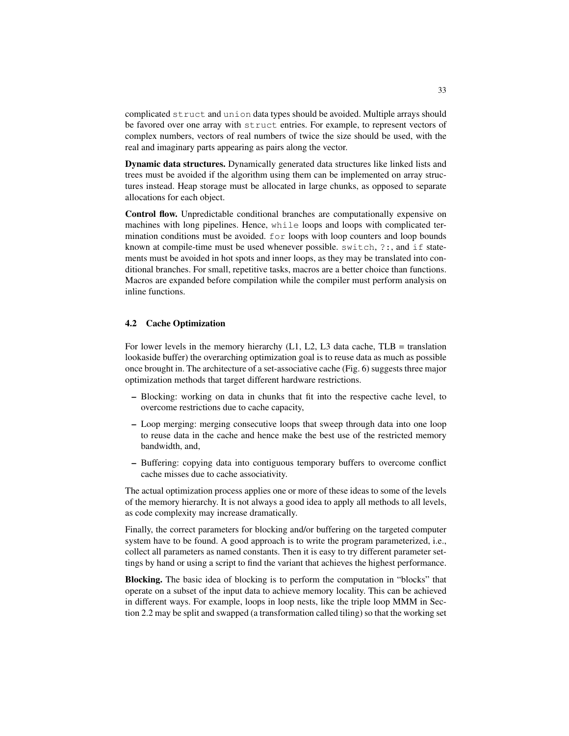complicated struct and union data types should be avoided. Multiple arrays should be favored over one array with struct entries. For example, to represent vectors of complex numbers, vectors of real numbers of twice the size should be used, with the real and imaginary parts appearing as pairs along the vector.

Dynamic data structures. Dynamically generated data structures like linked lists and trees must be avoided if the algorithm using them can be implemented on array structures instead. Heap storage must be allocated in large chunks, as opposed to separate allocations for each object.

Control flow. Unpredictable conditional branches are computationally expensive on machines with long pipelines. Hence, while loops and loops with complicated termination conditions must be avoided. for loops with loop counters and loop bounds known at compile-time must be used whenever possible.  $s$ witch, ?:, and if statements must be avoided in hot spots and inner loops, as they may be translated into conditional branches. For small, repetitive tasks, macros are a better choice than functions. Macros are expanded before compilation while the compiler must perform analysis on inline functions.

#### 4.2 Cache Optimization

For lower levels in the memory hierarchy  $(L1, L2, L3)$  data cache,  $TLB =$  translation lookaside buffer) the overarching optimization goal is to reuse data as much as possible once brought in. The architecture of a set-associative cache (Fig. 6) suggests three major optimization methods that target different hardware restrictions.

- Blocking: working on data in chunks that fit into the respective cache level, to overcome restrictions due to cache capacity,
- Loop merging: merging consecutive loops that sweep through data into one loop to reuse data in the cache and hence make the best use of the restricted memory bandwidth, and,
- Buffering: copying data into contiguous temporary buffers to overcome conflict cache misses due to cache associativity.

The actual optimization process applies one or more of these ideas to some of the levels of the memory hierarchy. It is not always a good idea to apply all methods to all levels, as code complexity may increase dramatically.

Finally, the correct parameters for blocking and/or buffering on the targeted computer system have to be found. A good approach is to write the program parameterized, i.e., collect all parameters as named constants. Then it is easy to try different parameter settings by hand or using a script to find the variant that achieves the highest performance.

Blocking. The basic idea of blocking is to perform the computation in "blocks" that operate on a subset of the input data to achieve memory locality. This can be achieved in different ways. For example, loops in loop nests, like the triple loop MMM in Section 2.2 may be split and swapped (a transformation called tiling) so that the working set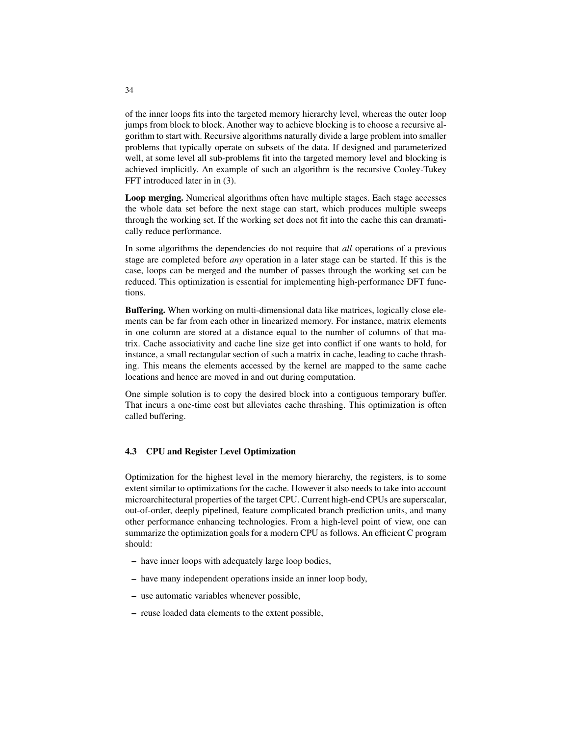of the inner loops fits into the targeted memory hierarchy level, whereas the outer loop jumps from block to block. Another way to achieve blocking is to choose a recursive algorithm to start with. Recursive algorithms naturally divide a large problem into smaller problems that typically operate on subsets of the data. If designed and parameterized well, at some level all sub-problems fit into the targeted memory level and blocking is achieved implicitly. An example of such an algorithm is the recursive Cooley-Tukey FFT introduced later in in (3).

Loop merging. Numerical algorithms often have multiple stages. Each stage accesses the whole data set before the next stage can start, which produces multiple sweeps through the working set. If the working set does not fit into the cache this can dramatically reduce performance.

In some algorithms the dependencies do not require that *all* operations of a previous stage are completed before *any* operation in a later stage can be started. If this is the case, loops can be merged and the number of passes through the working set can be reduced. This optimization is essential for implementing high-performance DFT functions.

Buffering. When working on multi-dimensional data like matrices, logically close elements can be far from each other in linearized memory. For instance, matrix elements in one column are stored at a distance equal to the number of columns of that matrix. Cache associativity and cache line size get into conflict if one wants to hold, for instance, a small rectangular section of such a matrix in cache, leading to cache thrashing. This means the elements accessed by the kernel are mapped to the same cache locations and hence are moved in and out during computation.

One simple solution is to copy the desired block into a contiguous temporary buffer. That incurs a one-time cost but alleviates cache thrashing. This optimization is often called buffering.

#### 4.3 CPU and Register Level Optimization

Optimization for the highest level in the memory hierarchy, the registers, is to some extent similar to optimizations for the cache. However it also needs to take into account microarchitectural properties of the target CPU. Current high-end CPUs are superscalar, out-of-order, deeply pipelined, feature complicated branch prediction units, and many other performance enhancing technologies. From a high-level point of view, one can summarize the optimization goals for a modern CPU as follows. An efficient C program should:

- have inner loops with adequately large loop bodies,
- have many independent operations inside an inner loop body,
- use automatic variables whenever possible,
- reuse loaded data elements to the extent possible,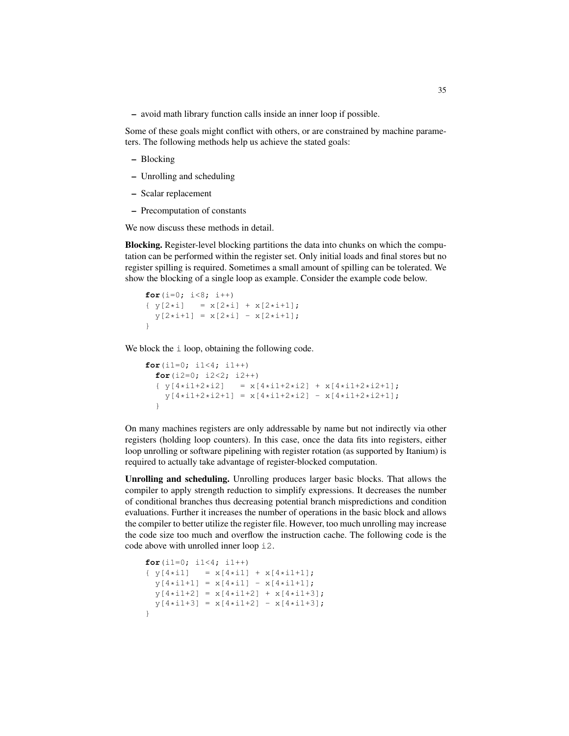– avoid math library function calls inside an inner loop if possible.

Some of these goals might conflict with others, or are constrained by machine parameters. The following methods help us achieve the stated goals:

- Blocking
- Unrolling and scheduling
- Scalar replacement
- Precomputation of constants

We now discuss these methods in detail.

Blocking. Register-level blocking partitions the data into chunks on which the computation can be performed within the register set. Only initial loads and final stores but no register spilling is required. Sometimes a small amount of spilling can be tolerated. We show the blocking of a single loop as example. Consider the example code below.

```
for(i=0; i<8; i++)
{ y[2 \star i] = x[2 \star i] + x[2 \star i + 1];
  y[2 \times i+1] = x[2 \times i] - x[2 \times i+1];
}
```
We block the  $\pm$  loop, obtaining the following code.

```
for(i1=0; i1<4; i1++)
 for(i2=0; i2<2; i2++)
  { y[4*i1+2*i2] = x[4*i1+2*i2] + x[4*i1+2*i2+1]};y[4*11+2*12+1] = x[4*11+2*12] - x[4*11+2*12+1];
  }
```
On many machines registers are only addressable by name but not indirectly via other registers (holding loop counters). In this case, once the data fits into registers, either loop unrolling or software pipelining with register rotation (as supported by Itanium) is required to actually take advantage of register-blocked computation.

Unrolling and scheduling. Unrolling produces larger basic blocks. That allows the compiler to apply strength reduction to simplify expressions. It decreases the number of conditional branches thus decreasing potential branch mispredictions and condition evaluations. Further it increases the number of operations in the basic block and allows the compiler to better utilize the register file. However, too much unrolling may increase the code size too much and overflow the instruction cache. The following code is the code above with unrolled inner loop i2.

```
for(i1=0; i1<4; i1++)
{ y[4*11]} = x[4*11] + x[4*11+1];
 y[4*11+1] = x[4*11] - x[4*11+1];
 y[4*11+2] = x[4*11+2] + x[4*11+3];
 y[4*11+3] = x[4*11+2] - x[4*11+3];
}
```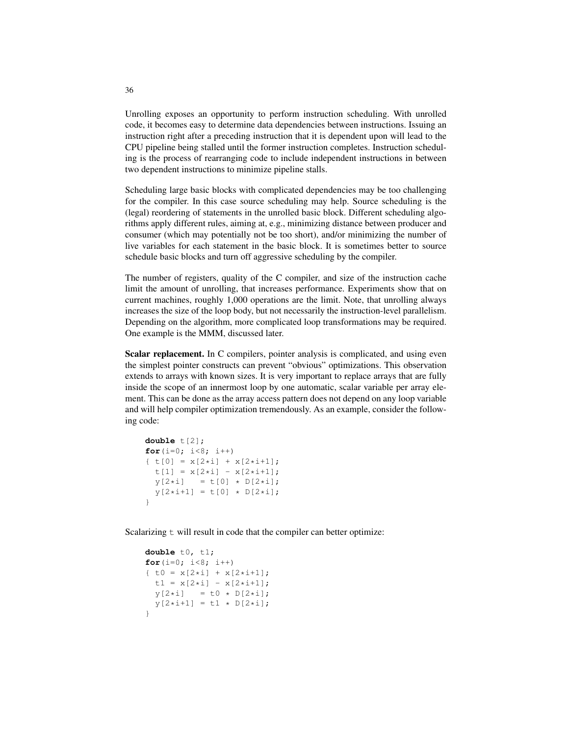Unrolling exposes an opportunity to perform instruction scheduling. With unrolled code, it becomes easy to determine data dependencies between instructions. Issuing an instruction right after a preceding instruction that it is dependent upon will lead to the CPU pipeline being stalled until the former instruction completes. Instruction scheduling is the process of rearranging code to include independent instructions in between two dependent instructions to minimize pipeline stalls.

Scheduling large basic blocks with complicated dependencies may be too challenging for the compiler. In this case source scheduling may help. Source scheduling is the (legal) reordering of statements in the unrolled basic block. Different scheduling algorithms apply different rules, aiming at, e.g., minimizing distance between producer and consumer (which may potentially not be too short), and/or minimizing the number of live variables for each statement in the basic block. It is sometimes better to source schedule basic blocks and turn off aggressive scheduling by the compiler.

The number of registers, quality of the C compiler, and size of the instruction cache limit the amount of unrolling, that increases performance. Experiments show that on current machines, roughly 1,000 operations are the limit. Note, that unrolling always increases the size of the loop body, but not necessarily the instruction-level parallelism. Depending on the algorithm, more complicated loop transformations may be required. One example is the MMM, discussed later.

Scalar replacement. In C compilers, pointer analysis is complicated, and using even the simplest pointer constructs can prevent "obvious" optimizations. This observation extends to arrays with known sizes. It is very important to replace arrays that are fully inside the scope of an innermost loop by one automatic, scalar variable per array element. This can be done as the array access pattern does not depend on any loop variable and will help compiler optimization tremendously. As an example, consider the following code:

```
double t[2];
for(i=0; i<8; i++)
\{ t[0] = x[2 \star i] + x[2 \star i + 1];t[1] = x[2 \star i] - x[2 \star i + 1];
  y[2 \star i] = t[0] \star D[2 \star i];y[2 \star i + 1] = t[0] \star D[2 \star i];}
```
Scalarizing  $t$  will result in code that the compiler can better optimize:

```
double t0, t1;
for(i=0; i<8; i++)
{ t0 = x[2 \times i] + x[2 \times i + 1];
  t1 = x[2 \star i] - x[2 \star i + 1];
  y[2 * i] = t0 * D[2 * i];y[2 \star i + 1] = t1 \star D[2 \star i];}
```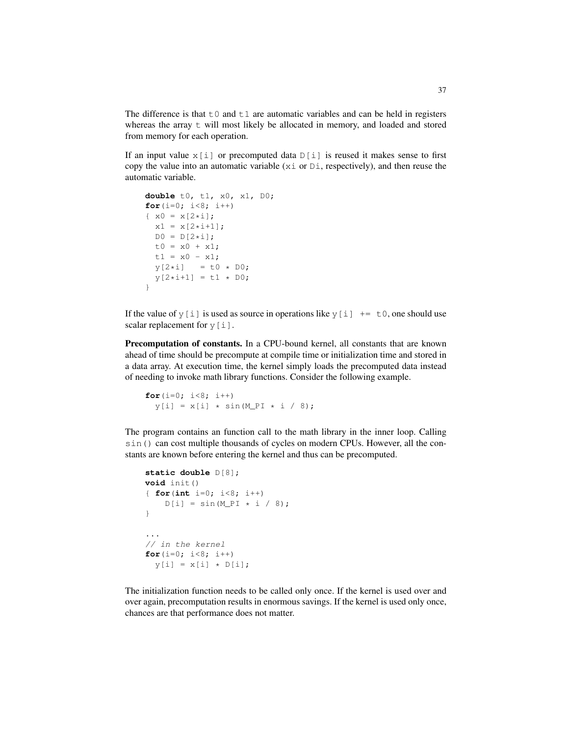The difference is that  $\pm 0$  and  $\pm 1$  are automatic variables and can be held in registers whereas the array  $t$  will most likely be allocated in memory, and loaded and stored from memory for each operation.

If an input value  $x[i]$  or precomputed data  $D[i]$  is reused it makes sense to first copy the value into an automatic variable  $(x_i)$  or  $D_i$ , respectively), and then reuse the automatic variable.

```
double t0, t1, x0, x1, D0;
for(i=0; i<8; i++)
\{ x0 = x[2 \times i]; \}x1 = x[2 \times i + 1];D0 = D[2 \star i];t0 = x0 + x1;t1 = x0 - x1;y[2*1] = t0 * D0;y[2 \times i + 1] = t1 \times D0;}
```
If the value of  $\sqrt{[i]}$  is used as source in operations like  $\sqrt{[i]}$  += t0, one should use scalar replacement for  $y[i]$ .

Precomputation of constants. In a CPU-bound kernel, all constants that are known ahead of time should be precompute at compile time or initialization time and stored in a data array. At execution time, the kernel simply loads the precomputed data instead of needing to invoke math library functions. Consider the following example.

**for**( $i=0$ ;  $i<8$ ;  $i++$ )  $y[i] = x[i] * sin(M_PI * i / 8);$ 

The program contains an function call to the math library in the inner loop. Calling sin() can cost multiple thousands of cycles on modern CPUs. However, all the constants are known before entering the kernel and thus can be precomputed.

```
static double D[8];
void init()
{ for(int i=0; i<8; i++)
    D[i] = \sin(MPI * i / 8);}
...
// in the kernel
for(i=0; i<8; i++)
  y[i] = x[i] \cdot D[i];
```
The initialization function needs to be called only once. If the kernel is used over and over again, precomputation results in enormous savings. If the kernel is used only once, chances are that performance does not matter.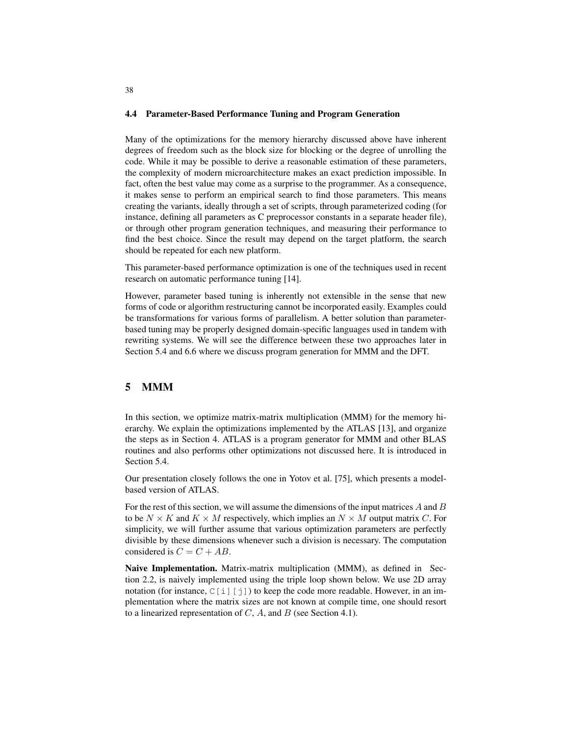#### 4.4 Parameter-Based Performance Tuning and Program Generation

Many of the optimizations for the memory hierarchy discussed above have inherent degrees of freedom such as the block size for blocking or the degree of unrolling the code. While it may be possible to derive a reasonable estimation of these parameters, the complexity of modern microarchitecture makes an exact prediction impossible. In fact, often the best value may come as a surprise to the programmer. As a consequence, it makes sense to perform an empirical search to find those parameters. This means creating the variants, ideally through a set of scripts, through parameterized coding (for instance, defining all parameters as C preprocessor constants in a separate header file), or through other program generation techniques, and measuring their performance to find the best choice. Since the result may depend on the target platform, the search should be repeated for each new platform.

This parameter-based performance optimization is one of the techniques used in recent research on automatic performance tuning [14].

However, parameter based tuning is inherently not extensible in the sense that new forms of code or algorithm restructuring cannot be incorporated easily. Examples could be transformations for various forms of parallelism. A better solution than parameterbased tuning may be properly designed domain-specific languages used in tandem with rewriting systems. We will see the difference between these two approaches later in Section 5.4 and 6.6 where we discuss program generation for MMM and the DFT.

# 5 MMM

In this section, we optimize matrix-matrix multiplication (MMM) for the memory hierarchy. We explain the optimizations implemented by the ATLAS [13], and organize the steps as in Section 4. ATLAS is a program generator for MMM and other BLAS routines and also performs other optimizations not discussed here. It is introduced in Section 5.4.

Our presentation closely follows the one in Yotov et al. [75], which presents a modelbased version of ATLAS.

For the rest of this section, we will assume the dimensions of the input matrices  $A$  and  $B$ to be  $N \times K$  and  $K \times M$  respectively, which implies an  $N \times M$  output matrix C. For simplicity, we will further assume that various optimization parameters are perfectly divisible by these dimensions whenever such a division is necessary. The computation considered is  $C = C + AB$ .

Naive Implementation. Matrix-matrix multiplication (MMM), as defined in Section 2.2, is naively implemented using the triple loop shown below. We use 2D array notation (for instance,  $C[i][j])$  to keep the code more readable. However, in an implementation where the matrix sizes are not known at compile time, one should resort to a linearized representation of  $C$ ,  $A$ , and  $B$  (see Section 4.1).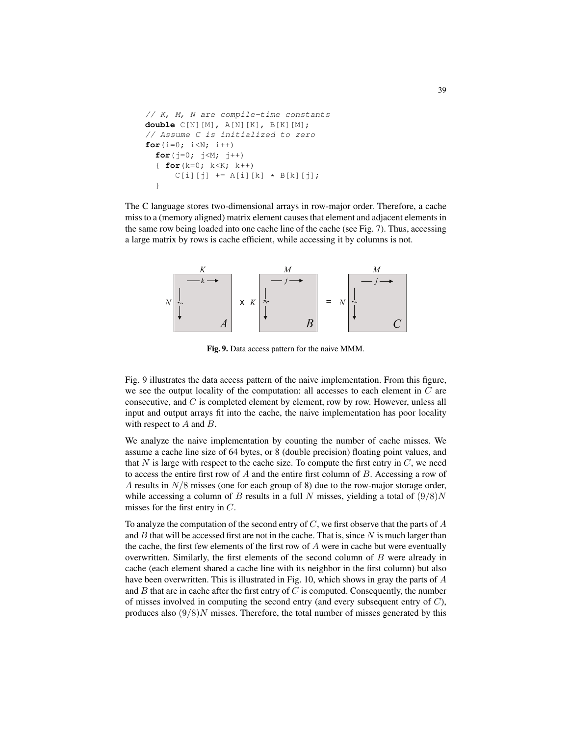```
// K, M, N are compile-time constants
double C[N][M], A[N][K], B[K][M];
// Assume C is initialized to zero
for(i=0; i< N; i++)
  for(j=0; j < M; j++){ for(k=0; k<K; k++)
      C[i][j] += A[i][k] * B[k][j];
  }
```
The C language stores two-dimensional arrays in row-major order. Therefore, a cache miss to a (memory aligned) matrix element causes that element and adjacent elements in the same row being loaded into one cache line of the cache (see Fig. 7). Thus, accessing a large matrix by rows is cache efficient, while accessing it by columns is not.



Fig. 9. Data access pattern for the naive MMM.

Fig. 9 illustrates the data access pattern of the naive implementation. From this figure, we see the output locality of the computation: all accesses to each element in  $C$  are consecutive, and C is completed element by element, row by row. However, unless all input and output arrays fit into the cache, the naive implementation has poor locality with respect to  $A$  and  $B$ .

We analyze the naive implementation by counting the number of cache misses. We assume a cache line size of 64 bytes, or 8 (double precision) floating point values, and that N is large with respect to the cache size. To compute the first entry in  $C$ , we need to access the entire first row of  $A$  and the entire first column of  $B$ . Accessing a row of A results in  $N/8$  misses (one for each group of 8) due to the row-major storage order, while accessing a column of B results in a full N misses, yielding a total of  $(9/8)N$ misses for the first entry in  $C$ .

To analyze the computation of the second entry of C, we first observe that the parts of  $A$ and  $B$  that will be accessed first are not in the cache. That is, since  $N$  is much larger than the cache, the first few elements of the first row of  $A$  were in cache but were eventually overwritten. Similarly, the first elements of the second column of  $B$  were already in cache (each element shared a cache line with its neighbor in the first column) but also have been overwritten. This is illustrated in Fig. 10, which shows in gray the parts of  $A$ and B that are in cache after the first entry of C is computed. Consequently, the number of misses involved in computing the second entry (and every subsequent entry of  $C$ ), produces also  $(9/8)N$  misses. Therefore, the total number of misses generated by this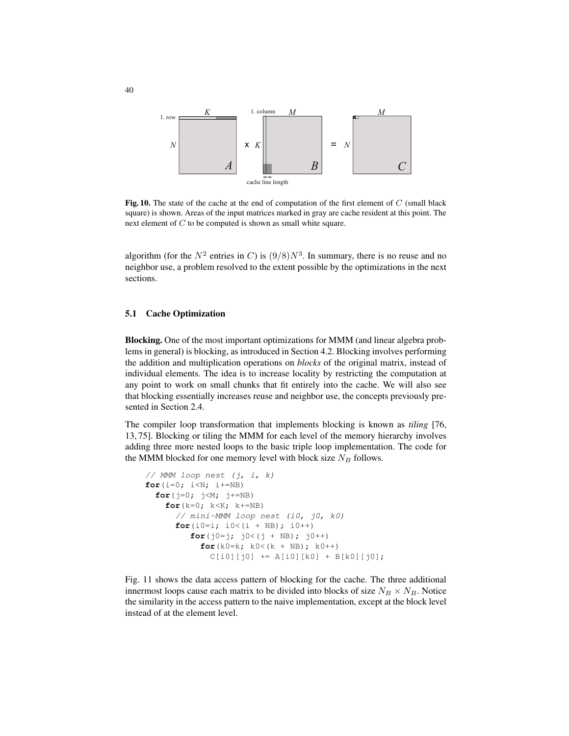

Fig. 10. The state of the cache at the end of computation of the first element of  $C$  (small black square) is shown. Areas of the input matrices marked in gray are cache resident at this point. The next element of C to be computed is shown as small white square.

algorithm (for the  $N^2$  entries in C) is  $(9/8)N^3$ . In summary, there is no reuse and no neighbor use, a problem resolved to the extent possible by the optimizations in the next sections.

# 5.1 Cache Optimization

Blocking. One of the most important optimizations for MMM (and linear algebra problems in general) is blocking, as introduced in Section 4.2. Blocking involves performing the addition and multiplication operations on *blocks* of the original matrix, instead of individual elements. The idea is to increase locality by restricting the computation at any point to work on small chunks that fit entirely into the cache. We will also see that blocking essentially increases reuse and neighbor use, the concepts previously presented in Section 2.4.

The compiler loop transformation that implements blocking is known as *tiling* [76, 13, 75]. Blocking or tiling the MMM for each level of the memory hierarchy involves adding three more nested loops to the basic triple loop implementation. The code for the MMM blocked for one memory level with block size  $N_B$  follows.

```
// MMM loop nest (j, i, k)
for(i=0; i<N; i+=NB)
  for(j=0; j<M; j+=NB)
    for(k=0; k\leq K; k+=NB)// mini-MMM loop nest (i0, j0, k0)
      for(i0=i; i0<(i + NB); i0++)
         for(j0=j; j0<(j + NB); j0++)
           for(k0=k; k0<(k + NB); k0++)
             C[i0][j0] += A[i0][k0] + B[k0][j0];
```
Fig. 11 shows the data access pattern of blocking for the cache. The three additional innermost loops cause each matrix to be divided into blocks of size  $N_B \times N_B$ . Notice the similarity in the access pattern to the naive implementation, except at the block level instead of at the element level.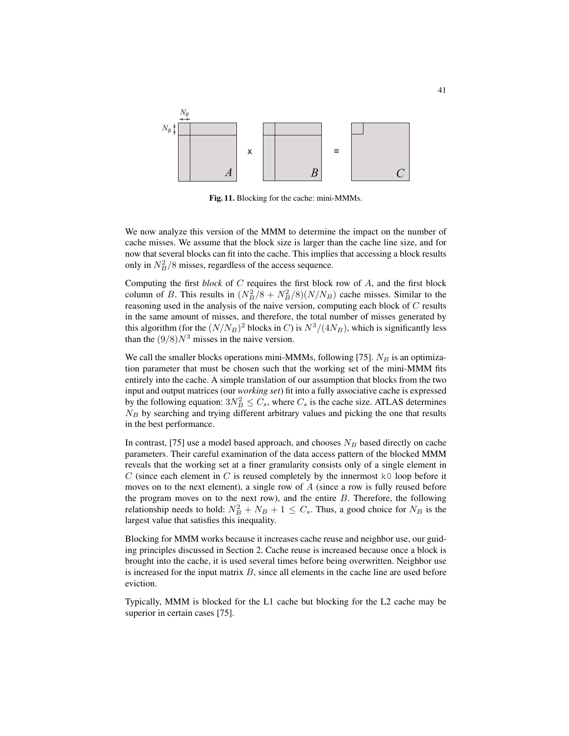

Fig. 11. Blocking for the cache: mini-MMMs.

We now analyze this version of the MMM to determine the impact on the number of cache misses. We assume that the block size is larger than the cache line size, and for now that several blocks can fit into the cache. This implies that accessing a block results only in  $N_B^2/8$  misses, regardless of the access sequence.

Computing the first *block* of C requires the first block row of A, and the first block column of B. This results in  $(N_B^2/8 + N_B^2/8)(N/N_B)$  cache misses. Similar to the reasoning used in the analysis of the naive version, computing each block of C results in the same amount of misses, and therefore, the total number of misses generated by this algorithm (for the  $(N/N_B)^2$  blocks in C) is  $N^3/(4N_B)$ , which is significantly less than the  $(9/8)N^3$  misses in the naive version.

We call the smaller blocks operations mini-MMMs, following [75].  $N_B$  is an optimization parameter that must be chosen such that the working set of the mini-MMM fits entirely into the cache. A simple translation of our assumption that blocks from the two input and output matrices (our *working set*) fit into a fully associative cache is expressed by the following equation:  $3N_B^2 \leq C_s$ , where  $C_s$  is the cache size. ATLAS determines  $N_B$  by searching and trying different arbitrary values and picking the one that results in the best performance.

In contrast, [75] use a model based approach, and chooses  $N_B$  based directly on cache parameters. Their careful examination of the data access pattern of the blocked MMM reveals that the working set at a finer granularity consists only of a single element in  $C$  (since each element in  $C$  is reused completely by the innermost k0 loop before it moves on to the next element), a single row of  $A$  (since a row is fully reused before the program moves on to the next row), and the entire  $B$ . Therefore, the following relationship needs to hold:  $N_B^2 + N_B + 1 \leq C_s$ . Thus, a good choice for  $N_B$  is the largest value that satisfies this inequality.

Blocking for MMM works because it increases cache reuse and neighbor use, our guiding principles discussed in Section 2. Cache reuse is increased because once a block is brought into the cache, it is used several times before being overwritten. Neighbor use is increased for the input matrix  $B$ , since all elements in the cache line are used before eviction.

Typically, MMM is blocked for the L1 cache but blocking for the L2 cache may be superior in certain cases [75].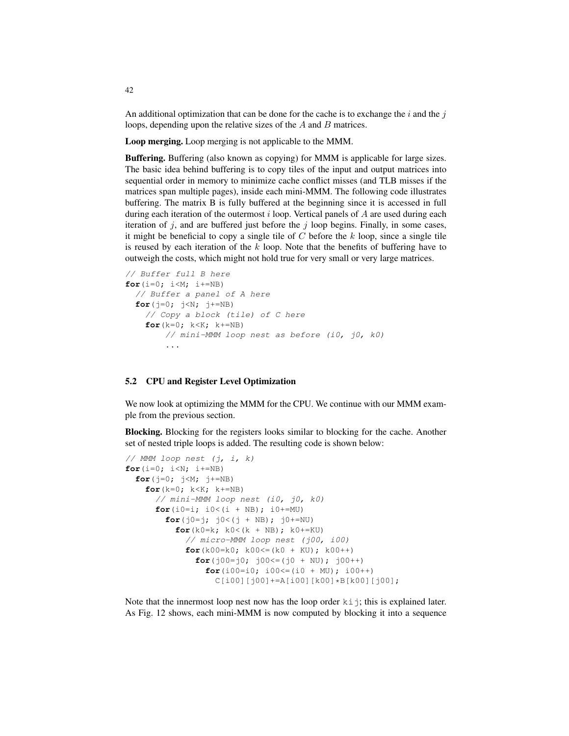An additional optimization that can be done for the cache is to exchange the  $i$  and the  $j$ loops, depending upon the relative sizes of the A and B matrices.

Loop merging. Loop merging is not applicable to the MMM.

Buffering. Buffering (also known as copying) for MMM is applicable for large sizes. The basic idea behind buffering is to copy tiles of the input and output matrices into sequential order in memory to minimize cache conflict misses (and TLB misses if the matrices span multiple pages), inside each mini-MMM. The following code illustrates buffering. The matrix B is fully buffered at the beginning since it is accessed in full during each iteration of the outermost  $i$  loop. Vertical panels of  $A$  are used during each iteration of  $j$ , and are buffered just before the  $j$  loop begins. Finally, in some cases, it might be beneficial to copy a single tile of  $C$  before the  $k$  loop, since a single tile is reused by each iteration of the  $k$  loop. Note that the benefits of buffering have to outweigh the costs, which might not hold true for very small or very large matrices.

```
// Buffer full B here
for(i=0; i < M; i+=NB)
  // Buffer a panel of A here
  for(j=0; j<N; j+=NB)
    // Copy a block (tile) of C here
    for(k=0; k\leq K; k+=NB)// mini-MMM loop nest as before (i0, j0, k0)
        ...
```
# 5.2 CPU and Register Level Optimization

We now look at optimizing the MMM for the CPU. We continue with our MMM example from the previous section.

Blocking. Blocking for the registers looks similar to blocking for the cache. Another set of nested triple loops is added. The resulting code is shown below:

```
// MMM loop nest (j, i, k)
for(i=0; i< N; i+=NB)
  for(j=0; j<M; j+=NB)
    for(k=0; k\leq K; k+=NB)// mini-MMM loop nest (i0, j0, k0)
      for(i0=i; i0<(i + NB); i0+=MU)
        for(j0=j; j0<(j + NB); j0+=NU)
          for(k0=k; k0<(k + NB); k0+=KU)
            // micro-MMM loop nest (j00, i00)
            for(k00=k0; k00 <= (k0 + KU); k00 + +)
              for(j00=j0; j00<=(j0 + NU); j00++)for(i00=i0; i00 <= (i0 + MU); i00 + +)
                  C[i00][j00]+=A[i00][k00]*B[k00][j00];
```
Note that the innermost loop nest now has the loop order  $k \in \mathcal{N}$ ; this is explained later. As Fig. 12 shows, each mini-MMM is now computed by blocking it into a sequence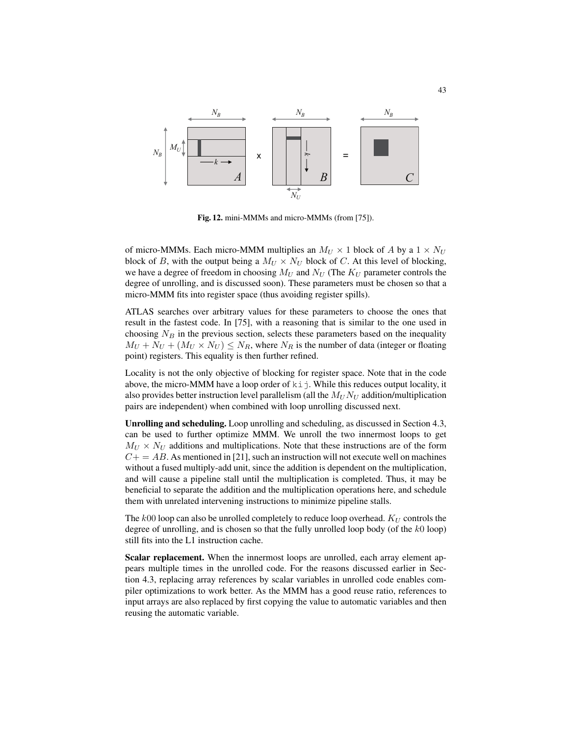

Fig. 12. mini-MMMs and micro-MMMs (from [75]).

of micro-MMMs. Each micro-MMM multiplies an  $M_U \times 1$  block of A by a  $1 \times N_U$ block of B, with the output being a  $M_U \times N_U$  block of C. At this level of blocking, we have a degree of freedom in choosing  $M_U$  and  $N_U$  (The  $K_U$  parameter controls the degree of unrolling, and is discussed soon). These parameters must be chosen so that a micro-MMM fits into register space (thus avoiding register spills).

ATLAS searches over arbitrary values for these parameters to choose the ones that result in the fastest code. In [75], with a reasoning that is similar to the one used in choosing  $N_B$  in the previous section, selects these parameters based on the inequality  $M_U + N_U + (M_U \times N_U) \leq N_R$ , where  $N_R$  is the number of data (integer or floating point) registers. This equality is then further refined.

Locality is not the only objective of blocking for register space. Note that in the code above, the micro-MMM have a loop order of  $k \perp j$ . While this reduces output locality, it also provides better instruction level parallelism (all the  $M_U N_U$  addition/multiplication pairs are independent) when combined with loop unrolling discussed next.

Unrolling and scheduling. Loop unrolling and scheduling, as discussed in Section 4.3, can be used to further optimize MMM. We unroll the two innermost loops to get  $M_U \times N_U$  additions and multiplications. Note that these instructions are of the form  $C+=AB$ . As mentioned in [21], such an instruction will not execute well on machines without a fused multiply-add unit, since the addition is dependent on the multiplication, and will cause a pipeline stall until the multiplication is completed. Thus, it may be beneficial to separate the addition and the multiplication operations here, and schedule them with unrelated intervening instructions to minimize pipeline stalls.

The  $k00$  loop can also be unrolled completely to reduce loop overhead.  $K_U$  controls the degree of unrolling, and is chosen so that the fully unrolled loop body (of the  $k0$  loop) still fits into the L1 instruction cache.

Scalar replacement. When the innermost loops are unrolled, each array element appears multiple times in the unrolled code. For the reasons discussed earlier in Section 4.3, replacing array references by scalar variables in unrolled code enables compiler optimizations to work better. As the MMM has a good reuse ratio, references to input arrays are also replaced by first copying the value to automatic variables and then reusing the automatic variable.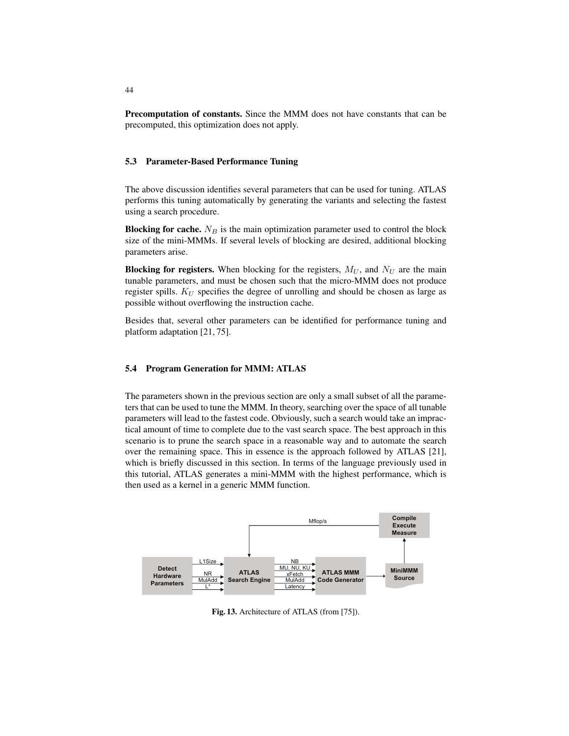Precomputation of constants. Since the MMM does not have constants that can be precomputed, this optimization does not apply.

### 5.3 Parameter-Based Performance Tuning

The above discussion identifies several parameters that can be used for tuning. ATLAS performs this tuning automatically by generating the variants and selecting the fastest using a search procedure.

**Blocking for cache.**  $N_B$  is the main optimization parameter used to control the block size of the mini-MMMs. If several levels of blocking are desired, additional blocking parameters arise.

**Blocking for registers.** When blocking for the registers,  $M_U$ , and  $N_U$  are the main tunable parameters, and must be chosen such that the micro-MMM does not produce register spills.  $K_U$  specifies the degree of unrolling and should be chosen as large as possible without overflowing the instruction cache.

Besides that, several other parameters can be identified for performance tuning and platform adaptation [21, 75].

# 5.4 Program Generation for MMM: ATLAS

The parameters shown in the previous section are only a small subset of all the parameters that can be used to tune the MMM. In theory, searching over the space of all tunable parameters will lead to the fastest code. Obviously, such a search would take an impractical amount of time to complete due to the vast search space. The best approach in this scenario is to prune the search space in a reasonable way and to automate the search over the remaining space. This in essence is the approach followed by ATLAS [21], which is briefly discussed in this section. In terms of the language previously used in this tutorial, ATLAS generates a mini-MMM with the highest performance, which is then used as a kernel in a generic MMM function.



Fig. 13. Architecture of ATLAS (from [75]).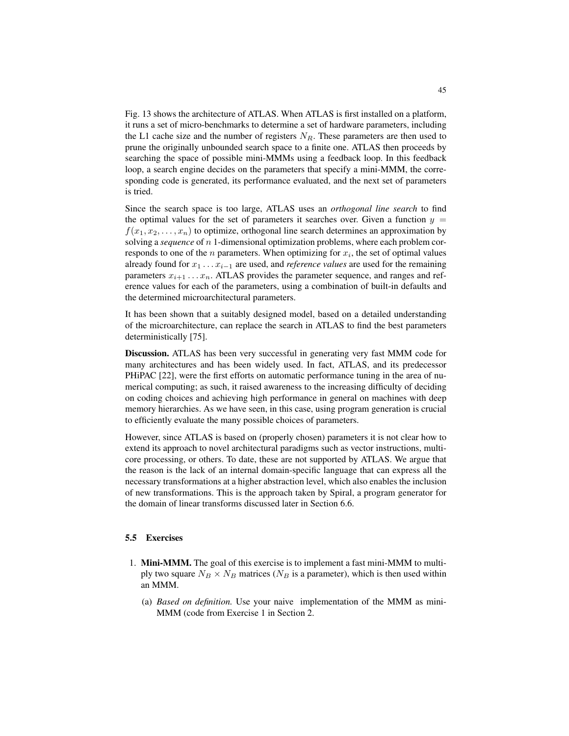Fig. 13 shows the architecture of ATLAS. When ATLAS is first installed on a platform, it runs a set of micro-benchmarks to determine a set of hardware parameters, including the L1 cache size and the number of registers  $N_R$ . These parameters are then used to prune the originally unbounded search space to a finite one. ATLAS then proceeds by searching the space of possible mini-MMMs using a feedback loop. In this feedback loop, a search engine decides on the parameters that specify a mini-MMM, the corresponding code is generated, its performance evaluated, and the next set of parameters is tried.

Since the search space is too large, ATLAS uses an *orthogonal line search* to find the optimal values for the set of parameters it searches over. Given a function  $y =$  $f(x_1, x_2, \ldots, x_n)$  to optimize, orthogonal line search determines an approximation by solving a *sequence* of n 1-dimensional optimization problems, where each problem corresponds to one of the *n* parameters. When optimizing for  $x_i$ , the set of optimal values already found for x<sup>1</sup> . . . xi−<sup>1</sup> are used, and *reference values* are used for the remaining parameters  $x_{i+1} \ldots x_n$ . ATLAS provides the parameter sequence, and ranges and reference values for each of the parameters, using a combination of built-in defaults and the determined microarchitectural parameters.

It has been shown that a suitably designed model, based on a detailed understanding of the microarchitecture, can replace the search in ATLAS to find the best parameters deterministically [75].

Discussion. ATLAS has been very successful in generating very fast MMM code for many architectures and has been widely used. In fact, ATLAS, and its predecessor PHiPAC [22], were the first efforts on automatic performance tuning in the area of numerical computing; as such, it raised awareness to the increasing difficulty of deciding on coding choices and achieving high performance in general on machines with deep memory hierarchies. As we have seen, in this case, using program generation is crucial to efficiently evaluate the many possible choices of parameters.

However, since ATLAS is based on (properly chosen) parameters it is not clear how to extend its approach to novel architectural paradigms such as vector instructions, multicore processing, or others. To date, these are not supported by ATLAS. We argue that the reason is the lack of an internal domain-specific language that can express all the necessary transformations at a higher abstraction level, which also enables the inclusion of new transformations. This is the approach taken by Spiral, a program generator for the domain of linear transforms discussed later in Section 6.6.

### 5.5 Exercises

- 1. Mini-MMM. The goal of this exercise is to implement a fast mini-MMM to multiply two square  $N_B \times N_B$  matrices ( $N_B$  is a parameter), which is then used within an MMM.
	- (a) *Based on definition.* Use your naive implementation of the MMM as mini-MMM (code from Exercise 1 in Section 2.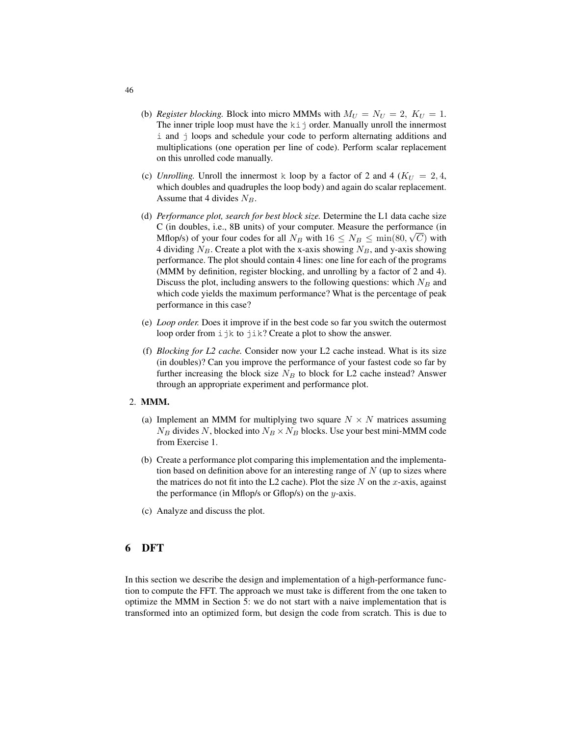- (b) *Register blocking*. Block into micro MMMs with  $M_U = N_U = 2$ ,  $K_U = 1$ . The inner triple loop must have the  $k \text{ i } j$  order. Manually unroll the innermost i and j loops and schedule your code to perform alternating additions and multiplications (one operation per line of code). Perform scalar replacement on this unrolled code manually.
- (c) *Unrolling*. Unroll the innermost k loop by a factor of 2 and 4 ( $K_U = 2, 4$ , which doubles and quadruples the loop body) and again do scalar replacement. Assume that 4 divides  $N_B$ .
- (d) *Performance plot, search for best block size.* Determine the L1 data cache size C (in doubles, i.e., 8B units) of your computer. Measure the performance (in √ Mflop/s) of your four codes for all  $N_B$  with  $16 \le N_B \le \min(80, \sqrt{C})$  with 4 dividing  $N_B$ . Create a plot with the x-axis showing  $N_B$ , and y-axis showing performance. The plot should contain 4 lines: one line for each of the programs (MMM by definition, register blocking, and unrolling by a factor of 2 and 4). Discuss the plot, including answers to the following questions: which  $N_B$  and which code yields the maximum performance? What is the percentage of peak performance in this case?
- (e) *Loop order.* Does it improve if in the best code so far you switch the outermost loop order from  $i \in k$  to  $i \in k$ ? Create a plot to show the answer.
- (f) *Blocking for L2 cache.* Consider now your L2 cache instead. What is its size (in doubles)? Can you improve the performance of your fastest code so far by further increasing the block size  $N_B$  to block for L2 cache instead? Answer through an appropriate experiment and performance plot.

#### 2. MMM.

- (a) Implement an MMM for multiplying two square  $N \times N$  matrices assuming  $N_B$  divides N, blocked into  $N_B \times N_B$  blocks. Use your best mini-MMM code from Exercise 1.
- (b) Create a performance plot comparing this implementation and the implementation based on definition above for an interesting range of  $N$  (up to sizes where the matrices do not fit into the L2 cache). Plot the size  $N$  on the x-axis, against the performance (in Mflop/s or Gflop/s) on the  $y$ -axis.
- (c) Analyze and discuss the plot.

# 6 DFT

In this section we describe the design and implementation of a high-performance function to compute the FFT. The approach we must take is different from the one taken to optimize the MMM in Section 5: we do not start with a naive implementation that is transformed into an optimized form, but design the code from scratch. This is due to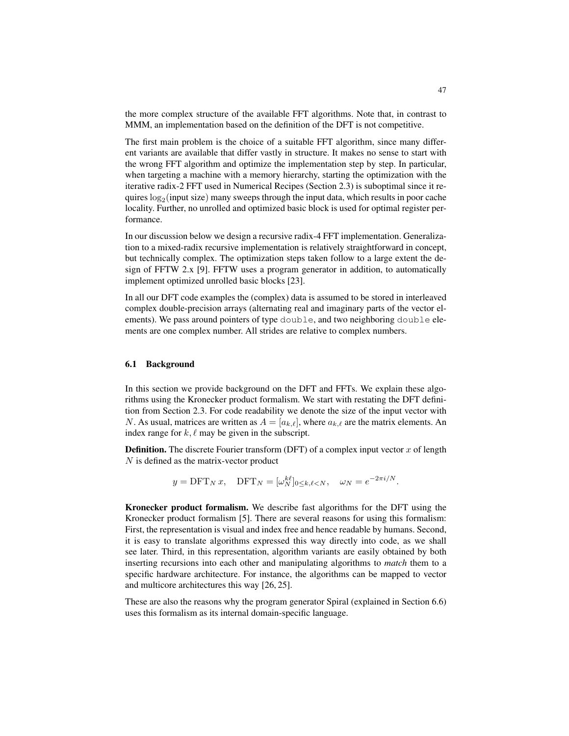the more complex structure of the available FFT algorithms. Note that, in contrast to MMM, an implementation based on the definition of the DFT is not competitive.

The first main problem is the choice of a suitable FFT algorithm, since many different variants are available that differ vastly in structure. It makes no sense to start with the wrong FFT algorithm and optimize the implementation step by step. In particular, when targeting a machine with a memory hierarchy, starting the optimization with the iterative radix-2 FFT used in Numerical Recipes (Section 2.3) is suboptimal since it requires  $\log_2$ (input size) many sweeps through the input data, which results in poor cache locality. Further, no unrolled and optimized basic block is used for optimal register performance.

In our discussion below we design a recursive radix-4 FFT implementation. Generalization to a mixed-radix recursive implementation is relatively straightforward in concept, but technically complex. The optimization steps taken follow to a large extent the design of FFTW 2.x [9]. FFTW uses a program generator in addition, to automatically implement optimized unrolled basic blocks [23].

In all our DFT code examples the (complex) data is assumed to be stored in interleaved complex double-precision arrays (alternating real and imaginary parts of the vector elements). We pass around pointers of type double, and two neighboring double elements are one complex number. All strides are relative to complex numbers.

#### 6.1 Background

In this section we provide background on the DFT and FFTs. We explain these algorithms using the Kronecker product formalism. We start with restating the DFT definition from Section 2.3. For code readability we denote the size of the input vector with N. As usual, matrices are written as  $A = [a_{k,\ell}]$ , where  $a_{k,\ell}$  are the matrix elements. An index range for  $k, \ell$  may be given in the subscript.

**Definition.** The discrete Fourier transform (DFT) of a complex input vector  $x$  of length N is defined as the matrix-vector product

$$
y = \text{DFT}_N x
$$
,  $\text{DFT}_N = [\omega_N^{k\ell}]_{0 \le k,\ell \le N}$ ,  $\omega_N = e^{-2\pi i/N}$ .

Kronecker product formalism. We describe fast algorithms for the DFT using the Kronecker product formalism [5]. There are several reasons for using this formalism: First, the representation is visual and index free and hence readable by humans. Second, it is easy to translate algorithms expressed this way directly into code, as we shall see later. Third, in this representation, algorithm variants are easily obtained by both inserting recursions into each other and manipulating algorithms to *match* them to a specific hardware architecture. For instance, the algorithms can be mapped to vector and multicore architectures this way [26, 25].

These are also the reasons why the program generator Spiral (explained in Section 6.6) uses this formalism as its internal domain-specific language.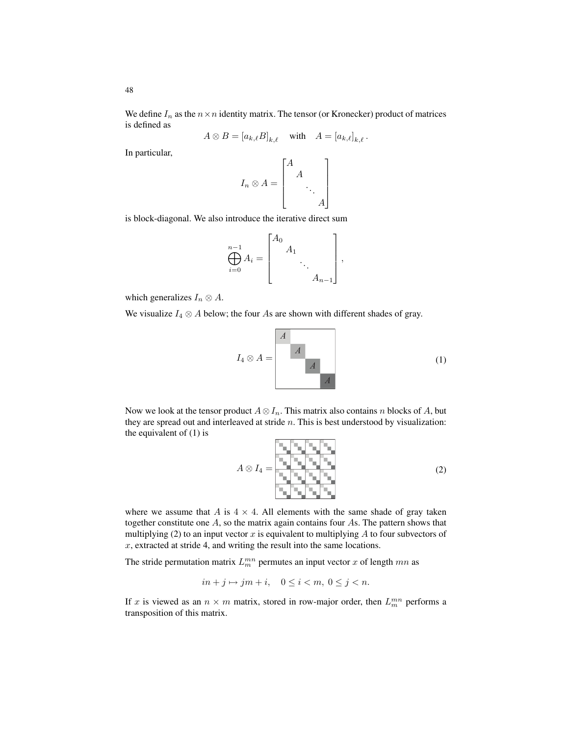We define  $I_n$  as the  $n \times n$  identity matrix. The tensor (or Kronecker) product of matrices is defined as

$$
A \otimes B = [a_{k,\ell} B]_{k,\ell} \quad \text{with} \quad A = [a_{k,\ell}]_{k,\ell}.
$$

In particular,

$$
I_n \otimes A = \begin{bmatrix} A & & \\ & A & \\ & & \ddots & \\ & & & A \end{bmatrix}
$$

is block-diagonal. We also introduce the iterative direct sum

$$
\bigoplus_{i=0}^{n-1} A_i = \begin{bmatrix} A_0 & & \\ & A_1 & & \\ & & \ddots & \\ & & & A_{n-1} \end{bmatrix},
$$

which generalizes  $I_n \otimes A$ .

We visualize  $I_4 \otimes A$  below; the four As are shown with different shades of gray.

$$
I_4 \otimes A = \begin{array}{|c|c|} \hline A & & \\ & A & \\ & & A & \\ \hline & & A & \\ \hline \end{array} \tag{1}
$$

Now we look at the tensor product  $A \otimes I_n$ . This matrix also contains n blocks of A, but they are spread out and interleaved at stride  $n$ . This is best understood by visualization: the equivalent of  $(1)$  is

$$
A \otimes I_4 = \begin{bmatrix} \mathbf{1} \mathbf{1} \mathbf{1} \mathbf{1} \mathbf{1} \mathbf{1} \mathbf{1} \mathbf{1} \mathbf{1} \mathbf{1} \mathbf{1} \mathbf{1} \mathbf{1} \mathbf{1} \mathbf{1} \mathbf{1} \mathbf{1} \mathbf{1} \mathbf{1} \mathbf{1} \mathbf{1} \mathbf{1} \mathbf{1} \mathbf{1} \mathbf{1} \mathbf{1} \mathbf{1} \mathbf{1} \mathbf{1} \mathbf{1} \mathbf{1} \mathbf{1} \mathbf{1} \mathbf{1} \mathbf{1} \mathbf{1} \mathbf{1} \mathbf{1} \mathbf{1} \mathbf{1} \mathbf{1} \mathbf{1} \mathbf{1} \mathbf{1} \mathbf{1} \mathbf{1} \mathbf{1} \mathbf{1} \mathbf{1} \mathbf{1} \mathbf{1} \mathbf{1} \mathbf{1} \mathbf{1} \mathbf{1} \mathbf{1} \mathbf{1} \mathbf{1} \mathbf{1} \mathbf{1} \mathbf{1} \mathbf{1} \mathbf{1} \mathbf{1} \mathbf{1} \mathbf{1} \mathbf{1} \mathbf{1} \mathbf{1} \mathbf{1} \mathbf{1} \mathbf{1} \mathbf{1} \mathbf{1} \mathbf{1} \mathbf{1} \mathbf{1} \mathbf{1} \mathbf{1} \mathbf{1} \mathbf{1} \mathbf{1} \mathbf{1} \mathbf{1} \mathbf{1} \mathbf{1} \mathbf{1} \mathbf{1} \mathbf{1} \mathbf{1} \mathbf{1} \mathbf{1} \mathbf{1} \mathbf{1} \mathbf{1} \mathbf{1} \mathbf{1} \mathbf{1} \mathbf{1} \mathbf{1} \mathbf{1} \mathbf{1} \mathbf{1} \mathbf{1} \mathbf{1} \mathbf{1} \mathbf{1} \mathbf{1} \mathbf{1} \mathbf{1} \mathbf{1} \mathbf{1} \mathbf{1} \mathbf{1} \mathbf{1} \mathbf{1} \mathbf{1} \mathbf{1} \mathbf{1} \mathbf{1} \mathbf{1} \mathbf{1} \mathbf{1} \mathbf{1} \
$$

where we assume that A is  $4 \times 4$ . All elements with the same shade of gray taken together constitute one A, so the matrix again contains four As. The pattern shows that multiplying (2) to an input vector  $x$  is equivalent to multiplying  $A$  to four subvectors of x, extracted at stride 4, and writing the result into the same locations.

The stride permutation matrix  $L_m^{mn}$  permutes an input vector x of length  $mn$  as

$$
in+j \mapsto jm+i, \quad 0 \le i < m, \ 0 \le j < n.
$$

If x is viewed as an  $n \times m$  matrix, stored in row-major order, then  $L_m^{mn}$  performs a transposition of this matrix.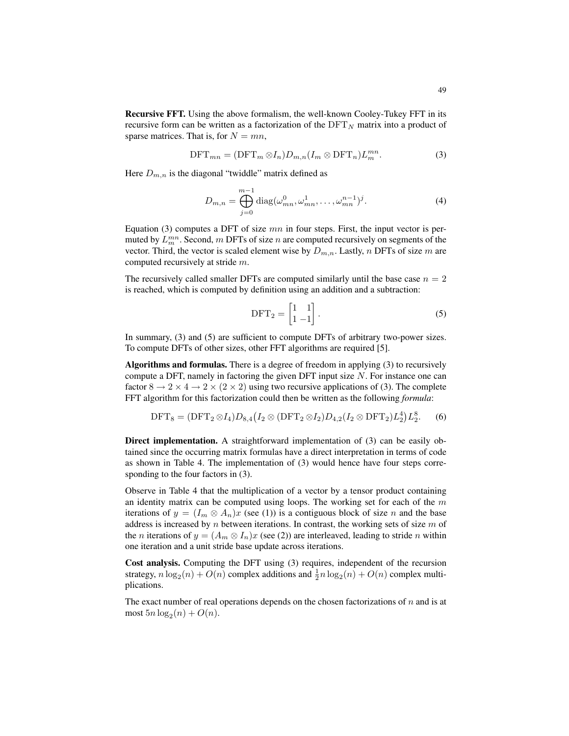Recursive FFT. Using the above formalism, the well-known Cooley-Tukey FFT in its recursive form can be written as a factorization of the  $\text{DFT}_N$  matrix into a product of sparse matrices. That is, for  $N = mn$ ,

$$
\text{DFT}_{mn} = (\text{DFT}_m \otimes I_n) D_{m,n} (I_m \otimes \text{DFT}_n) L_m^{mn}.
$$
 (3)

Here  $D_{m,n}$  is the diagonal "twiddle" matrix defined as

$$
D_{m,n} = \bigoplus_{j=0}^{m-1} \text{diag}(\omega_{mn}^0, \omega_{mn}^1, \dots, \omega_{mn}^{n-1})^j.
$$
 (4)

Equation (3) computes a DFT of size  $mn$  in four steps. First, the input vector is permuted by  $L_m^{mn}$ . Second, m DFTs of size n are computed recursively on segments of the vector. Third, the vector is scaled element wise by  $D_{m,n}$ . Lastly, n DFTs of size m are computed recursively at stride m.

The recursively called smaller DFTs are computed similarly until the base case  $n = 2$ is reached, which is computed by definition using an addition and a subtraction:

$$
DFT_2 = \begin{bmatrix} 1 & 1 \\ 1 & -1 \end{bmatrix}.
$$
 (5)

In summary, (3) and (5) are sufficient to compute DFTs of arbitrary two-power sizes. To compute DFTs of other sizes, other FFT algorithms are required [5].

Algorithms and formulas. There is a degree of freedom in applying (3) to recursively compute a DFT, namely in factoring the given DFT input size  $N$ . For instance one can factor  $8 \rightarrow 2 \times 4 \rightarrow 2 \times (2 \times 2)$  using two recursive applications of (3). The complete FFT algorithm for this factorization could then be written as the following *formula*:

$$
\text{DFT}_8 = (\text{DFT}_2 \otimes I_4) D_{8,4} (I_2 \otimes (\text{DFT}_2 \otimes I_2) D_{4,2} (I_2 \otimes \text{DFT}_2) L_2^4) L_2^8. \tag{6}
$$

Direct implementation. A straightforward implementation of (3) can be easily obtained since the occurring matrix formulas have a direct interpretation in terms of code as shown in Table 4. The implementation of (3) would hence have four steps corresponding to the four factors in (3).

Observe in Table 4 that the multiplication of a vector by a tensor product containing an identity matrix can be computed using loops. The working set for each of the  $m$ iterations of  $y = (I_m \otimes A_n)x$  (see (1)) is a contiguous block of size n and the base address is increased by n between iterations. In contrast, the working sets of size  $m$  of the *n* iterations of  $y = (A_m \otimes I_n)x$  (see (2)) are interleaved, leading to stride *n* within one iteration and a unit stride base update across iterations.

Cost analysis. Computing the DFT using (3) requires, independent of the recursion strategy,  $n \log_2(n) + O(n)$  complex additions and  $\frac{1}{2}n \log_2(n) + O(n)$  complex multiplications.

The exact number of real operations depends on the chosen factorizations of  $n$  and is at most  $5n \log_2(n) + O(n)$ .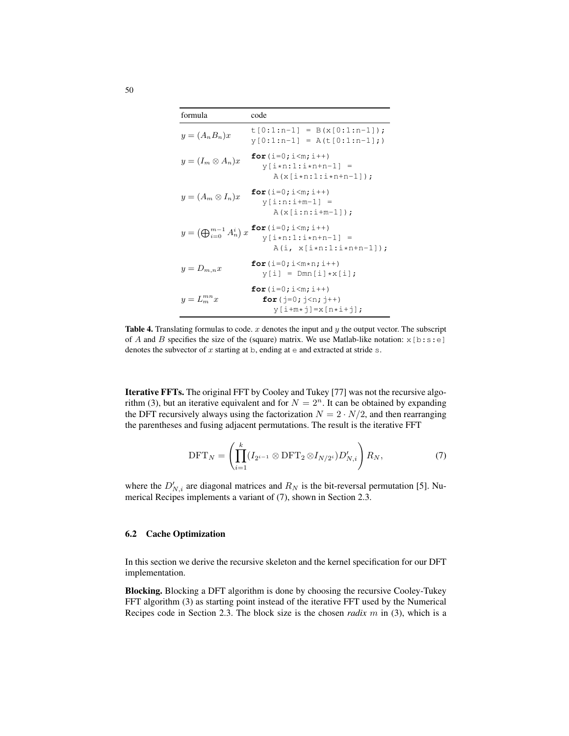| formula                              | code                                                                                             |
|--------------------------------------|--------------------------------------------------------------------------------------------------|
| $y=(A_nB_n)x$                        | $t[0:1:n-1] = B(x[0:1:n-1])$ ;<br>$y[0:1:n-1] = A(t[0:1:n-1])$                                   |
| $y=(I_m\otimes A_n)x$                | for $(i=0; i < m; i++)$<br>$y[i \star n:1:i \star n+n-1] =$<br>$A(x[i\star n:1:i\star n+n-1])$ ; |
| $y=(A_m\otimes I_n)x$                | for $(i=0; i < m; i++)$<br>$y[i:n:i+m-1] =$<br>$A(x[i:n:i+m-1])$ ;                               |
| $y = (\bigoplus_{i=0}^{m-1} A_n^i)x$ | for $(i=0; i \le m; i++)$<br>$v[i*n:1:i*n+n-1] =$<br>$A(i, x[i*n:1:i*n+n-1]);$                   |
| $y = D_{m,n}x$                       | for $(i=0; i \le m*n; i++)$<br>$v[i] = Dmn[i]*x[i];$                                             |
| $y = L_m^{mn}x$                      | for $(i=0; i < m; i++)$<br>for $(i=0; j < n; j++)$<br>$y[i+m \star j] = x[n \star i + j];$       |

**Table 4.** Translating formulas to code. x denotes the input and  $\eta$  the output vector. The subscript of A and B specifies the size of the (square) matrix. We use Matlab-like notation:  $x [b:s:e]$ denotes the subvector of  $x$  starting at  $b$ , ending at  $e$  and extracted at stride  $s$ .

Iterative FFTs. The original FFT by Cooley and Tukey [77] was not the recursive algorithm (3), but an iterative equivalent and for  $N = 2<sup>n</sup>$ . It can be obtained by expanding the DFT recursively always using the factorization  $N = 2 \cdot N/2$ , and then rearranging the parentheses and fusing adjacent permutations. The result is the iterative FFT

$$
\text{DFT}_N = \left( \prod_{i=1}^k (I_{2^{i-1}} \otimes \text{DFT}_2 \otimes I_{N/2^i}) D'_{N,i} \right) R_N, \tag{7}
$$

where the  $D'_{N,i}$  are diagonal matrices and  $R_N$  is the bit-reversal permutation [5]. Numerical Recipes implements a variant of (7), shown in Section 2.3.

# 6.2 Cache Optimization

In this section we derive the recursive skeleton and the kernel specification for our DFT implementation.

Blocking. Blocking a DFT algorithm is done by choosing the recursive Cooley-Tukey FFT algorithm (3) as starting point instead of the iterative FFT used by the Numerical Recipes code in Section 2.3. The block size is the chosen *radix* m in (3), which is a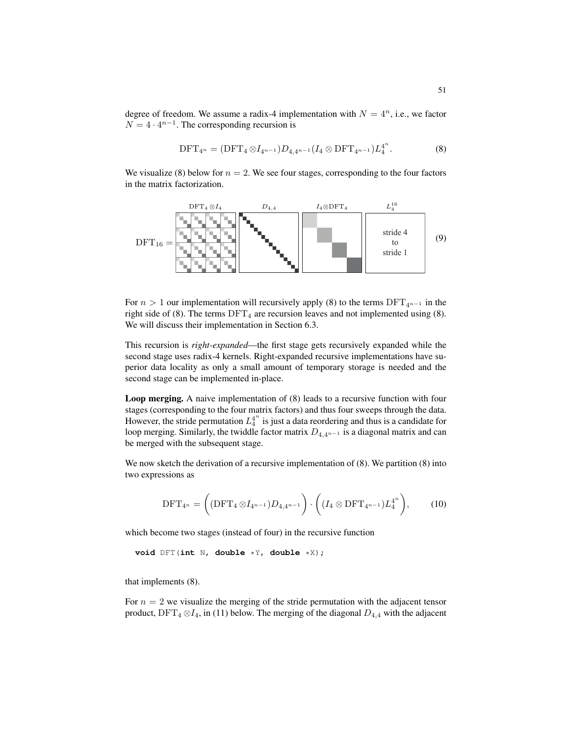degree of freedom. We assume a radix-4 implementation with  $N = 4<sup>n</sup>$ , i.e., we factor  $N = 4 \cdot 4^{n-1}$ . The corresponding recursion is

$$
\text{DFT}_{4^n} = (\text{DFT}_4 \otimes I_{4^{n-1}}) D_{4,4^{n-1}} (I_4 \otimes \text{DFT}_{4^{n-1}}) L_4^{4^n}.
$$
 (8)

We visualize (8) below for  $n = 2$ . We see four stages, corresponding to the four factors in the matrix factorization.



For  $n > 1$  our implementation will recursively apply (8) to the terms DFT<sub>4n-1</sub> in the right side of (8). The terms  $DFT_4$  are recursion leaves and not implemented using (8). We will discuss their implementation in Section 6.3.

This recursion is *right-expanded*—the first stage gets recursively expanded while the second stage uses radix-4 kernels. Right-expanded recursive implementations have superior data locality as only a small amount of temporary storage is needed and the second stage can be implemented in-place.

Loop merging. A naive implementation of (8) leads to a recursive function with four stages (corresponding to the four matrix factors) and thus four sweeps through the data. However, the stride permutation  $L_4^{4^n}$  is just a data reordering and thus is a candidate for loop merging. Similarly, the twiddle factor matrix  $D_{4,4^{n-1}}$  is a diagonal matrix and can be merged with the subsequent stage.

We now sketch the derivation of a recursive implementation of  $(8)$ . We partition  $(8)$  into two expressions as

$$
\text{DFT}_{4^n} = \left( (\text{DFT}_4 \otimes I_{4^{n-1}}) D_{4,4^{n-1}} \right) \cdot \left( (I_4 \otimes \text{DFT}_{4^{n-1}}) L_4^{4^n} \right), \quad (10)
$$

which become two stages (instead of four) in the recursive function

**void** DFT(**int** N, **double** \*Y, **double** \*X);

that implements (8).

For  $n = 2$  we visualize the merging of the stride permutation with the adjacent tensor product,  $DFT_4 \otimes I_4$ , in (11) below. The merging of the diagonal  $D_{4,4}$  with the adjacent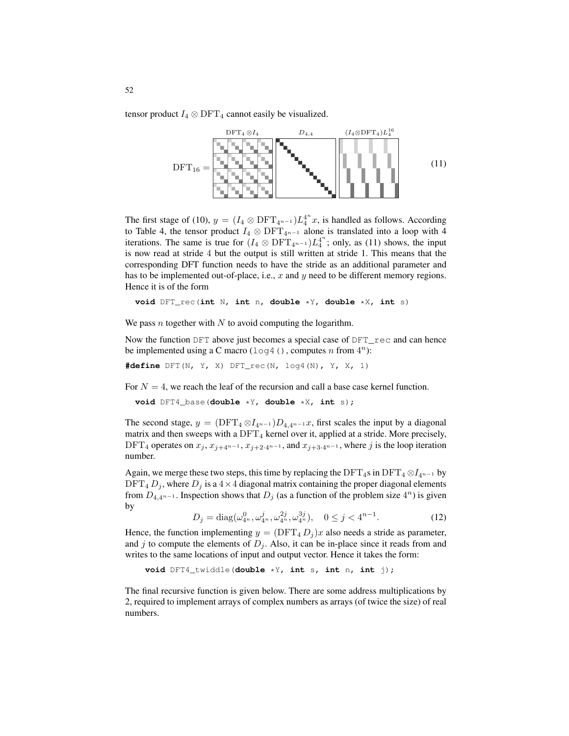tensor product  $I_4 \otimes \mathrm{DFT}_4$  cannot easily be visualized.



The first stage of (10),  $y = (I_4 \otimes DFT_{4^{n-1}})L_4^{4^n}x$ , is handled as follows. According to Table 4, the tensor product  $I_4 \otimes \text{DFT}_{4^{n-1}}$  alone is translated into a loop with 4 iterations. The same is true for  $(I_4 \otimes DFT_{4^{n-1}})L_4^{4^n}$ ; only, as (11) shows, the input is now read at stride 4 but the output is still written at stride 1. This means that the corresponding DFT function needs to have the stride as an additional parameter and has to be implemented out-of-place, i.e.,  $x$  and  $y$  need to be different memory regions. Hence it is of the form

```
void DFT_rec(int N, int n, double *Y, double *X, int s)
```
We pass  $n$  together with  $N$  to avoid computing the logarithm.

Now the function  $DFT$  above just becomes a special case of  $DFT$  rec and can hence be implemented using a C macro ( $log 4$  (), computes n from  $4^n$ ):

**#define** DFT(N, Y, X) DFT\_rec(N, log4(N), Y, X, 1)

For  $N = 4$ , we reach the leaf of the recursion and call a base case kernel function.

**void** DFT4\_base(**double** \*Y, **double** \*X, **int** s);

The second stage,  $y = (DFT_4 \otimes I_{4n-1})D_{4,4n-1}x$ , first scales the input by a diagonal matrix and then sweeps with a  $DFT_4$  kernel over it, applied at a stride. More precisely, DFT<sub>4</sub> operates on  $x_j$ ,  $x_{j+4^{n-1}}$ ,  $x_{j+2,4^{n-1}}$ , and  $x_{j+3,4^{n-1}}$ , where j is the loop iteration number.

Again, we merge these two steps, this time by replacing the DFT<sub>4</sub>s in DFT<sub>4</sub> $\otimes I_{4^{n-1}}$  by  $DFT_4 D_j$ , where  $D_j$  is a  $4 \times 4$  diagonal matrix containing the proper diagonal elements from  $D_{4,4^{n-1}}$ . Inspection shows that  $D_j$  (as a function of the problem size 4<sup>n</sup>) is given by

$$
D_j = \text{diag}(\omega_{4^n}^0, \omega_{4^n}^j, \omega_{4^n}^{2j}, \omega_{4^n}^{3j}), \quad 0 \le j < 4^{n-1}.\tag{12}
$$

Hence, the function implementing  $y = (DFT_4 D_i)x$  also needs a stride as parameter, and j to compute the elements of  $D_i$ . Also, it can be in-place since it reads from and writes to the same locations of input and output vector. Hence it takes the form:

```
void DFT4_twiddle(double *Y, int s, int n, int j);
```
The final recursive function is given below. There are some address multiplications by 2, required to implement arrays of complex numbers as arrays (of twice the size) of real numbers.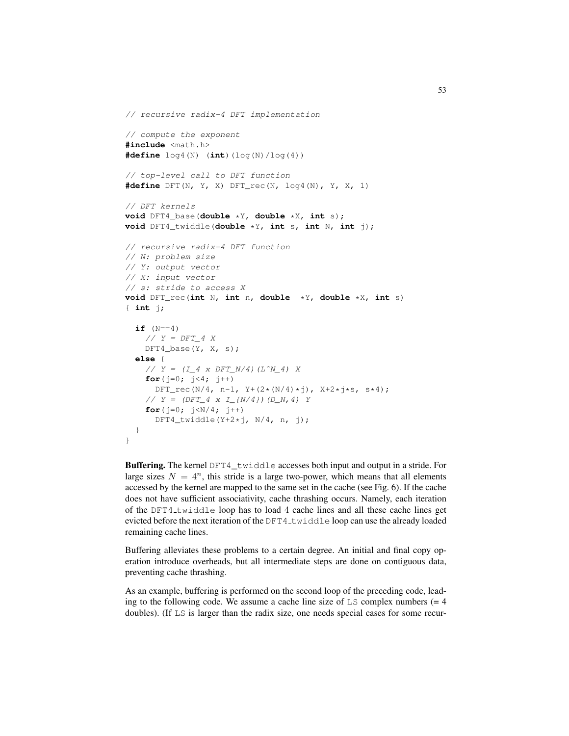```
// recursive radix-4 DFT implementation
// compute the exponent
#include <math.h>
#define log4(N) (int)(log(N)/log(4))
// top-level call to DFT function
#define DFT(N, Y, X) DFT_rec(N, log4(N), Y, X, 1)
// DFT kernels
void DFT4_base(double *Y, double *X, int s);
void DFT4_twiddle(double *Y, int s, int N, int j);
// recursive radix-4 DFT function
// N: problem size
// Y: output vector
// X: input vector
// s: stride to access X
void DFT_rec(int N, int n, double *Y, double *X, int s)
{ int j;
  if (N==4)// Y = DFT_4 XDFT4_base(Y, X, s);
  else {
    // Y = (I_4 \times DFT_N/4)(L^N_4)for(j=0; j<4; j++)
     DFT_rec(N/4, n-1, Y+(2*(N/4)*j), X+2*j*s, s*4);
    // Y = (DFT_4 \times I_{N/4}) (D_N, 4) Yfor(j=0; j<N/4; j++)
     DFT4_twiddle(Y+2*j, N/4, n, j);
  }
}
```
Buffering. The kernel DFT4\_twiddle accesses both input and output in a stride. For large sizes  $N = 4^n$ , this stride is a large two-power, which means that all elements accessed by the kernel are mapped to the same set in the cache (see Fig. 6). If the cache does not have sufficient associativity, cache thrashing occurs. Namely, each iteration of the  $DFT4$ -twiddle loop has to load 4 cache lines and all these cache lines get evicted before the next iteration of the DFT4\_twiddle loop can use the already loaded remaining cache lines.

Buffering alleviates these problems to a certain degree. An initial and final copy operation introduce overheads, but all intermediate steps are done on contiguous data, preventing cache thrashing.

As an example, buffering is performed on the second loop of the preceding code, leading to the following code. We assume a cache line size of  $LS$  complex numbers (= 4 doubles). (If LS is larger than the radix size, one needs special cases for some recur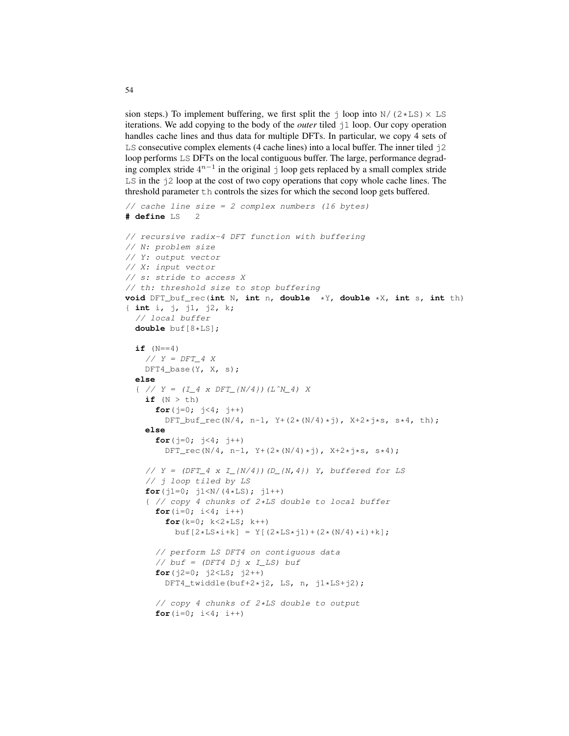sion steps.) To implement buffering, we first split the  $j$  loop into N/(2\*LS)× LS iterations. We add copying to the body of the *outer* tiled j1 loop. Our copy operation handles cache lines and thus data for multiple DFTs. In particular, we copy 4 sets of LS consecutive complex elements (4 cache lines) into a local buffer. The inner tiled  $\dot{1}2$ loop performs LS DFTs on the local contiguous buffer. The large, performance degrading complex stride  $4^{n-1}$  in the original j loop gets replaced by a small complex stride LS in the  $\exists$  2 loop at the cost of two copy operations that copy whole cache lines. The threshold parameter th controls the sizes for which the second loop gets buffered.

```
// cache line size = 2 complex numbers (16 bytes)
# define LS 2
// recursive radix-4 DFT function with buffering
// N: problem size
// Y: output vector
// X: input vector
// s: stride to access X
// th: threshold size to stop buffering
void DFT_buf_rec(int N, int n, double *Y, double *X, int s, int th)
{ int i, j, j1, j2, k;
  // local buffer
  double buf[8*LS];
  if (N==4)// Y = DFT_4 XDFT4_base(Y, X, s);
  else
  \{ // Y = (I_4 \times DFT_{N/4})(L^N_{N-4}) X
    if (N > th)
      for(j=0; j<4; j++)
        DFT_buf_rec(N/4, n-1, Y+(2*(N/4)*j), X+2*j*s, s*4, th);
    else
      for(j=0; j<4; j++)
        DFT\_rec(N/4, n-1, Y+(2*(N/4)*j), X+2*j*s, s*4);// Y = (DFT_4 \times I_{N/4}) (D_{N,4}) Y, buffered for LS
    // j loop tiled by LS
    for(j1=0; j1<N/(4*LS); j1++)
    { // copy 4 chunks of 2*LS double to local buffer
      for(i=0; i<4; i++)
        for(k=0; k < 2 * LS; k++)
          buf[2*LS*i+k] = Y[(2*LS*j1)+(2*(N/4)*i)+k];
      // perform LS DFT4 on contiguous data
      // buf = (DFT4 Dj x I_LS) butfor(j2=0; j2<LS; j2++)
        DFT4_twiddle(buf+2*j2, LS, n, j1*LS+j2);
      // copy 4 chunks of 2*LS double to output
      for(i=0; i<4; i++)
```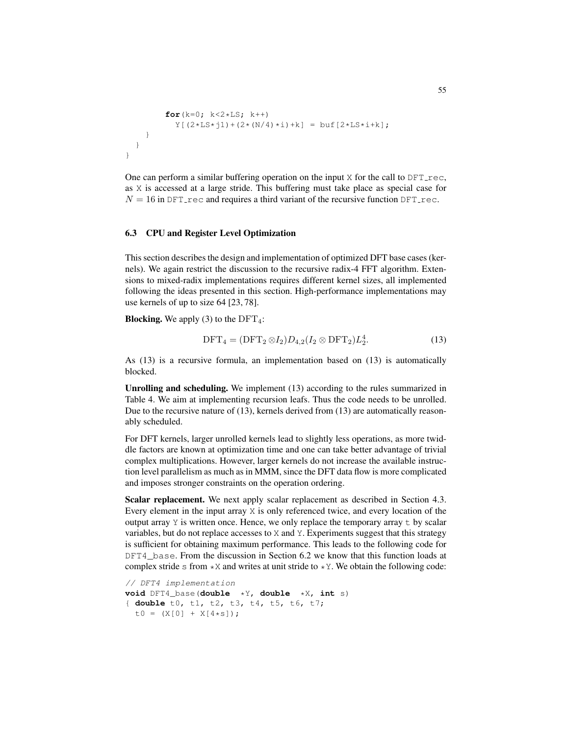```
for(k=0; k < 2 * LS; k++)
           Y[(2*LS+j1)+(2*(N/4)*i)+k] = \text{buf}[2*LS*ik];}
  }
}
```
One can perform a similar buffering operation on the input  $X$  for the call to  $DFT\_rec$ , as X is accessed at a large stride. This buffering must take place as special case for  $N = 16$  in DFT rec and requires a third variant of the recursive function DFT rec.

#### 6.3 CPU and Register Level Optimization

This section describes the design and implementation of optimized DFT base cases (kernels). We again restrict the discussion to the recursive radix-4 FFT algorithm. Extensions to mixed-radix implementations requires different kernel sizes, all implemented following the ideas presented in this section. High-performance implementations may use kernels of up to size 64 [23, 78].

**Blocking.** We apply (3) to the  $DFT_4$ :

$$
DFT_4 = (DFT_2 \otimes I_2)D_{4,2}(I_2 \otimes DFT_2)L_2^4.
$$
 (13)

As (13) is a recursive formula, an implementation based on (13) is automatically blocked.

Unrolling and scheduling. We implement (13) according to the rules summarized in Table 4. We aim at implementing recursion leafs. Thus the code needs to be unrolled. Due to the recursive nature of (13), kernels derived from (13) are automatically reasonably scheduled.

For DFT kernels, larger unrolled kernels lead to slightly less operations, as more twiddle factors are known at optimization time and one can take better advantage of trivial complex multiplications. However, larger kernels do not increase the available instruction level parallelism as much as in MMM, since the DFT data flow is more complicated and imposes stronger constraints on the operation ordering.

Scalar replacement. We next apply scalar replacement as described in Section 4.3. Every element in the input array X is only referenced twice, and every location of the output array  $Y$  is written once. Hence, we only replace the temporary array  $t$  by scalar variables, but do not replace accesses to X and Y. Experiments suggest that this strategy is sufficient for obtaining maximum performance. This leads to the following code for DFT4\_base. From the discussion in Section 6.2 we know that this function loads at complex stride s from  $\star$ X and writes at unit stride to  $\star$ Y. We obtain the following code:

```
// DFT4 implementation
void DFT4_base(double *Y, double *X, int s)
{ double t0, t1, t2, t3, t4, t5, t6, t7;
 t0 = (X[0] + X[4*s]);
```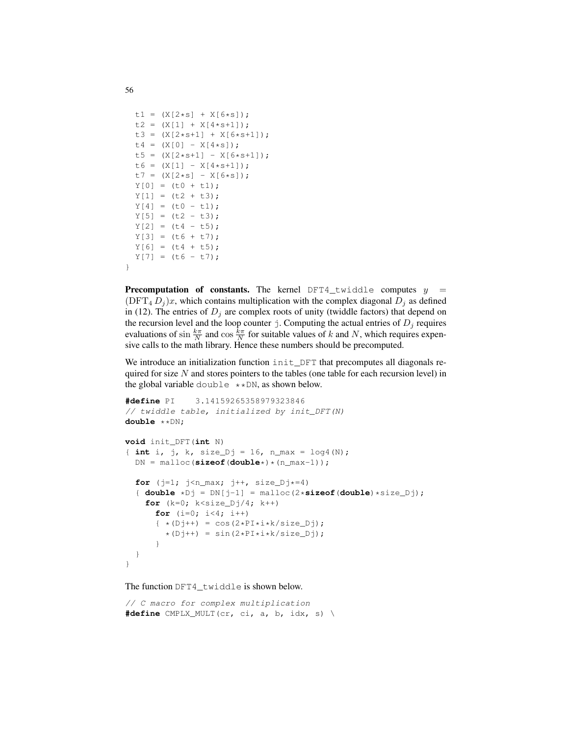```
t1 = (X[2*s] + X[6*s]);t2 = (X[1] + X[4*s+1]);t3 = (X[2*s+1] + X[6*s+1]);
t4 = (X[0] - X[4*s]);
t5 = (X[2*s+1] - X[6*s+1]);
t6 = (X[1] - X[4*s+1]);t7 = (X[2*s] - X[6*s]);Y[0] = (t0 + t1);Y[1] = (t2 + t3);Y[4] = (t0 - t1);Y[5] = (t2 - t3);Y[2] = (t4 - t5);Y[3] = (t6 + t7);Y[6] = (t4 + t5);Y[7] = (t6 - t7);
```
**Precomputation of constants.** The kernel DFT4\_twiddle computes  $y =$  $(DFT<sub>4</sub> D<sub>i</sub>)x$ , which contains multiplication with the complex diagonal  $D<sub>i</sub>$  as defined in (12). The entries of  $D_i$  are complex roots of unity (twiddle factors) that depend on the recursion level and the loop counter  $\overline{j}$ . Computing the actual entries of  $D_j$  requires evaluations of  $\sin \frac{k\pi}{N}$  and  $\cos \frac{k\pi}{N}$  for suitable values of k and N, which requires expensive calls to the math library. Hence these numbers should be precomputed.

We introduce an initialization function init\_DFT that precomputes all diagonals required for size  $N$  and stores pointers to the tables (one table for each recursion level) in the global variable double  $\star$  $\times$ DN, as shown below.

```
#define PI 3.14159265358979323846
// twiddle table, initialized by init_DFT(N)
double **DN;
void init_DFT(int N)
{ int i, j, k, size_Dj = 16, n_max = log4(N);
 DN = malloc(sizeof(double*)*(n_max-1));
  for (j=1; j < n_max; j++), size_D j * = 4){ double *Dj = DN[j-1] = malloc(2*sizeof(double)*size_Dj);
    for (k=0; k < size D_1/4; k++)for (i=0; i<4; i++)
      \{ * (Dj++) = \cos(2*PI*ik/size_D) \}*(Dj++) = \sin(2*PI*ik/size_D);
      }
 }
}
```
The function DFT4\_twiddle is shown below.

```
// C macro for complex multiplication
#define CMPLX_MULT(cr, ci, a, b, idx, s) \
```
56

}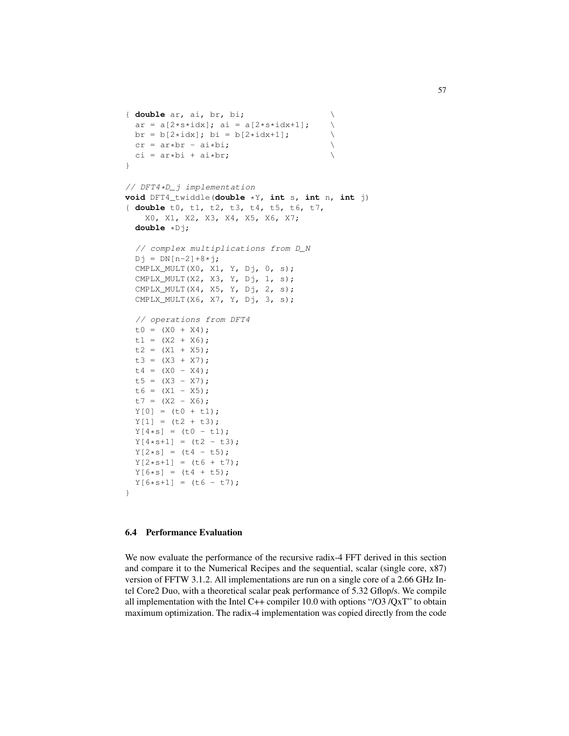```
{ double ar, ai, br, bi; \
 ar = a[2*s*idx]; ai = a[2*s*idx+1];
 br = b[2*idx]; bi = b[2*idx+1];
 cr = ar * br - ai * bi;ci = ar * bi + ai * br;}
// DFT4*D_j implementation
void DFT4_twiddle(double *Y, int s, int n, int j)
{ double t0, t1, t2, t3, t4, t5, t6, t7,
   X0, X1, X2, X3, X4, X5, X6, X7;
 double *Dj;
 // complex multiplications from D_N
 Dj = DN[n-2]+8+j;CMPLX_MULT(X0, X1, Y, Dj, 0, s);
 CMPLX_MULT(X2, X3, Y, Dj, 1, s);
 CMPLX_MULT(X4, X5, Y, D_1, 2, s);CMPLX_MULT(X6, X7, Y, Dj, 3, s);
 // operations from DFT4
 t0 = (X0 + X4);t1 = (X2 + X6);
 t2 = (X1 + X5);t3 = (X3 + X7);t4 = (X0 - X4);
 t5 = (X3 - X7);t6 = (X1 - X5);t7 = (X2 - X6);
 Y[0] = (t0 + t1);Y[1] = (t2 + t3);Y[4*s] = (t0 - t1);Y[4*s+1] = (t2 - t3);Y[2*s] = (t4 - t5);Y[2*s+1] = (t6 + t7);Y[6*s] = (t4 + t5);Y[6*s+1] = (t6 - t7);}
```
#### 6.4 Performance Evaluation

We now evaluate the performance of the recursive radix-4 FFT derived in this section and compare it to the Numerical Recipes and the sequential, scalar (single core, x87) version of FFTW 3.1.2. All implementations are run on a single core of a 2.66 GHz Intel Core2 Duo, with a theoretical scalar peak performance of 5.32 Gflop/s. We compile all implementation with the Intel C++ compiler 10.0 with options "/O3 /QxT" to obtain maximum optimization. The radix-4 implementation was copied directly from the code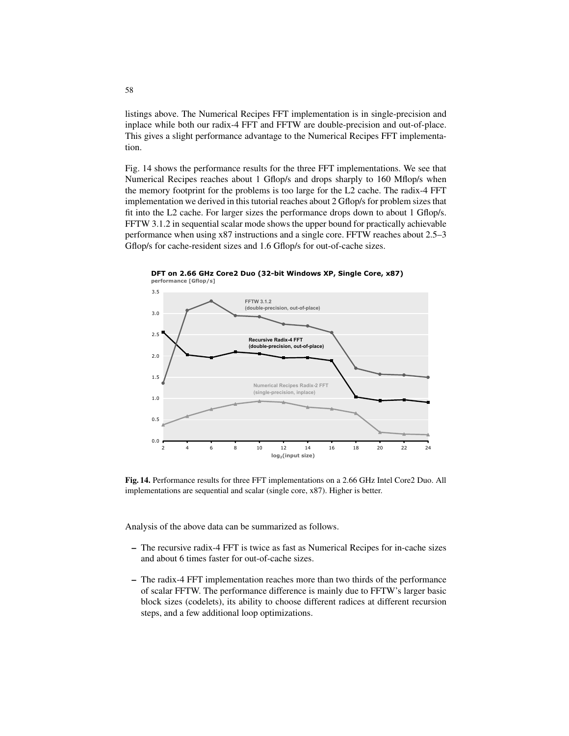listings above. The Numerical Recipes FFT implementation is in single-precision and inplace while both our radix-4 FFT and FFTW are double-precision and out-of-place. This gives a slight performance advantage to the Numerical Recipes FFT implementation.

Fig. 14 shows the performance results for the three FFT implementations. We see that Numerical Recipes reaches about 1 Gflop/s and drops sharply to 160 Mflop/s when the memory footprint for the problems is too large for the L2 cache. The radix-4 FFT implementation we derived in this tutorial reaches about 2 Gflop/s for problem sizes that fit into the L2 cache. For larger sizes the performance drops down to about 1 Gflop/s. FFTW 3.1.2 in sequential scalar mode shows the upper bound for practically achievable performance when using x87 instructions and a single core. FFTW reaches about 2.5–3 Gflop/s for cache-resident sizes and 1.6 Gflop/s for out-of-cache sizes.



**DFT on 2.66 GHz Core2 Duo (32-bit Windows XP, Single Core, x87) performance [Gflop/s]**

Fig. 14. Performance results for three FFT implementations on a 2.66 GHz Intel Core2 Duo. All implementations are sequential and scalar (single core, x87). Higher is better.

Analysis of the above data can be summarized as follows.

- The recursive radix-4 FFT is twice as fast as Numerical Recipes for in-cache sizes and about 6 times faster for out-of-cache sizes.
- The radix-4 FFT implementation reaches more than two thirds of the performance of scalar FFTW. The performance difference is mainly due to FFTW's larger basic block sizes (codelets), its ability to choose different radices at different recursion steps, and a few additional loop optimizations.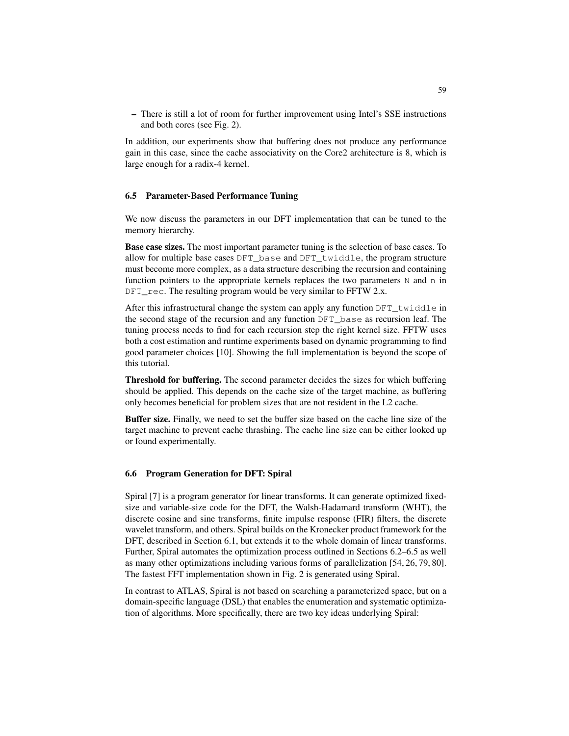– There is still a lot of room for further improvement using Intel's SSE instructions and both cores (see Fig. 2).

In addition, our experiments show that buffering does not produce any performance gain in this case, since the cache associativity on the Core2 architecture is 8, which is large enough for a radix-4 kernel.

### 6.5 Parameter-Based Performance Tuning

We now discuss the parameters in our DFT implementation that can be tuned to the memory hierarchy.

Base case sizes. The most important parameter tuning is the selection of base cases. To allow for multiple base cases  $DFT$  base and  $DFT$  twiddle, the program structure must become more complex, as a data structure describing the recursion and containing function pointers to the appropriate kernels replaces the two parameters  $N$  and  $n$  in DFT\_rec. The resulting program would be very similar to FFTW 2.x.

After this infrastructural change the system can apply any function  $DFT$  twiddle in the second stage of the recursion and any function DFT\_base as recursion leaf. The tuning process needs to find for each recursion step the right kernel size. FFTW uses both a cost estimation and runtime experiments based on dynamic programming to find good parameter choices [10]. Showing the full implementation is beyond the scope of this tutorial.

Threshold for buffering. The second parameter decides the sizes for which buffering should be applied. This depends on the cache size of the target machine, as buffering only becomes beneficial for problem sizes that are not resident in the L2 cache.

Buffer size. Finally, we need to set the buffer size based on the cache line size of the target machine to prevent cache thrashing. The cache line size can be either looked up or found experimentally.

#### 6.6 Program Generation for DFT: Spiral

Spiral [7] is a program generator for linear transforms. It can generate optimized fixedsize and variable-size code for the DFT, the Walsh-Hadamard transform (WHT), the discrete cosine and sine transforms, finite impulse response (FIR) filters, the discrete wavelet transform, and others. Spiral builds on the Kronecker product framework for the DFT, described in Section 6.1, but extends it to the whole domain of linear transforms. Further, Spiral automates the optimization process outlined in Sections 6.2–6.5 as well as many other optimizations including various forms of parallelization [54, 26, 79, 80]. The fastest FFT implementation shown in Fig. 2 is generated using Spiral.

In contrast to ATLAS, Spiral is not based on searching a parameterized space, but on a domain-specific language (DSL) that enables the enumeration and systematic optimization of algorithms. More specifically, there are two key ideas underlying Spiral: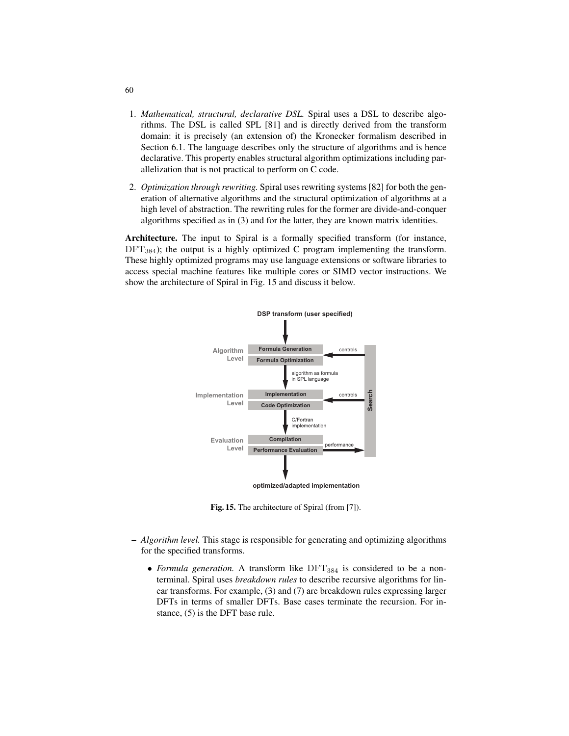- 1. *Mathematical, structural, declarative DSL.* Spiral uses a DSL to describe algorithms. The DSL is called SPL [81] and is directly derived from the transform domain: it is precisely (an extension of) the Kronecker formalism described in Section 6.1. The language describes only the structure of algorithms and is hence declarative. This property enables structural algorithm optimizations including parallelization that is not practical to perform on C code.
- 2. *Optimization through rewriting.* Spiral uses rewriting systems [82] for both the generation of alternative algorithms and the structural optimization of algorithms at a high level of abstraction. The rewriting rules for the former are divide-and-conquer algorithms specified as in (3) and for the latter, they are known matrix identities.

Architecture. The input to Spiral is a formally specified transform (for instance,  $DFT<sub>384</sub>$ ; the output is a highly optimized C program implementing the transform. These highly optimized programs may use language extensions or software libraries to access special machine features like multiple cores or SIMD vector instructions. We show the architecture of Spiral in Fig. 15 and discuss it below.



Fig. 15. The architecture of Spiral (from [7]).

- *Algorithm level.* This stage is responsible for generating and optimizing algorithms for the specified transforms.
	- *Formula generation*. A transform like  $DFT_{384}$  is considered to be a nonterminal. Spiral uses *breakdown rules* to describe recursive algorithms for linear transforms. For example, (3) and (7) are breakdown rules expressing larger DFTs in terms of smaller DFTs. Base cases terminate the recursion. For instance, (5) is the DFT base rule.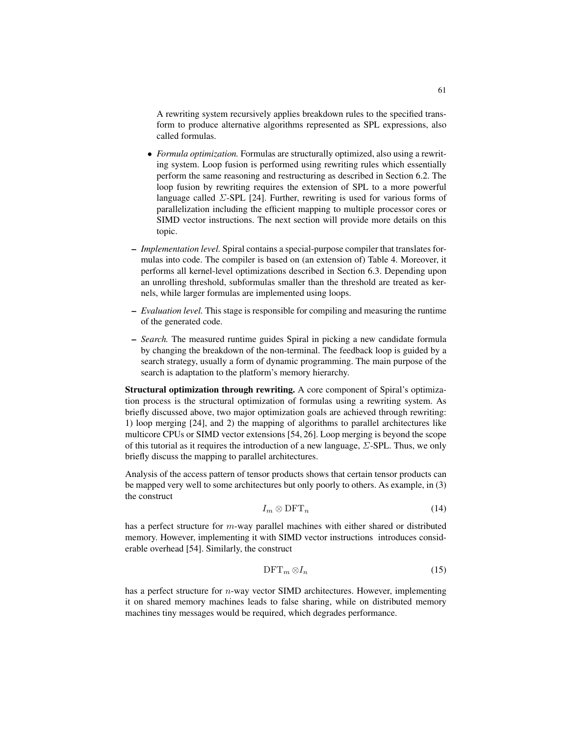A rewriting system recursively applies breakdown rules to the specified transform to produce alternative algorithms represented as SPL expressions, also called formulas.

- *Formula optimization.* Formulas are structurally optimized, also using a rewriting system. Loop fusion is performed using rewriting rules which essentially perform the same reasoning and restructuring as described in Section 6.2. The loop fusion by rewriting requires the extension of SPL to a more powerful language called  $\Sigma$ -SPL [24]. Further, rewriting is used for various forms of parallelization including the efficient mapping to multiple processor cores or SIMD vector instructions. The next section will provide more details on this topic.
- *Implementation level.* Spiral contains a special-purpose compiler that translates formulas into code. The compiler is based on (an extension of) Table 4. Moreover, it performs all kernel-level optimizations described in Section 6.3. Depending upon an unrolling threshold, subformulas smaller than the threshold are treated as kernels, while larger formulas are implemented using loops.
- *Evaluation level.* This stage is responsible for compiling and measuring the runtime of the generated code.
- *Search.* The measured runtime guides Spiral in picking a new candidate formula by changing the breakdown of the non-terminal. The feedback loop is guided by a search strategy, usually a form of dynamic programming. The main purpose of the search is adaptation to the platform's memory hierarchy.

Structural optimization through rewriting. A core component of Spiral's optimization process is the structural optimization of formulas using a rewriting system. As briefly discussed above, two major optimization goals are achieved through rewriting: 1) loop merging [24], and 2) the mapping of algorithms to parallel architectures like multicore CPUs or SIMD vector extensions [54, 26]. Loop merging is beyond the scope of this tutorial as it requires the introduction of a new language,  $\Sigma$ -SPL. Thus, we only briefly discuss the mapping to parallel architectures.

Analysis of the access pattern of tensor products shows that certain tensor products can be mapped very well to some architectures but only poorly to others. As example, in (3) the construct

$$
I_m \otimes \text{DFT}_n \tag{14}
$$

has a perfect structure for m-way parallel machines with either shared or distributed memory. However, implementing it with SIMD vector instructions introduces considerable overhead [54]. Similarly, the construct

$$
\text{DFT}_m \otimes I_n \tag{15}
$$

has a perfect structure for  $n$ -way vector SIMD architectures. However, implementing it on shared memory machines leads to false sharing, while on distributed memory machines tiny messages would be required, which degrades performance.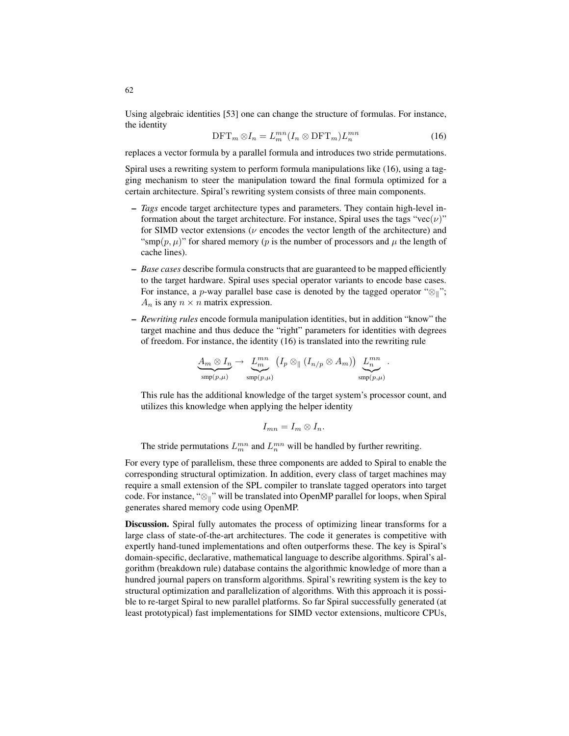Using algebraic identities [53] one can change the structure of formulas. For instance, the identity

$$
\text{DFT}_m \otimes I_n = L_m^{mn} (I_n \otimes \text{DFT}_m) L_n^{mn} \tag{16}
$$

replaces a vector formula by a parallel formula and introduces two stride permutations.

Spiral uses a rewriting system to perform formula manipulations like (16), using a tagging mechanism to steer the manipulation toward the final formula optimized for a certain architecture. Spiral's rewriting system consists of three main components.

- *Tags* encode target architecture types and parameters. They contain high-level information about the target architecture. For instance, Spiral uses the tags "vec( $\nu$ )" for SIMD vector extensions ( $\nu$  encodes the vector length of the architecture) and "smp(p,  $\mu$ )" for shared memory (p is the number of processors and  $\mu$  the length of cache lines).
- *Base cases* describe formula constructs that are guaranteed to be mapped efficiently to the target hardware. Spiral uses special operator variants to encode base cases. For instance, a p-way parallel base case is denoted by the tagged operator " $\otimes$ <sub>I</sub>";  $A_n$  is any  $n \times n$  matrix expression.
- *Rewriting rules* encode formula manipulation identities, but in addition "know" the target machine and thus deduce the "right" parameters for identities with degrees of freedom. For instance, the identity (16) is translated into the rewriting rule

$$
\underbrace{A_m \otimes I_n}_{\text{smp}(p,\mu)} \to \underbrace{L_m^{mn}}_{\text{smp}(p,\mu)} (I_p \otimes_{\parallel} (I_{n/p} \otimes A_m)) \underbrace{L_n^{mn}}_{\text{smp}(p,\mu)}.
$$

This rule has the additional knowledge of the target system's processor count, and utilizes this knowledge when applying the helper identity

$$
I_{mn}=I_m\otimes I_n.
$$

The stride permutations  $L_m^{mn}$  and  $L_n^{mn}$  will be handled by further rewriting.

For every type of parallelism, these three components are added to Spiral to enable the corresponding structural optimization. In addition, every class of target machines may require a small extension of the SPL compiler to translate tagged operators into target code. For instance, "⊗<sub>ll</sub>" will be translated into OpenMP parallel for loops, when Spiral generates shared memory code using OpenMP.

Discussion. Spiral fully automates the process of optimizing linear transforms for a large class of state-of-the-art architectures. The code it generates is competitive with expertly hand-tuned implementations and often outperforms these. The key is Spiral's domain-specific, declarative, mathematical language to describe algorithms. Spiral's algorithm (breakdown rule) database contains the algorithmic knowledge of more than a hundred journal papers on transform algorithms. Spiral's rewriting system is the key to structural optimization and parallelization of algorithms. With this approach it is possible to re-target Spiral to new parallel platforms. So far Spiral successfully generated (at least prototypical) fast implementations for SIMD vector extensions, multicore CPUs,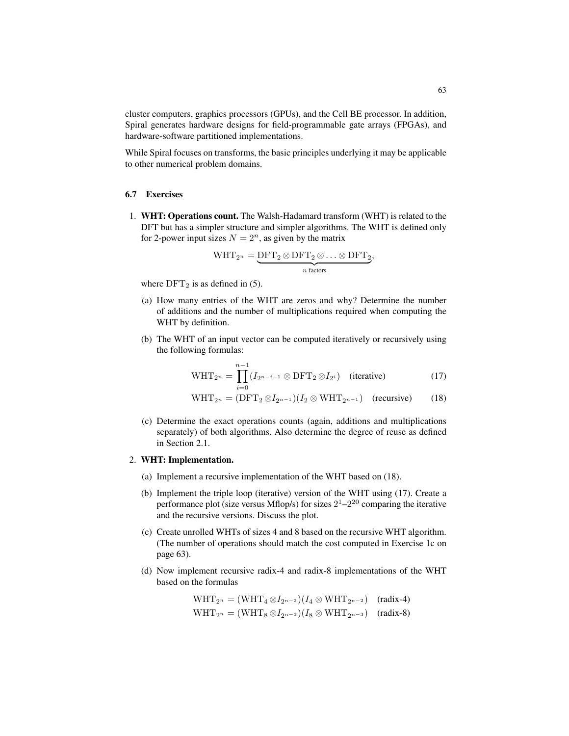cluster computers, graphics processors (GPUs), and the Cell BE processor. In addition, Spiral generates hardware designs for field-programmable gate arrays (FPGAs), and hardware-software partitioned implementations.

While Spiral focuses on transforms, the basic principles underlying it may be applicable to other numerical problem domains.

# 6.7 Exercises

1. WHT: Operations count. The Walsh-Hadamard transform (WHT) is related to the DFT but has a simpler structure and simpler algorithms. The WHT is defined only for 2-power input sizes  $N = 2<sup>n</sup>$ , as given by the matrix

$$
WHT_{2^n} = \underbrace{DFT_2 \otimes DFT_2 \otimes \ldots \otimes DFT_2}_{n \text{ factors}},
$$

where  $DFT_2$  is as defined in (5).

- (a) How many entries of the WHT are zeros and why? Determine the number of additions and the number of multiplications required when computing the WHT by definition.
- (b) The WHT of an input vector can be computed iteratively or recursively using the following formulas:

$$
WHT_{2^n} = \prod_{i=0}^{n-1} (I_{2^{n-i-1}} \otimes DFT_2 \otimes I_{2^i}) \quad \text{(iterative)} \tag{17}
$$

$$
WHT_{2^n} = (DFT_2 \otimes I_{2^{n-1}})(I_2 \otimes WHT_{2^{n-1}}) \quad \text{(recursive)} \tag{18}
$$

(c) Determine the exact operations counts (again, additions and multiplications separately) of both algorithms. Also determine the degree of reuse as defined in Section 2.1.

## 2. WHT: Implementation.

- (a) Implement a recursive implementation of the WHT based on (18).
- (b) Implement the triple loop (iterative) version of the WHT using (17). Create a performance plot (size versus Mflop/s) for sizes  $2^{1} - 2^{20}$  comparing the iterative and the recursive versions. Discuss the plot.
- (c) Create unrolled WHTs of sizes 4 and 8 based on the recursive WHT algorithm. (The number of operations should match the cost computed in Exercise 1c on page 63).
- (d) Now implement recursive radix-4 and radix-8 implementations of the WHT based on the formulas

$$
WHT_{2^n} = (WHT_4 \otimes I_{2^{n-2}})(I_4 \otimes WHT_{2^{n-2}}) \quad \text{(radix-4)}
$$
  

$$
WHT_{2^n} = (WHT_8 \otimes I_{2^{n-3}})(I_8 \otimes WHT_{2^{n-3}}) \quad \text{(radix-8)}
$$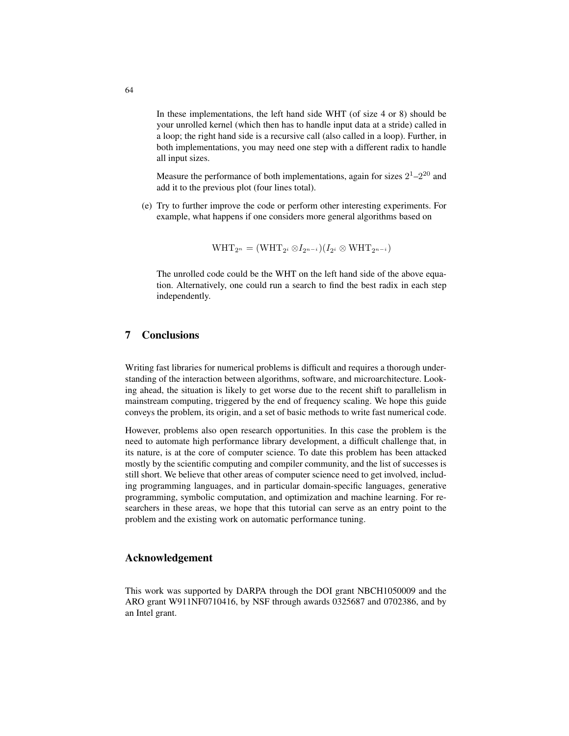In these implementations, the left hand side WHT (of size 4 or 8) should be your unrolled kernel (which then has to handle input data at a stride) called in a loop; the right hand side is a recursive call (also called in a loop). Further, in both implementations, you may need one step with a different radix to handle all input sizes.

Measure the performance of both implementations, again for sizes  $2^1-2^{20}$  and add it to the previous plot (four lines total).

(e) Try to further improve the code or perform other interesting experiments. For example, what happens if one considers more general algorithms based on

$$
\mathrm{WHT}_{2^n} = (\mathrm{WHT}_{2^i} \otimes I_{2^{n-i}})(I_{2^i} \otimes \mathrm{WHT}_{2^{n-i}})
$$

The unrolled code could be the WHT on the left hand side of the above equation. Alternatively, one could run a search to find the best radix in each step independently.

# 7 Conclusions

Writing fast libraries for numerical problems is difficult and requires a thorough understanding of the interaction between algorithms, software, and microarchitecture. Looking ahead, the situation is likely to get worse due to the recent shift to parallelism in mainstream computing, triggered by the end of frequency scaling. We hope this guide conveys the problem, its origin, and a set of basic methods to write fast numerical code.

However, problems also open research opportunities. In this case the problem is the need to automate high performance library development, a difficult challenge that, in its nature, is at the core of computer science. To date this problem has been attacked mostly by the scientific computing and compiler community, and the list of successes is still short. We believe that other areas of computer science need to get involved, including programming languages, and in particular domain-specific languages, generative programming, symbolic computation, and optimization and machine learning. For researchers in these areas, we hope that this tutorial can serve as an entry point to the problem and the existing work on automatic performance tuning.

# Acknowledgement

This work was supported by DARPA through the DOI grant NBCH1050009 and the ARO grant W911NF0710416, by NSF through awards 0325687 and 0702386, and by an Intel grant.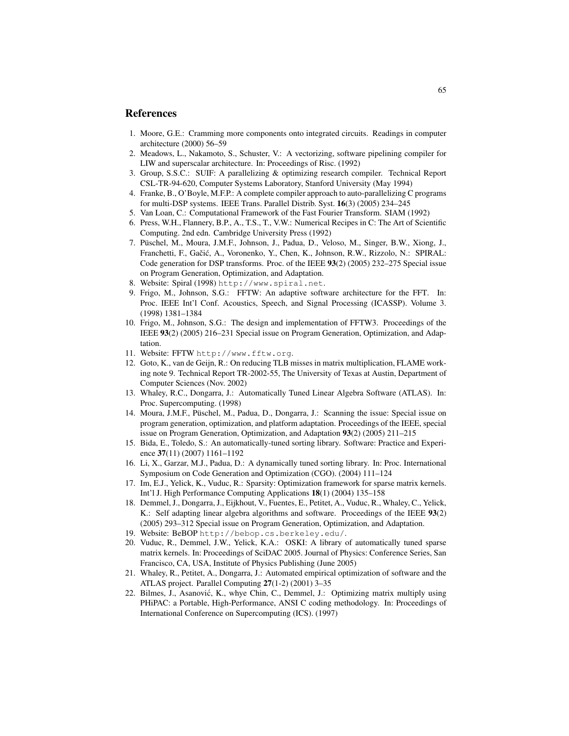# References

- 1. Moore, G.E.: Cramming more components onto integrated circuits. Readings in computer architecture (2000) 56–59
- 2. Meadows, L., Nakamoto, S., Schuster, V.: A vectorizing, software pipelining compiler for LIW and superscalar architecture. In: Proceedings of Risc. (1992)
- 3. Group, S.S.C.: SUIF: A parallelizing & optimizing research compiler. Technical Report CSL-TR-94-620, Computer Systems Laboratory, Stanford University (May 1994)
- 4. Franke, B., O'Boyle, M.F.P.: A complete compiler approach to auto-parallelizing C programs for multi-DSP systems. IEEE Trans. Parallel Distrib. Syst. 16(3) (2005) 234–245
- 5. Van Loan, C.: Computational Framework of the Fast Fourier Transform. SIAM (1992)
- 6. Press, W.H., Flannery, B.P., A., T.S., T., V.W.: Numerical Recipes in C: The Art of Scientific Computing. 2nd edn. Cambridge University Press (1992)
- 7. Puschel, M., Moura, J.M.F., Johnson, J., Padua, D., Veloso, M., Singer, B.W., Xiong, J., ¨ Franchetti, F., Gačić, A., Voronenko, Y., Chen, K., Johnson, R.W., Rizzolo, N.: SPIRAL: Code generation for DSP transforms. Proc. of the IEEE 93(2) (2005) 232–275 Special issue on Program Generation, Optimization, and Adaptation.
- 8. Website: Spiral (1998) http://www.spiral.net.
- 9. Frigo, M., Johnson, S.G.: FFTW: An adaptive software architecture for the FFT. In: Proc. IEEE Int'l Conf. Acoustics, Speech, and Signal Processing (ICASSP). Volume 3. (1998) 1381–1384
- 10. Frigo, M., Johnson, S.G.: The design and implementation of FFTW3. Proceedings of the IEEE 93(2) (2005) 216–231 Special issue on Program Generation, Optimization, and Adaptation.
- 11. Website: FFTW http://www.fftw.org.
- 12. Goto, K., van de Geijn, R.: On reducing TLB misses in matrix multiplication, FLAME working note 9. Technical Report TR-2002-55, The University of Texas at Austin, Department of Computer Sciences (Nov. 2002)
- 13. Whaley, R.C., Dongarra, J.: Automatically Tuned Linear Algebra Software (ATLAS). In: Proc. Supercomputing. (1998)
- 14. Moura, J.M.F., Püschel, M., Padua, D., Dongarra, J.: Scanning the issue: Special issue on program generation, optimization, and platform adaptation. Proceedings of the IEEE, special issue on Program Generation, Optimization, and Adaptation 93(2) (2005) 211–215
- 15. Bida, E., Toledo, S.: An automatically-tuned sorting library. Software: Practice and Experience 37(11) (2007) 1161–1192
- 16. Li, X., Garzar, M.J., Padua, D.: A dynamically tuned sorting library. In: Proc. International Symposium on Code Generation and Optimization (CGO). (2004) 111–124
- 17. Im, E.J., Yelick, K., Vuduc, R.: Sparsity: Optimization framework for sparse matrix kernels. Int'l J. High Performance Computing Applications 18(1) (2004) 135–158
- 18. Demmel, J., Dongarra, J., Eijkhout, V., Fuentes, E., Petitet, A., Vuduc, R., Whaley, C., Yelick, K.: Self adapting linear algebra algorithms and software. Proceedings of the IEEE 93(2) (2005) 293–312 Special issue on Program Generation, Optimization, and Adaptation.
- 19. Website: BeBOP http://bebop.cs.berkeley.edu/.
- 20. Vuduc, R., Demmel, J.W., Yelick, K.A.: OSKI: A library of automatically tuned sparse matrix kernels. In: Proceedings of SciDAC 2005. Journal of Physics: Conference Series, San Francisco, CA, USA, Institute of Physics Publishing (June 2005)
- 21. Whaley, R., Petitet, A., Dongarra, J.: Automated empirical optimization of software and the ATLAS project. Parallel Computing 27(1-2) (2001) 3–35
- 22. Bilmes, J., Asanovic, K., whye Chin, C., Demmel, J.: Optimizing matrix multiply using ´ PHiPAC: a Portable, High-Performance, ANSI C coding methodology. In: Proceedings of International Conference on Supercomputing (ICS). (1997)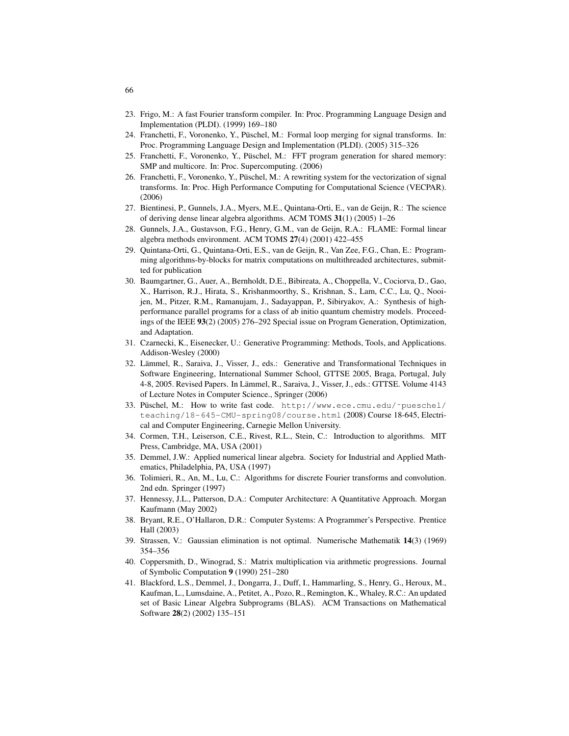- 23. Frigo, M.: A fast Fourier transform compiler. In: Proc. Programming Language Design and Implementation (PLDI). (1999) 169–180
- 24. Franchetti, F., Voronenko, Y., Puschel, M.: Formal loop merging for signal transforms. In: ¨ Proc. Programming Language Design and Implementation (PLDI). (2005) 315–326
- 25. Franchetti, F., Voronenko, Y., Puschel, M.: FFT program generation for shared memory: ¨ SMP and multicore. In: Proc. Supercomputing. (2006)
- 26. Franchetti, F., Voronenko, Y., Puschel, M.: A rewriting system for the vectorization of signal ¨ transforms. In: Proc. High Performance Computing for Computational Science (VECPAR). (2006)
- 27. Bientinesi, P., Gunnels, J.A., Myers, M.E., Quintana-Orti, E., van de Geijn, R.: The science of deriving dense linear algebra algorithms. ACM TOMS 31(1) (2005) 1–26
- 28. Gunnels, J.A., Gustavson, F.G., Henry, G.M., van de Geijn, R.A.: FLAME: Formal linear algebra methods environment. ACM TOMS 27(4) (2001) 422–455
- 29. Quintana-Orti, G., Quintana-Orti, E.S., van de Geijn, R., Van Zee, F.G., Chan, E.: Programming algorithms-by-blocks for matrix computations on multithreaded architectures, submitted for publication
- 30. Baumgartner, G., Auer, A., Bernholdt, D.E., Bibireata, A., Choppella, V., Cociorva, D., Gao, X., Harrison, R.J., Hirata, S., Krishanmoorthy, S., Krishnan, S., Lam, C.C., Lu, Q., Nooijen, M., Pitzer, R.M., Ramanujam, J., Sadayappan, P., Sibiryakov, A.: Synthesis of highperformance parallel programs for a class of ab initio quantum chemistry models. Proceedings of the IEEE 93(2) (2005) 276–292 Special issue on Program Generation, Optimization, and Adaptation.
- 31. Czarnecki, K., Eisenecker, U.: Generative Programming: Methods, Tools, and Applications. Addison-Wesley (2000)
- 32. Lammel, R., Saraiva, J., Visser, J., eds.: Generative and Transformational Techniques in ¨ Software Engineering, International Summer School, GTTSE 2005, Braga, Portugal, July 4-8, 2005. Revised Papers. In Lammel, R., Saraiva, J., Visser, J., eds.: GTTSE. Volume 4143 ¨ of Lecture Notes in Computer Science., Springer (2006)
- 33. Püschel, M.: How to write fast code. http://www.ece.cmu.edu/~pueschel/ teaching/18-645-CMU-spring08/course.html (2008) Course 18-645, Electrical and Computer Engineering, Carnegie Mellon University.
- 34. Cormen, T.H., Leiserson, C.E., Rivest, R.L., Stein, C.: Introduction to algorithms. MIT Press, Cambridge, MA, USA (2001)
- 35. Demmel, J.W.: Applied numerical linear algebra. Society for Industrial and Applied Mathematics, Philadelphia, PA, USA (1997)
- 36. Tolimieri, R., An, M., Lu, C.: Algorithms for discrete Fourier transforms and convolution. 2nd edn. Springer (1997)
- 37. Hennessy, J.L., Patterson, D.A.: Computer Architecture: A Quantitative Approach. Morgan Kaufmann (May 2002)
- 38. Bryant, R.E., O'Hallaron, D.R.: Computer Systems: A Programmer's Perspective. Prentice Hall (2003)
- 39. Strassen, V.: Gaussian elimination is not optimal. Numerische Mathematik 14(3) (1969) 354–356
- 40. Coppersmith, D., Winograd, S.: Matrix multiplication via arithmetic progressions. Journal of Symbolic Computation 9 (1990) 251–280
- 41. Blackford, L.S., Demmel, J., Dongarra, J., Duff, I., Hammarling, S., Henry, G., Heroux, M., Kaufman, L., Lumsdaine, A., Petitet, A., Pozo, R., Remington, K., Whaley, R.C.: An updated set of Basic Linear Algebra Subprograms (BLAS). ACM Transactions on Mathematical Software 28(2) (2002) 135–151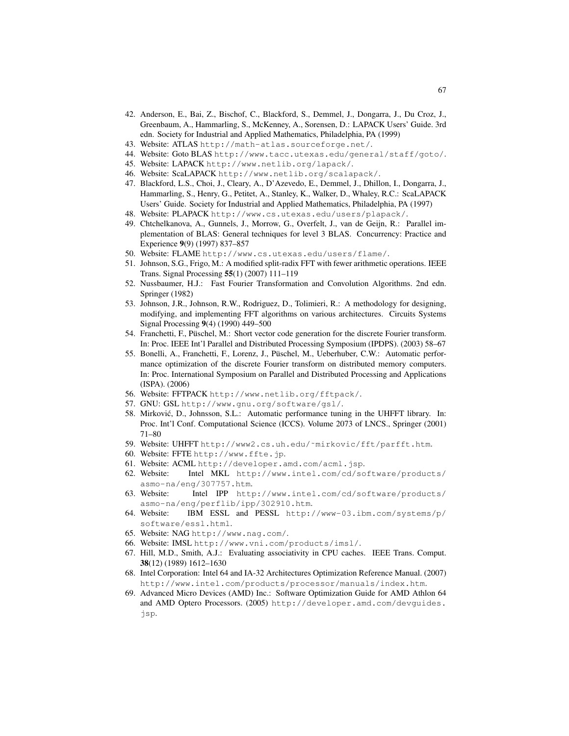- 42. Anderson, E., Bai, Z., Bischof, C., Blackford, S., Demmel, J., Dongarra, J., Du Croz, J., Greenbaum, A., Hammarling, S., McKenney, A., Sorensen, D.: LAPACK Users' Guide. 3rd edn. Society for Industrial and Applied Mathematics, Philadelphia, PA (1999)
- 43. Website: ATLAS http://math-atlas.sourceforge.net/.
- 44. Website: Goto BLAS http://www.tacc.utexas.edu/general/staff/goto/.
- 45. Website: LAPACK http://www.netlib.org/lapack/.
- 46. Website: ScaLAPACK http://www.netlib.org/scalapack/.
- 47. Blackford, L.S., Choi, J., Cleary, A., D'Azevedo, E., Demmel, J., Dhillon, I., Dongarra, J., Hammarling, S., Henry, G., Petitet, A., Stanley, K., Walker, D., Whaley, R.C.: ScaLAPACK Users' Guide. Society for Industrial and Applied Mathematics, Philadelphia, PA (1997)
- 48. Website: PLAPACK http://www.cs.utexas.edu/users/plapack/.
- 49. Chtchelkanova, A., Gunnels, J., Morrow, G., Overfelt, J., van de Geijn, R.: Parallel implementation of BLAS: General techniques for level 3 BLAS. Concurrency: Practice and Experience 9(9) (1997) 837–857
- 50. Website: FLAME http://www.cs.utexas.edu/users/flame/.
- 51. Johnson, S.G., Frigo, M.: A modified split-radix FFT with fewer arithmetic operations. IEEE Trans. Signal Processing 55(1) (2007) 111–119
- 52. Nussbaumer, H.J.: Fast Fourier Transformation and Convolution Algorithms. 2nd edn. Springer (1982)
- 53. Johnson, J.R., Johnson, R.W., Rodriguez, D., Tolimieri, R.: A methodology for designing, modifying, and implementing FFT algorithms on various architectures. Circuits Systems Signal Processing 9(4) (1990) 449–500
- 54. Franchetti, F., Püschel, M.: Short vector code generation for the discrete Fourier transform. In: Proc. IEEE Int'l Parallel and Distributed Processing Symposium (IPDPS). (2003) 58–67
- 55. Bonelli, A., Franchetti, F., Lorenz, J., Puschel, M., Ueberhuber, C.W.: Automatic perfor- ¨ mance optimization of the discrete Fourier transform on distributed memory computers. In: Proc. International Symposium on Parallel and Distributed Processing and Applications (ISPA). (2006)
- 56. Website: FFTPACK http://www.netlib.org/fftpack/.
- 57. GNU: GSL http://www.gnu.org/software/gsl/.
- 58. Mirkovic, D., Johnsson, S.L.: Automatic performance tuning in the UHFFT library. In: ´ Proc. Int'l Conf. Computational Science (ICCS). Volume 2073 of LNCS., Springer (2001) 71–80
- 59. Website: UHFFT http://www2.cs.uh.edu/˜mirkovic/fft/parfft.htm.
- 60. Website: FFTE http://www.ffte.jp.
- 61. Website: ACML http://developer.amd.com/acml.jsp.
- 62. Website: Intel MKL http://www.intel.com/cd/software/products/ asmo-na/eng/307757.htm.
- 63. Website: Intel IPP http://www.intel.com/cd/software/products/ asmo-na/eng/perflib/ipp/302910.htm.
- 64. Website: IBM ESSL and PESSL http://www-03.ibm.com/systems/p/ software/essl.html.
- 65. Website: NAG http://www.nag.com/.
- 66. Website: IMSL http://www.vni.com/products/imsl/.
- 67. Hill, M.D., Smith, A.J.: Evaluating associativity in CPU caches. IEEE Trans. Comput. 38(12) (1989) 1612–1630
- 68. Intel Corporation: Intel 64 and IA-32 Architectures Optimization Reference Manual. (2007) http://www.intel.com/products/processor/manuals/index.htm.
- 69. Advanced Micro Devices (AMD) Inc.: Software Optimization Guide for AMD Athlon 64 and AMD Optero Processors. (2005) http://developer.amd.com/devguides. jsp.